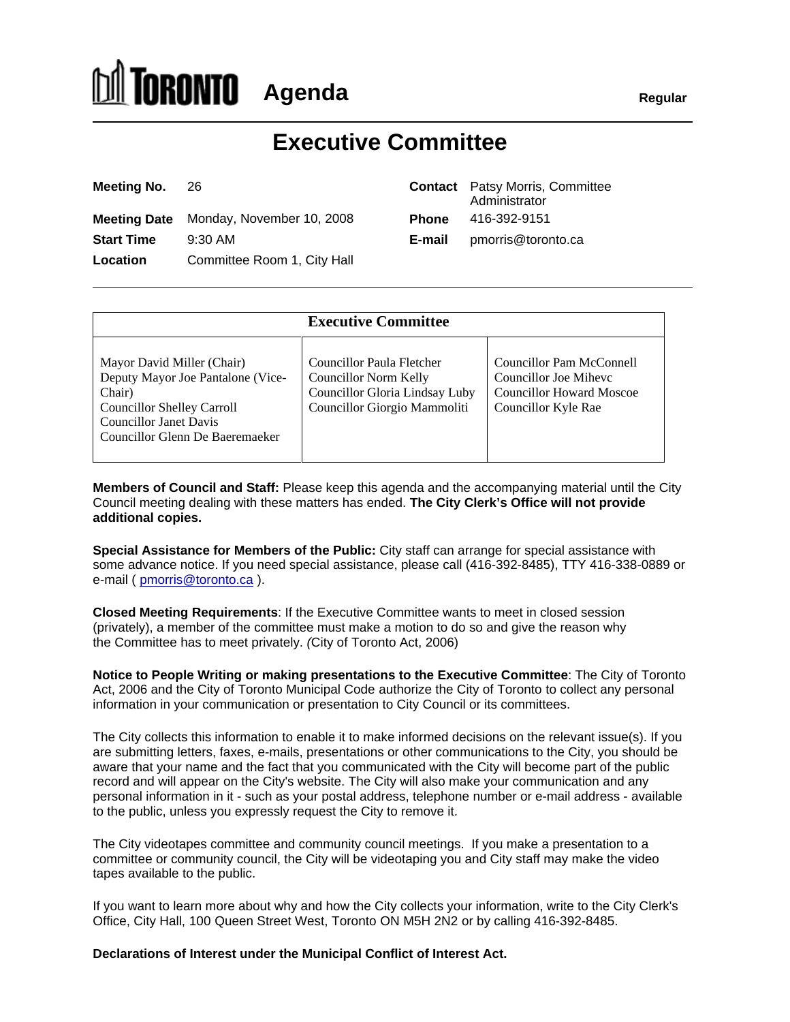# **Agenda Regular Regular**

# **Executive Committee**

| Meeting No. 26                          | <b>Contact</b> Patsy Morris, Committee<br>Administrator |  |  |
|-----------------------------------------|---------------------------------------------------------|--|--|
| Meeting Date Monday, November 10, 2008  | Phone 416-392-9151                                      |  |  |
| 9:30 AM<br><b>Start Time</b>            | <b>E-mail</b> pmorris@toronto.ca                        |  |  |
| Committee Room 1, City Hall<br>Location |                                                         |  |  |

|        | <b>Contact</b> Patsy Morris, Committee |
|--------|----------------------------------------|
|        | Administrator                          |
| Phone  | 416-392-9151                           |
| E-mail | pmorris@toronto.ca                     |

|                                                                                                                                                                      | <b>Executive Committee</b>                                                                                                                        |                                                                          |
|----------------------------------------------------------------------------------------------------------------------------------------------------------------------|---------------------------------------------------------------------------------------------------------------------------------------------------|--------------------------------------------------------------------------|
| Mayor David Miller (Chair)<br>Deputy Mayor Joe Pantalone (Vice-<br>Chair)<br>Councillor Shelley Carroll<br>Councillor Janet Davis<br>Councillor Glenn De Baeremaeker | Councillor Paula Fletcher<br>Councillor Norm Kelly<br>  Councillor Gloria Lindsay Luby   Councillor Howard Moscoe<br>Councillor Giorgio Mammoliti | Councillor Pam McConnell<br>Councillor Joe Mihevc<br>Councillor Kyle Rae |

**Members of Council and Staff:** Please keep this agenda and the accompanying material until the City Council meeting dealing with these matters has ended. **The City Clerk's Office will not provide additional copies.**

**Special Assistance for Members of the Public:** City staff can arrange for special assistance with some advance notice. If you need special assistance, please call (416-392-8485), TTY 416-338-0889 or e-mail ( pmorris@toronto.ca ).

**Closed Meeting Requirements**: If the Executive Committee wants to meet in closed session (privately), a member of the committee must make a motion to do so and give the reason why the Committee has to meet privately. (City of Toronto Act, 2006)

**Notice to People Writing or making presentations to the Executive Committee**: The City of Toronto Act, 2006 and the City of Toronto Municipal Code authorize the City of Toronto to collect any personal information in your communication or presentation to City Council or its committees.

The City collects this information to enable it to make informed decisions on the relevant issue(s). If you are submitting letters, faxes, e-mails, presentations or other communications to the City, you should be aware that your name and the fact that you communicated with the City will become part of the public record and will appear on the City's website. The City will also make your communication and any personal information in it - such as your postal address, telephone number or e-mail address - available to the public, unless you expressly request the City to remove it.

The City videotapes committee and community council meetings. If you make a presentation to a committee or community council, the City will be videotaping you and City staff may make the video tapes available to the public.

If you want to learn more about why and how the City collects your information, write to the City Clerk's Office, City Hall, 100 Queen Street West, Toronto ON M5H 2N2 or by calling 416-392-8485.

#### **Declarations of Interest under the Municipal Conflict of Interest Act.**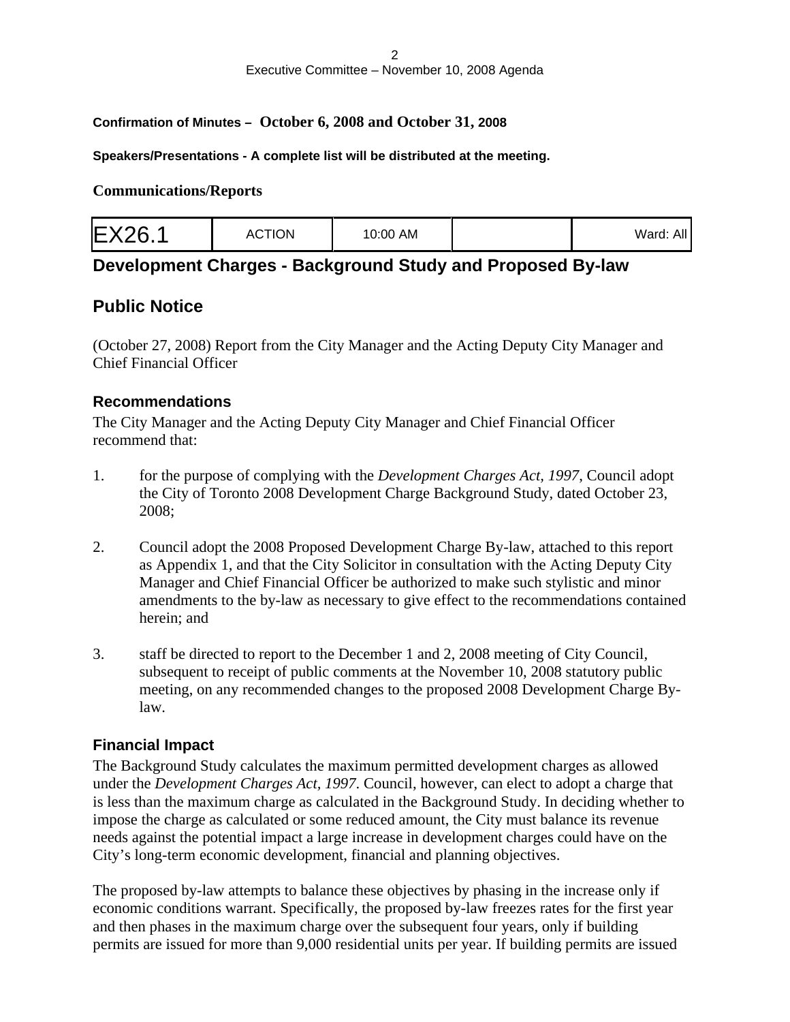#### **Confirmation of Minutes – October 6, 2008 and October 31, 2008**

#### **Speakers/Presentations - A complete list will be distributed at the meeting.**

#### **Communications/Reports**

|--|--|

#### **Development Charges - Background Study and Proposed By-law**

#### **Public Notice**

(October 27, 2008) Report from the City Manager and the Acting Deputy City Manager and Chief Financial Officer

#### **Recommendations**

The City Manager and the Acting Deputy City Manager and Chief Financial Officer recommend that:

- 1. for the purpose of complying with the *Development Charges Act, 1997*, Council adopt the City of Toronto 2008 Development Charge Background Study, dated October 23, 2008;
- 2. Council adopt the 2008 Proposed Development Charge By-law, attached to this report as Appendix 1, and that the City Solicitor in consultation with the Acting Deputy City Manager and Chief Financial Officer be authorized to make such stylistic and minor amendments to the by-law as necessary to give effect to the recommendations contained herein; and the same state of the state of the state of the state of the state of the state of the state of the state of the state of the state of the state of the state of the state of the state of the state of the state
- 3. staff be directed to report to the December 1 and 2, 2008 meeting of City Council, subsequent to receipt of public comments at the November 10, 2008 statutory public meeting, on any recommended changes to the proposed 2008 Development Charge Bylaw.

#### **Financial Impact**

The Background Study calculates the maximum permitted development charges as allowed under the *Development Charges Act, 1997*. Council, however, can elect to adopt a charge that is less than the maximum charge as calculated in the Background Study. In deciding whether to impose the charge as calculated or some reduced amount, the City must balance its revenue needs against the potential impact a large increase in development charges could have on the City's long-term economic development, financial and planning objectives.

The proposed by-law attempts to balance these objectives by phasing in the increase only if economic conditions warrant. Specifically, the proposed by-law freezes rates for the first year and then phases in the maximum charge over the subsequent four years, only if building permits are issued for more than 9,000 residential units per year. If building permits are issued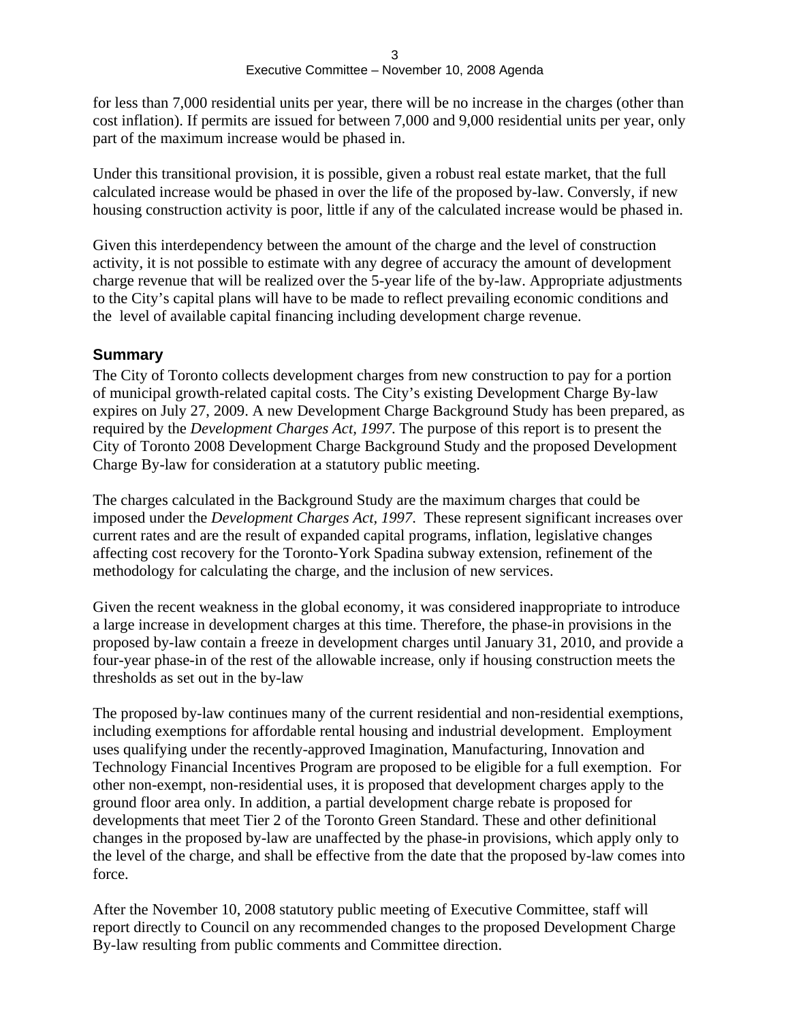for less than 7,000 residential units per year, there will be no increase in the charges (other than cost inflation). If permits are issued for between 7,000 and 9,000 residential units per year, only part of the maximum increase would be phased in.

Under this transitional provision, it is possible, given a robust real estate market, that the full calculated increase would be phased in over the life of the proposed by-law. Conversly, if new housing construction activity is poor, little if any of the calculated increase would be phased in.

Given this interdependency between the amount of the charge and the level of construction activity, it is not possible to estimate with any degree of accuracy the amount of development charge revenue that will be realized over the 5-year life of the by-law. Appropriate adjustments to the City's capital plans will have to be made to reflect prevailing economic conditions and the level of available capital financing including development charge revenue.

#### **Summary**

The City of Toronto collects development charges from new construction to pay for a portion of municipal growth-related capital costs. The City's existing Development Charge By-law expires on July 27, 2009. A new Development Charge Background Study has been prepared, as required by the *Development Charges Act, 1997*. The purpose of this report is to present the City of Toronto 2008 Development Charge Background Study and the proposed Development Charge By-law for consideration at a statutory public meeting.

The charges calculated in the Background Study are the maximum charges that could be imposed under the *Development Charges Act, 1997*. These represent significant increases over current rates and are the result of expanded capital programs, inflation, legislative changes affecting cost recovery for the Toronto-York Spadina subway extension, refinement of the methodology for calculating the charge, and the inclusion of new services.

Given the recent weakness in the global economy, it was considered inappropriate to introduce a large increase in development charges at this time. Therefore, the phase-in provisions in the proposed by-law contain a freeze in development charges until January 31, 2010, and provide a four-year phase-in of the rest of the allowable increase, only if housing construction meets the thresholds as set out in the by-law

The proposed by-law continues many of the current residential and non-residential exemptions, including exemptions for affordable rental housing and industrial development. Employment uses qualifying under the recently-approved Imagination, Manufacturing, Innovation and Technology Financial Incentives Program are proposed to be eligible for a full exemption. For other non-exempt, non-residential uses, it is proposed that development charges apply to the ground floor area only. In addition, a partial development charge rebate is proposed for developments that meet Tier 2 of the Toronto Green Standard. These and other definitional changes in the proposed by-law are unaffected by the phase-in provisions, which apply only to the level of the charge, and shall be effective from the date that the proposed by-law comes into force.

After the November 10, 2008 statutory public meeting of Executive Committee, staff will report directly to Council on any recommended changes to the proposed Development Charge By-law resulting from public comments and Committee direction.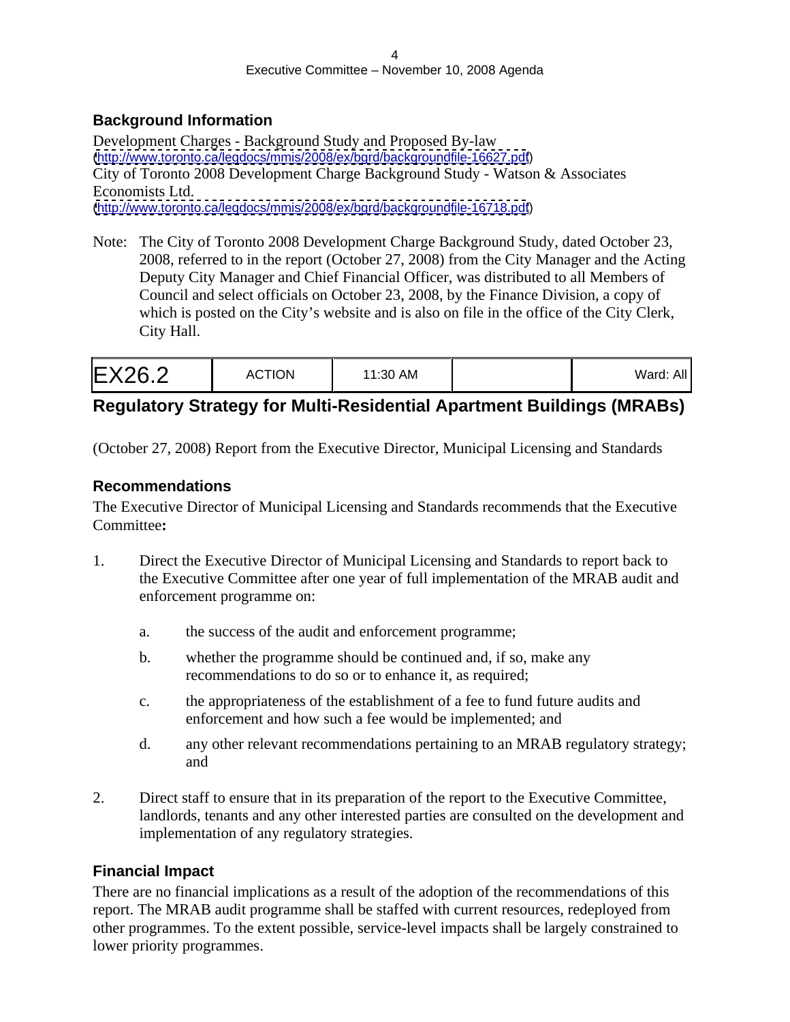#### **Background Information**

Development Charges - Background Study and Proposed By-law [\(http://www.toronto.ca/legdocs/mmis/2008/ex/bgrd/backgroundfile-16627.pdf](http://www.toronto.ca/legdocs/mmis/2008/ex/bgrd/backgroundfile-16627.pdf)) City of Toronto 2008 Development Charge Background Study - Watson & Associates Economists Ltd. [\(http://www.toronto.ca/legdocs/mmis/2008/ex/bgrd/backgroundfile-16718.pdf](http://www.toronto.ca/legdocs/mmis/2008/ex/bgrd/backgroundfile-16718.pdf))

Note: The City of Toronto 2008 Development Charge Background Study, dated October 23, 2008, referred to in the report (October 27, 2008) from the City Manager and the Acting Deputy City Manager and Chief Financial Officer, was distributed to all Members of Council and select officials on October 23, 2008, by the Finance Division, a copy of which is posted on the City's website and is also on file in the office of the City Clerk, City Hall.

# **Regulatory Strategy for Multi-Residential Apartment Buildings (MRABs)**

(October 27, 2008) Report from the Executive Director, Municipal Licensing and Standards

#### **Recommendations**

The Executive Director of Municipal Licensing and Standards recommends that the Executive Committee**:**

- 1. Direct the Executive Director of Municipal Licensing and Standards to report back to the Executive Committee after one year of full implementation of the MRAB audit and enforcement programme on:
	- a. the success of the audit and enforcement programme;
	- b. whether the programme should be continued and, if so, make any recommendations to do so or to enhance it, as required;
	- c. the appropriateness of the establishment of a fee to fund future audits and enforcement and how such a fee would be implemented; and
	- d. any other relevant recommendations pertaining to an MRAB regulatory strategy; and
- 2. Direct staff to ensure that in its preparation of the report to the Executive Committee, landlords, tenants and any other interested parties are consulted on the development and implementation of any regulatory strategies.

#### **Financial Impact**

There are no financial implications as a result of the adoption of the recommendations of this report. The MRAB audit programme shall be staffed with current resources, redeployed from other programmes. To the extent possible, service-level impacts shall be largely constrained to lower priority programmes.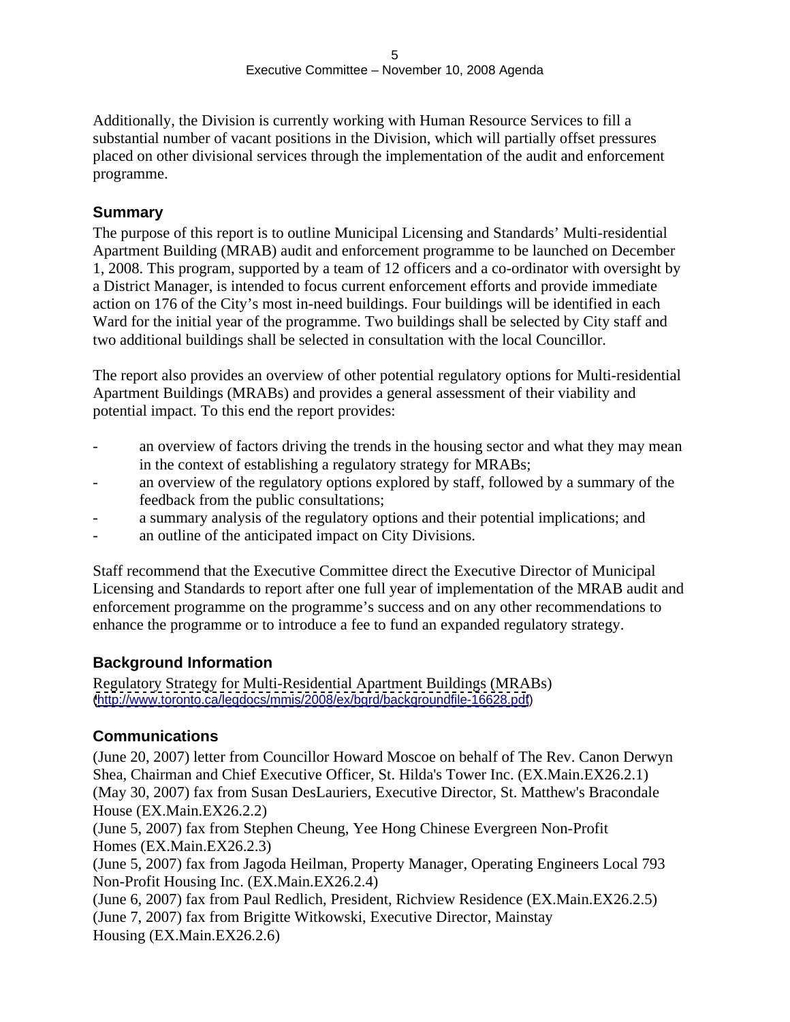Additionally, the Division is currently working with Human Resource Services to fill a substantial number of vacant positions in the Division, which will partially offset pressures placed on other divisional services through the implementation of the audit and enforcement programme.

#### **Summary**

The purpose of this report is to outline Municipal Licensing and Standards' Multi-residential Apartment Building (MRAB) audit and enforcement programme to be launched on December 1, 2008. This program, supported by a team of 12 officers and a co-ordinator with oversight by a District Manager, is intended to focus current enforcement efforts and provide immediate action on 176 of the City's most in-need buildings. Four buildings will be identified in each Ward for the initial year of the programme. Two buildings shall be selected by City staff and two additional buildings shall be selected in consultation with the local Councillor.

The report also provides an overview of other potential regulatory options for Multi-residential Apartment Buildings (MRABs) and provides a general assessment of their viability and potential impact. To this end the report provides:

- an overview of factors driving the trends in the housing sector and what they may mean in the context of establishing a regulatory strategy for MRABs;
- an overview of the regulatory options explored by staff, followed by a summary of the feedback from the public consultations;
- a summary analysis of the regulatory options and their potential implications; and
- an outline of the anticipated impact on City Divisions.

Staff recommend that the Executive Committee direct the Executive Director of Municipal Licensing and Standards to report after one full year of implementation of the MRAB audit and enforcement programme on the programme's success and on any other recommendations to enhance the programme or to introduce a fee to fund an expanded regulatory strategy.

#### **Background Information**

Regulatory Strategy for Multi-Residential Apartment Buildings (MRABs) [\(http://www.toronto.ca/legdocs/mmis/2008/ex/bgrd/backgroundfile-16628.pdf](http://www.toronto.ca/legdocs/mmis/2008/ex/bgrd/backgroundfile-16628.pdf))

#### **Communications**

(June 20, 2007) letter from Councillor Howard Moscoe on behalf of The Rev. Canon Derwyn Shea, Chairman and Chief Executive Officer, St. Hilda's Tower Inc. (EX.Main.EX26.2.1) (May 30, 2007) fax from Susan DesLauriers, Executive Director, St. Matthew's Bracondale House (EX.Main.EX26.2.2)

(June 5, 2007) fax from Stephen Cheung, Yee Hong Chinese Evergreen Non-Profit Homes (EX.Main.EX26.2.3)

(June 5, 2007) fax from Jagoda Heilman, Property Manager, Operating Engineers Local 793 Non-Profit Housing Inc. (EX.Main.EX26.2.4)

(June 6, 2007) fax from Paul Redlich, President, Richview Residence (EX.Main.EX26.2.5) (June 7, 2007) fax from Brigitte Witkowski, Executive Director, Mainstay Housing (EX.Main.EX26.2.6)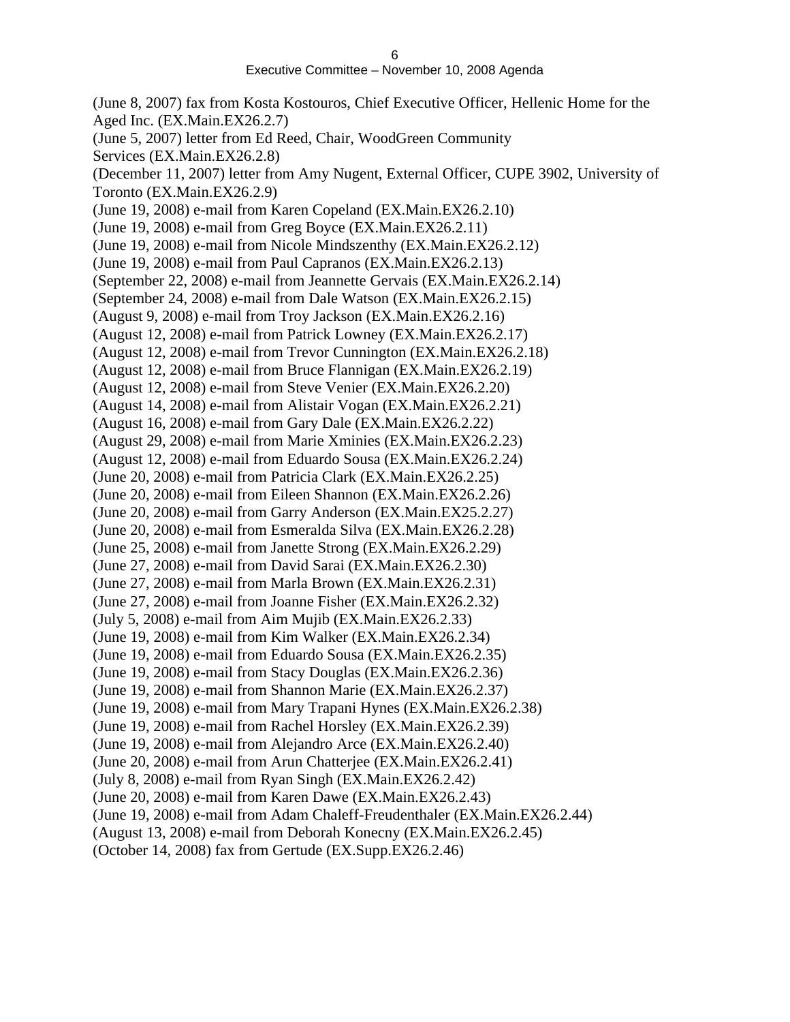(June 8, 2007) fax from Kosta Kostouros, Chief Executive Officer, Hellenic Home for the Aged Inc. (EX.Main.EX26.2.7) (June 5, 2007) letter from Ed Reed, Chair, WoodGreen Community Services (EX.Main.EX26.2.8) (December 11, 2007) letter from Amy Nugent, External Officer, CUPE 3902, University of Toronto (EX.Main.EX26.2.9) (June 19, 2008) e-mail from Karen Copeland (EX.Main.EX26.2.10) (June 19, 2008) e-mail from Greg Boyce (EX.Main.EX26.2.11) (June 19, 2008) e-mail from Nicole Mindszenthy (EX.Main.EX26.2.12) (June 19, 2008) e-mail from Paul Capranos (EX.Main.EX26.2.13) (September 22, 2008) e-mail from Jeannette Gervais (EX.Main.EX26.2.14) (September 24, 2008) e-mail from Dale Watson (EX.Main.EX26.2.15) (August 9, 2008) e-mail from Troy Jackson (EX.Main.EX26.2.16) (August 12, 2008) e-mail from Patrick Lowney (EX.Main.EX26.2.17) (August 12, 2008) e-mail from Trevor Cunnington (EX.Main.EX26.2.18) (August 12, 2008) e-mail from Bruce Flannigan (EX.Main.EX26.2.19) (August 12, 2008) e-mail from Steve Venier (EX.Main.EX26.2.20) (August 14, 2008) e-mail from Alistair Vogan (EX.Main.EX26.2.21) (August 16, 2008) e-mail from Gary Dale (EX.Main.EX26.2.22) (August 29, 2008) e-mail from Marie Xminies (EX.Main.EX26.2.23) (August 12, 2008) e-mail from Eduardo Sousa (EX.Main.EX26.2.24) (June 20, 2008) e-mail from Patricia Clark (EX.Main.EX26.2.25) (June 20, 2008) e-mail from Eileen Shannon (EX.Main.EX26.2.26) (June 20, 2008) e-mail from Garry Anderson (EX.Main.EX25.2.27) (June 20, 2008) e-mail from Esmeralda Silva (EX.Main.EX26.2.28) (June 25, 2008) e-mail from Janette Strong (EX.Main.EX26.2.29) (June 27, 2008) e-mail from David Sarai (EX.Main.EX26.2.30) (June 27, 2008) e-mail from Marla Brown (EX.Main.EX26.2.31) (June 27, 2008) e-mail from Joanne Fisher (EX.Main.EX26.2.32) (July 5, 2008) e-mail from Aim Mujib (EX.Main.EX26.2.33) (June 19, 2008) e-mail from Kim Walker (EX.Main.EX26.2.34) (June 19, 2008) e-mail from Eduardo Sousa (EX.Main.EX26.2.35) (June 19, 2008) e-mail from Stacy Douglas (EX.Main.EX26.2.36) (June 19, 2008) e-mail from Shannon Marie (EX.Main.EX26.2.37) (June 19, 2008) e-mail from Mary Trapani Hynes (EX.Main.EX26.2.38) (June 19, 2008) e-mail from Rachel Horsley (EX.Main.EX26.2.39) (June 19, 2008) e-mail from Alejandro Arce (EX.Main.EX26.2.40) (June 20, 2008) e-mail from Arun Chatterjee (EX.Main.EX26.2.41) (July 8, 2008) e-mail from Ryan Singh (EX.Main.EX26.2.42) (June 20, 2008) e-mail from Karen Dawe (EX.Main.EX26.2.43) (June 19, 2008) e-mail from Adam Chaleff-Freudenthaler (EX.Main.EX26.2.44) (August 13, 2008) e-mail from Deborah Konecny (EX.Main.EX26.2.45)

(October 14, 2008) fax from Gertude (EX.Supp.EX26.2.46)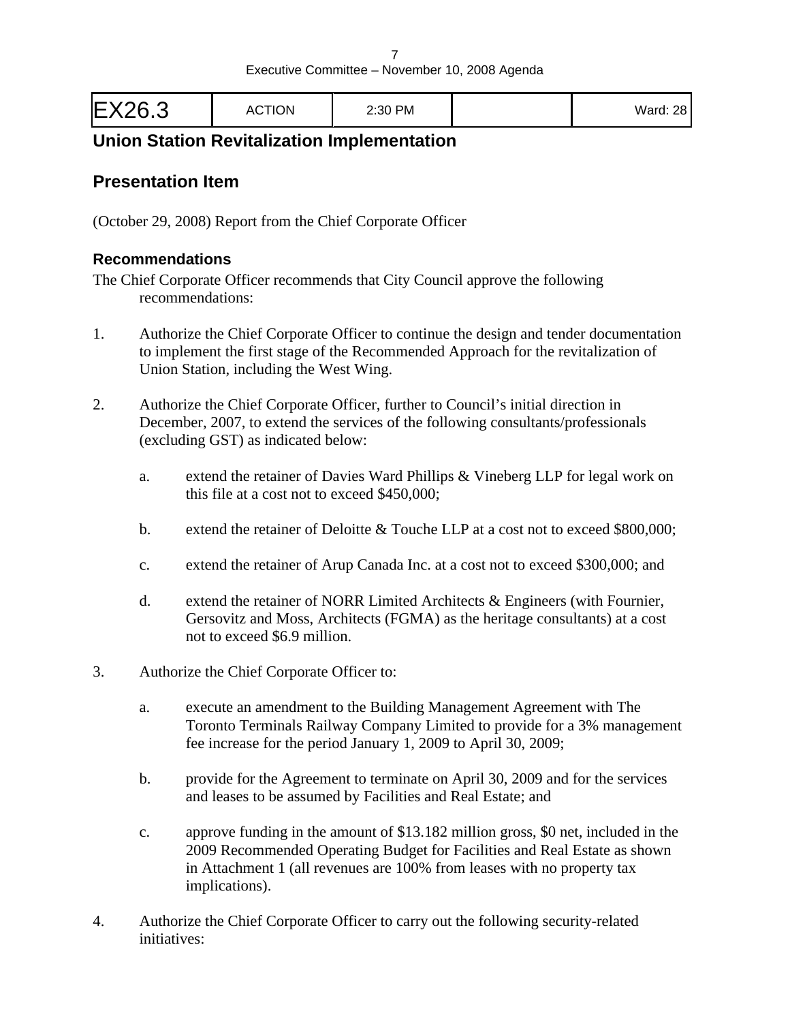| EX26.3<br><b>ACTION</b> | 2:30 PM | <b>Ward: 28</b> |  |  |
|-------------------------|---------|-----------------|--|--|
|-------------------------|---------|-----------------|--|--|

# **Union Station Revitalization Implementation**

#### **Presentation Item**

(October 29, 2008) Report from the Chief Corporate Officer

#### **Recommendations**

The Chief Corporate Officer recommends that City Council approve the following recommendations:

- 1. Authorize the Chief Corporate Officer to continue the design and tender documentation to implement the first stage of the Recommended Approach for the revitalization of Union Station, including the West Wing.
- 2. Authorize the Chief Corporate Officer, further to Council's initial direction in December, 2007, to extend the services of the following consultants/professionals (excluding GST) as indicated below:
	- a. extend the retainer of Davies Ward Phillips & Vineberg LLP for legal work on this file at a cost not to exceed \$450,000;
	- b. extend the retainer of Deloitte & Touche LLP at a cost not to exceed \$800,000;
	- c. extend the retainer of Arup Canada Inc. at a cost not to exceed \$300,000; and
	- d. extend the retainer of NORR Limited Architects & Engineers (with Fournier, Gersovitz and Moss, Architects (FGMA) as the heritage consultants) at a cost not to exceed \$6.9 million.
- 3. Authorize the Chief Corporate Officer to:
	- a. execute an amendment to the Building Management Agreement with The Toronto Terminals Railway Company Limited to provide for a 3% management fee increase for the period January 1, 2009 to April 30, 2009;
	- b. provide for the Agreement to terminate on April 30, 2009 and for the services and leases to be assumed by Facilities and Real Estate; and
	- c. approve funding in the amount of \$13.182 million gross, \$0 net, included in the 2009 Recommended Operating Budget for Facilities and Real Estate as shown in Attachment 1 (all revenues are 100% from leases with no property tax implications).
- 4. Authorize the Chief Corporate Officer to carry out the following security-related initiatives: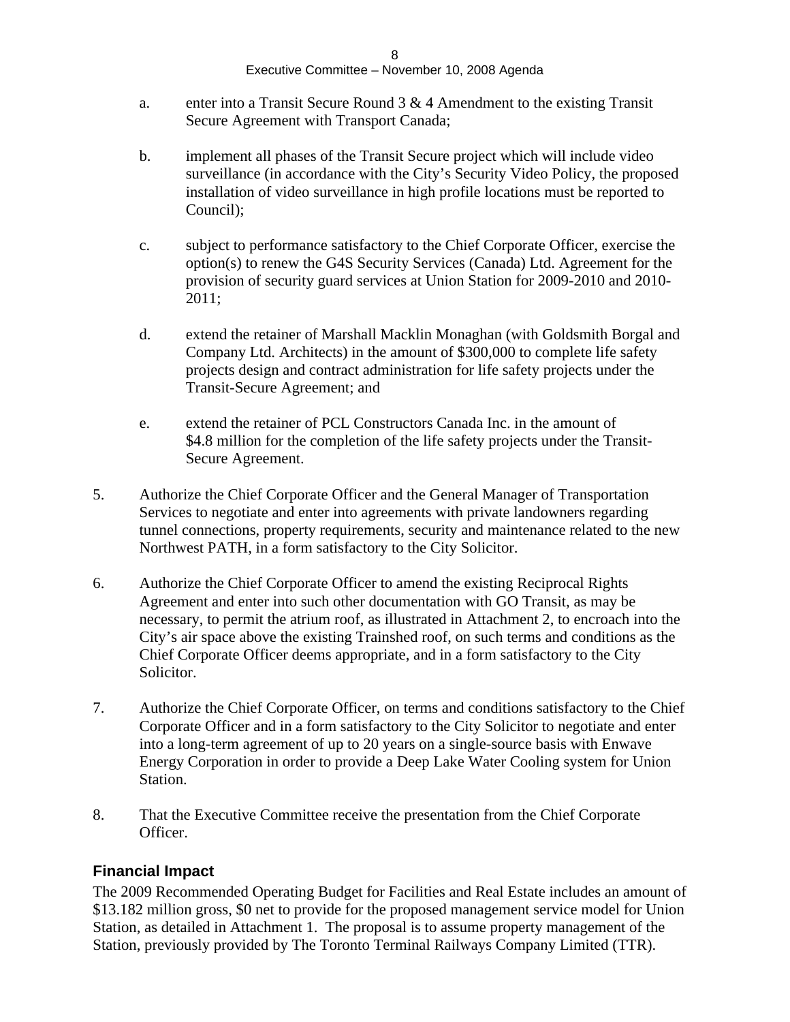- a. enter into a Transit Secure Round  $3 \& 4$  Amendment to the existing Transit Secure Agreement with Transport Canada;
- b. implement all phases of the Transit Secure project which will include video surveillance (in accordance with the City's Security Video Policy, the proposed installation of video surveillance in high profile locations must be reported to Council);
- c. subject to performance satisfactory to the Chief Corporate Officer, exercise the option(s) to renew the G4S Security Services (Canada) Ltd. Agreement for the provision of security guard services at Union Station for 2009-2010 and 2010- 2011;
- d. extend the retainer of Marshall Macklin Monaghan (with Goldsmith Borgal and Company Ltd. Architects) in the amount of \$300,000 to complete life safety projects design and contract administration for life safety projects under the Transit-Secure Agreement; and
- e. extend the retainer of PCL Constructors Canada Inc. in the amount of \$4.8 million for the completion of the life safety projects under the Transit-Secure Agreement.
- 5. Authorize the Chief Corporate Officer and the General Manager of Transportation Services to negotiate and enter into agreements with private landowners regarding tunnel connections, property requirements, security and maintenance related to the new Northwest PATH, in a form satisfactory to the City Solicitor.
- 6. Authorize the Chief Corporate Officer to amend the existing Reciprocal Rights Agreement and enter into such other documentation with GO Transit, as may be necessary, to permit the atrium roof, as illustrated in Attachment 2, to encroach into the City's air space above the existing Trainshed roof, on such terms and conditions as the Chief Corporate Officer deems appropriate, and in a form satisfactory to the City Solicitor.
- 7. Authorize the Chief Corporate Officer, on terms and conditions satisfactory to the Chief Corporate Officer and in a form satisfactory to the City Solicitor to negotiate and enter into a long-term agreement of up to 20 years on a single-source basis with Enwave Energy Corporation in order to provide a Deep Lake Water Cooling system for Union Station.
- 8. That the Executive Committee receive the presentation from the Chief Corporate Officer.

#### **Financial Impact**

The 2009 Recommended Operating Budget for Facilities and Real Estate includes an amount of \$13.182 million gross, \$0 net to provide for the proposed management service model for Union Station, as detailed in Attachment 1. The proposal is to assume property management of the Station, previously provided by The Toronto Terminal Railways Company Limited (TTR).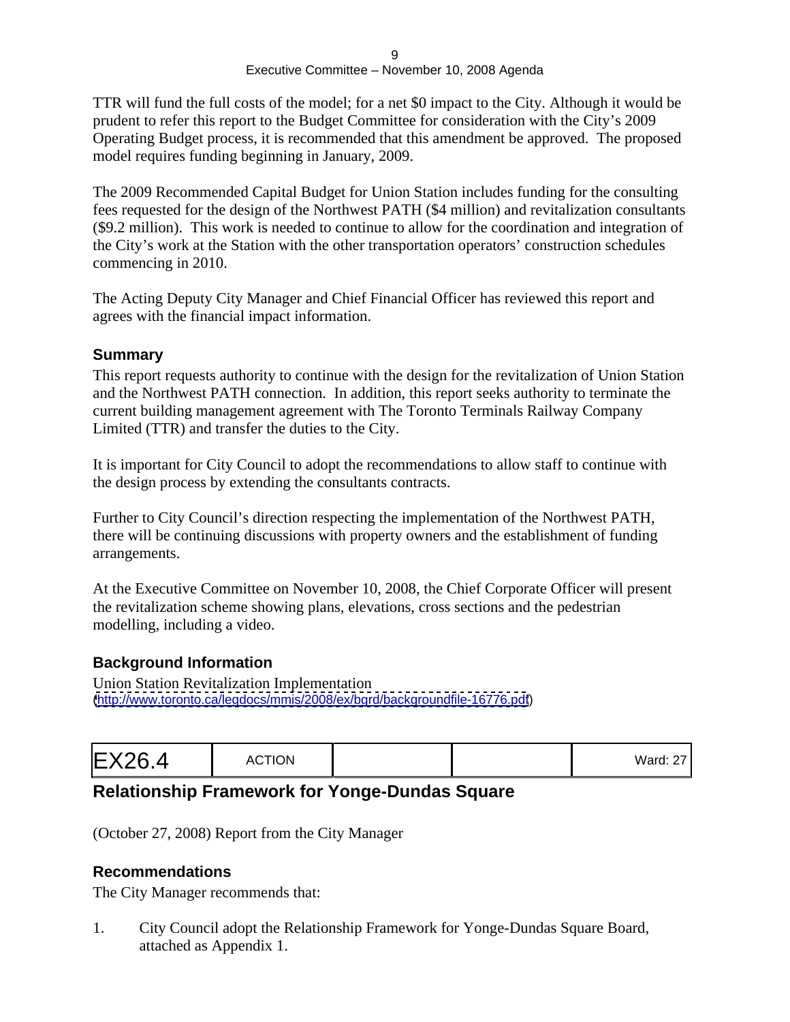TTR will fund the full costs of the model; for a net \$0 impact to the City. Although it would be prudent to refer this report to the Budget Committee for consideration with the City's 2009 Operating Budget process, it is recommended that this amendment be approved. The proposed model requires funding beginning in January, 2009.

The 2009 Recommended Capital Budget for Union Station includes funding for the consulting fees requested for the design of the Northwest PATH (\$4 million) and revitalization consultants (\$9.2 million). This work is needed to continue to allow for the coordination and integration of the City's work at the Station with the other transportation operators' construction schedules commencing in 2010.

The Acting Deputy City Manager and Chief Financial Officer has reviewed this report and agrees with the financial impact information.

#### **Summary**

This report requests authority to continue with the design for the revitalization of Union Station and the Northwest PATH connection. In addition, this report seeks authority to terminate the current building management agreement with The Toronto Terminals Railway Company Limited (TTR) and transfer the duties to the City.

It is important for City Council to adopt the recommendations to allow staff to continue with the design process by extending the consultants contracts.

Further to City Council's direction respecting the implementation of the Northwest PATH, there will be continuing discussions with property owners and the establishment of funding arrangements.

At the Executive Committee on November 10, 2008, the Chief Corporate Officer will present the revitalization scheme showing plans, elevations, cross sections and the pedestrian modelling, including a video.

#### **Background Information**

Union Station Revitalization Implementation [\(http://www.toronto.ca/legdocs/mmis/2008/ex/bgrd/backgroundfile-16776.pdf](http://www.toronto.ca/legdocs/mmis/2008/ex/bgrd/backgroundfile-16776.pdf))

|--|--|--|

# **Relationship Framework for Yonge-Dundas Square**

(October 27, 2008) Report from the City Manager

#### **Recommendations**

The City Manager recommends that:

1. City Council adopt the Relationship Framework for Yonge-Dundas Square Board, attached as Appendix 1.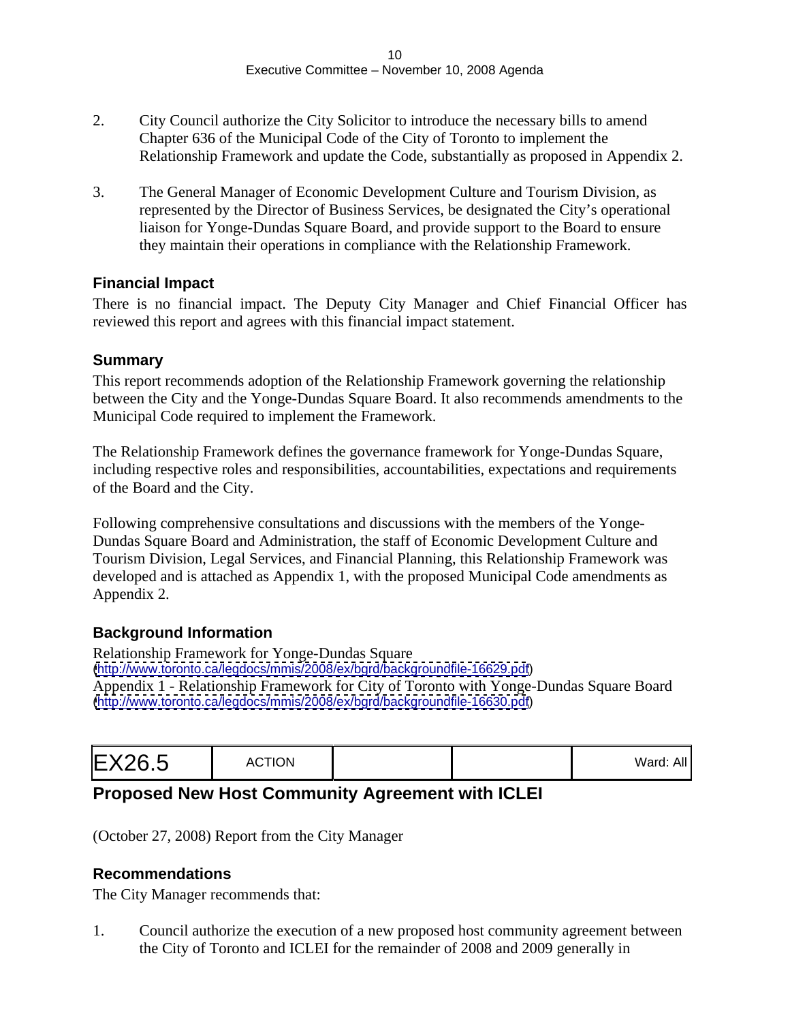- 2. City Council authorize the City Solicitor to introduce the necessary bills to amend Chapter 636 of the Municipal Code of the City of Toronto to implement the Relationship Framework and update the Code, substantially as proposed in Appendix 2.
- 3. The General Manager of Economic Development Culture and Tourism Division, as represented by the Director of Business Services, be designated the City's operational liaison for Yonge-Dundas Square Board, and provide support to the Board to ensure they maintain their operations in compliance with the Relationship Framework.

#### **Financial Impact**

There is no financial impact. The Deputy City Manager and Chief Financial Officer has reviewed this report and agrees with this financial impact statement.

#### **Summary**

This report recommends adoption of the Relationship Framework governing the relationship between the City and the Yonge-Dundas Square Board. It also recommends amendments to the Municipal Code required to implement the Framework.

The Relationship Framework defines the governance framework for Yonge-Dundas Square, including respective roles and responsibilities, accountabilities, expectations and requirements of the Board and the City.

Following comprehensive consultations and discussions with the members of the Yonge- Dundas Square Board and Administration, the staff of Economic Development Culture and Tourism Division, Legal Services, and Financial Planning, this Relationship Framework was developed and is attached as Appendix 1, with the proposed Municipal Code amendments as Appendix 2.

#### **Background Information**

Relationship Framework for Yonge-Dundas Square [\(http://www.toronto.ca/legdocs/mmis/2008/ex/bgrd/backgroundfile-16629.pdf](http://www.toronto.ca/legdocs/mmis/2008/ex/bgrd/backgroundfile-16629.pdf)) Appendix 1 - Relationship Framework for City of Toronto with Yonge-Dundas Square Board [\(http://www.toronto.ca/legdocs/mmis/2008/ex/bgrd/backgroundfile-16630.pdf](http://www.toronto.ca/legdocs/mmis/2008/ex/bgrd/backgroundfile-16630.pdf))

|--|--|--|--|

# **Proposed New Host Community Agreement with ICLEI**

(October 27, 2008) Report from the City Manager

#### **Recommendations**

The City Manager recommends that:

1. Council authorize the execution of a new proposed host community agreement between the City of Toronto and ICLEI for the remainder of 2008 and 2009 generally in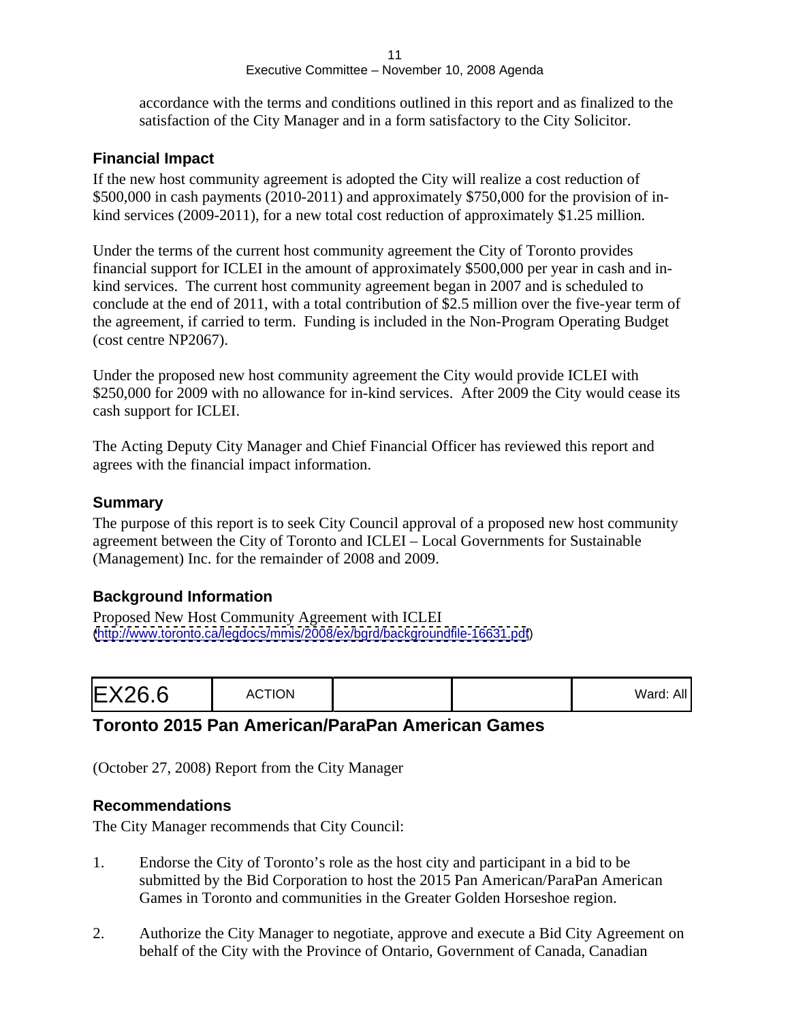accordance with the terms and conditions outlined in this report and as finalized to the satisfaction of the City Manager and in a form satisfactory to the City Solicitor.

#### **Financial Impact**

If the new host community agreement is adopted the City will realize a cost reduction of \$500,000 in cash payments (2010-2011) and approximately \$750,000 for the provision of in kind services (2009-2011), for a new total cost reduction of approximately \$1.25 million.

Under the terms of the current host community agreement the City of Toronto provides financial support for ICLEI in the amount of approximately \$500,000 per year in cash and in kind services. The current host community agreement began in 2007 and is scheduled to conclude at the end of 2011, with a total contribution of \$2.5 million over the five-year term of the agreement, if carried to term. Funding is included in the Non-Program Operating Budget (cost centre NP2067).

Under the proposed new host community agreement the City would provide ICLEI with \$250,000 for 2009 with no allowance for in-kind services. After 2009 the City would cease its cash support for ICLEI.

The Acting Deputy City Manager and Chief Financial Officer has reviewed this report and agrees with the financial impact information.

#### **Summary**

The purpose of this report is to seek City Council approval of a proposed new host community agreement between the City of Toronto and ICLEI – Local Governments for Sustainable (Management) Inc. for the remainder of 2008 and 2009.

#### **Background Information**

Proposed New Host Community Agreement with ICLEI [\(http://www.toronto.ca/legdocs/mmis/2008/ex/bgrd/backgroundfile-16631.pdf](http://www.toronto.ca/legdocs/mmis/2008/ex/bgrd/backgroundfile-16631.pdf))

| valu. All |  |  |
|-----------|--|--|
|-----------|--|--|

# **Toronto 2015 Pan American/ParaPan American Games**

(October 27, 2008) Report from the City Manager

#### **Recommendations**

The City Manager recommends that City Council:

- 1. Endorse the City of Toronto's role as the host city and participant in a bid to be submitted by the Bid Corporation to host the 2015 Pan American/ParaPan American Games in Toronto and communities in the Greater Golden Horseshoe region.
- 2. Authorize the City Manager to negotiate, approve and execute a Bid City Agreement on behalf of the City with the Province of Ontario, Government of Canada, Canadian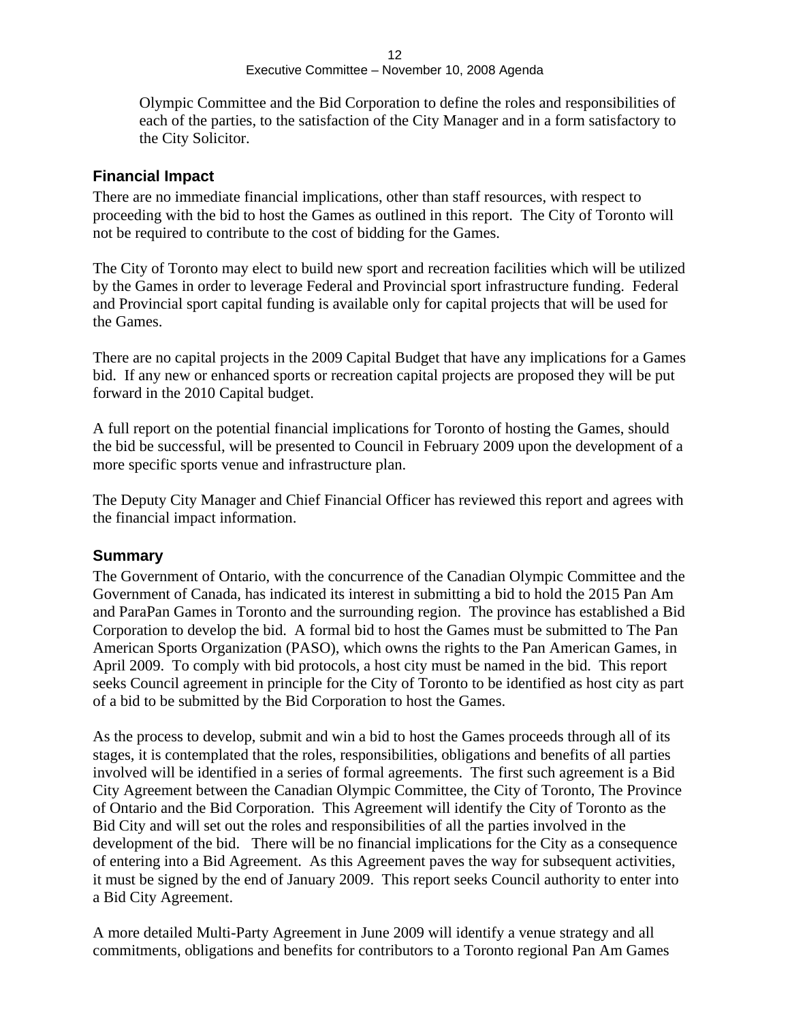Olympic Committee and the Bid Corporation to define the roles and responsibilities of each of the parties, to the satisfaction of the City Manager and in a form satisfactory to the City Solicitor.

#### **Financial Impact**

There are no immediate financial implications, other than staff resources, with respect to proceeding with the bid to host the Games as outlined in this report. The City of Toronto will not be required to contribute to the cost of bidding for the Games.

The City of Toronto may elect to build new sport and recreation facilities which will be utilized by the Games in order to leverage Federal and Provincial sport infrastructure funding. Federal and Provincial sport capital funding is available only for capital projects that will be used for the Games.

There are no capital projects in the 2009 Capital Budget that have any implications for a Games bid. If any new or enhanced sports or recreation capital projects are proposed they will be put forward in the 2010 Capital budget.

A full report on the potential financial implications for Toronto of hosting the Games, should the bid be successful, will be presented to Council in February 2009 upon the development of a more specific sports venue and infrastructure plan.

The Deputy City Manager and Chief Financial Officer has reviewed this report and agrees with the financial impact information.

#### **Summary**

The Government of Ontario, with the concurrence of the Canadian Olympic Committee and the Government of Canada, has indicated its interest in submitting a bid to hold the 2015 Pan Am and ParaPan Games in Toronto and the surrounding region. The province has established a Bid Corporation to develop the bid. A formal bid to host the Games must be submitted to The Pan American Sports Organization (PASO), which owns the rights to the Pan American Games, in April 2009. To comply with bid protocols, a host city must be named in the bid. This report seeks Council agreement in principle for the City of Toronto to be identified as host city as part of a bid to be submitted by the Bid Corporation to host the Games.

As the process to develop, submit and win a bid to host the Games proceeds through all of its stages, it is contemplated that the roles, responsibilities, obligations and benefits of all parties involved will be identified in a series of formal agreements. The first such agreement is a Bid City Agreement between the Canadian Olympic Committee, the City of Toronto, The Province of Ontario and the Bid Corporation. This Agreement will identify the City of Toronto as the Bid City and will set out the roles and responsibilities of all the parties involved in the development of the bid. There will be no financial implications for the City as a consequence of entering into a Bid Agreement. As this Agreement paves the way for subsequent activities, it must be signed by the end of January 2009. This report seeks Council authority to enter into a Bid City Agreement.

A more detailed Multi-Party Agreement in June 2009 will identify a venue strategy and all commitments, obligations and benefits for contributors to a Toronto regional Pan Am Games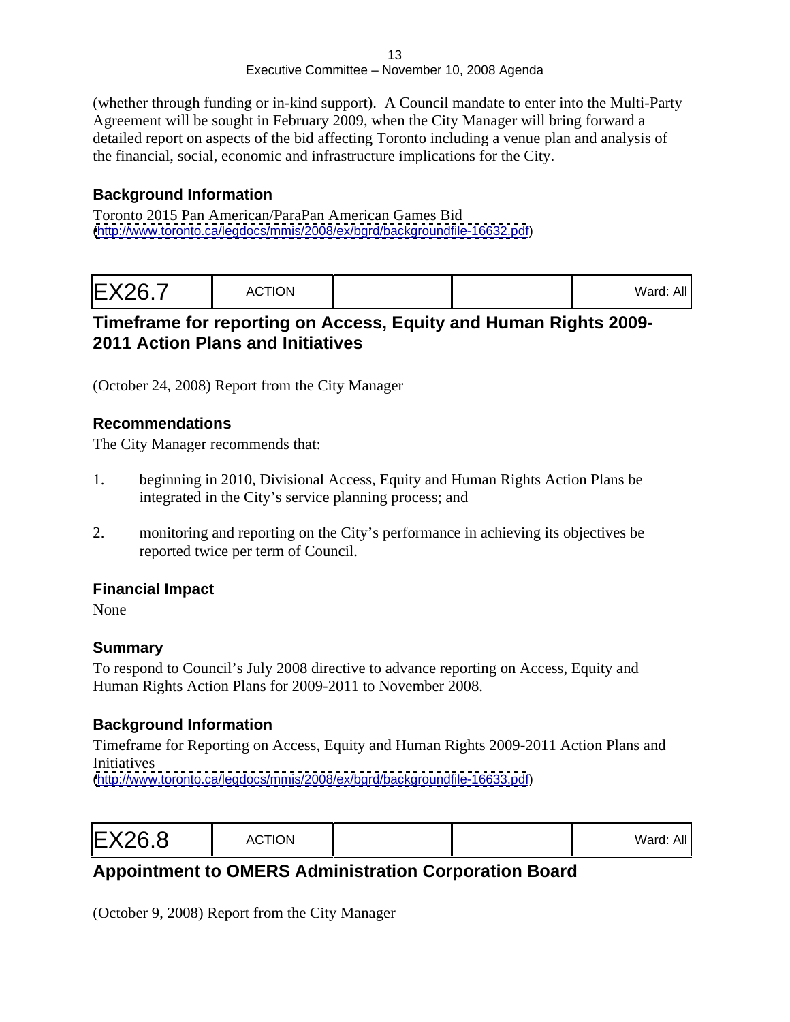(whether through funding or in-kind support). A Council mandate to enter into the Multi-Party Agreement will be sought in February 2009, when the City Manager will bring forward a detailed report on aspects of the bid affecting Toronto including a venue plan and analysis of the financial, social, economic and infrastructure implications for the City.

#### **Background Information**

Toronto 2015 Pan American/ParaPan American Games Bid [\(http://www.toronto.ca/legdocs/mmis/2008/ex/bgrd/backgroundfile-16632.pdf](http://www.toronto.ca/legdocs/mmis/2008/ex/bgrd/backgroundfile-16632.pdf))

| $M$ <sub>2rd</sub> $\cdot$ All |  |
|--------------------------------|--|
|--------------------------------|--|

# **Timeframe for reporting on Access, Equity and Human Rights 2009- 2011 Action Plans and Initiatives**

(October 24, 2008) Report from the City Manager

#### **Recommendations**

The City Manager recommends that:

- 1. beginning in 2010, Divisional Access, Equity and Human Rights Action Plans be integrated in the City's service planning process; and
- 2. monitoring and reporting on the City's performance in achieving its objectives be reported twice per term of Council.

#### **Financial Impact**

None experience that the set of the set of the set of the set of the set of the set of the set of the set of the set of the set of the set of the set of the set of the set of the set of the set of the set of the set of the

#### **Summary**

To respond to Council's July 2008 directive to advance reporting on Access, Equity and Human Rights Action Plans for 2009-2011 to November 2008.

#### **Background Information**

Timeframe for Reporting on Access, Equity and Human Rights 2009-2011 Action Plans and Initiatives

[\(http://www.toronto.ca/legdocs/mmis/2008/ex/bgrd/backgroundfile-16633.pdf](http://www.toronto.ca/legdocs/mmis/2008/ex/bgrd/backgroundfile-16633.pdf))

| $Mord$ $\cdot$ $\wedge$<br>$\mathsf{u}_1 \mathsf{u}_2$ |  |  |  |
|--------------------------------------------------------|--|--|--|
|--------------------------------------------------------|--|--|--|

# **Appointment to OMERS Administration Corporation Board**

(October 9, 2008) Report from the City Manager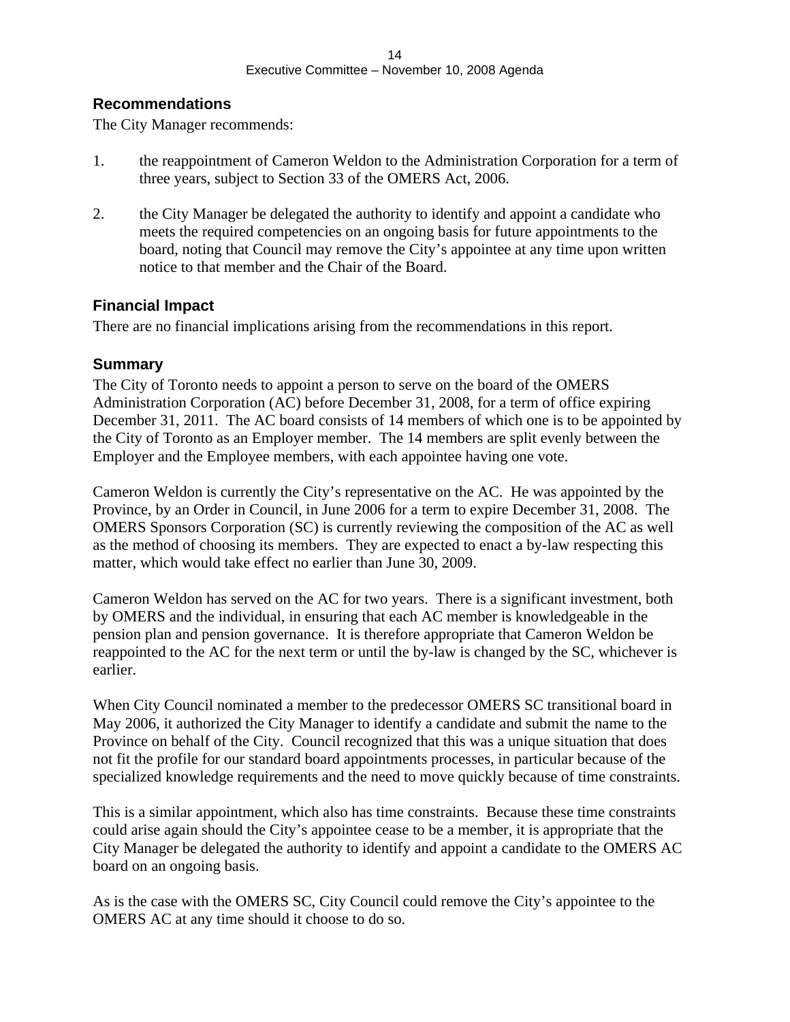#### **Recommendations**

The City Manager recommends:

- 1. the reappointment of Cameron Weldon to the Administration Corporation for a term of three years, subject to Section 33 of the OMERS Act, 2006.
- 2. the City Manager be delegated the authority to identify and appoint a candidate who meets the required competencies on an ongoing basis for future appointments to the board, noting that Council may remove the City's appointee at any time upon written notice to that member and the Chair of the Board.

#### **Financial Impact**

There are no financial implications arising from the recommendations in this report.

#### **Summary**

The City of Toronto needs to appoint a person to serve on the board of the OMERS Administration Corporation (AC) before December 31, 2008, for a term of office expiring December 31, 2011. The AC board consists of 14 members of which one is to be appointed by the City of Toronto as an Employer member. The 14 members are split evenly between the Employer and the Employee members, with each appointee having one vote.

Cameron Weldon is currently the City's representative on the AC. He was appointed by the Province, by an Order in Council, in June 2006 for a term to expire December 31, 2008. The OMERS Sponsors Corporation (SC) is currently reviewing the composition of the AC as well as the method of choosing its members. They are expected to enact a by-law respecting this matter, which would take effect no earlier than June 30, 2009.

Cameron Weldon has served on the AC for two years. There is a significant investment, both by OMERS and the individual, in ensuring that each AC member is knowledgeable in the pension plan and pension governance. It is therefore appropriate that Cameron Weldon be reappointed to the AC for the next term or until the by-law is changed by the SC, whichever is earlier.

When City Council nominated a member to the predecessor OMERS SC transitional board in May 2006, it authorized the City Manager to identify a candidate and submit the name to the Province on behalf of the City. Council recognized that this was a unique situation that does not fit the profile for our standard board appointments processes, in particular because of the specialized knowledge requirements and the need to move quickly because of time constraints.

This is a similar appointment, which also has time constraints. Because these time constraints could arise again should the City's appointee cease to be a member, it is appropriate that the City Manager be delegated the authority to identify and appoint a candidate to the OMERS AC board on an ongoing basis.

As is the case with the OMERS SC, City Council could remove the City's appointee to the OMERS AC at any time should it choose to do so.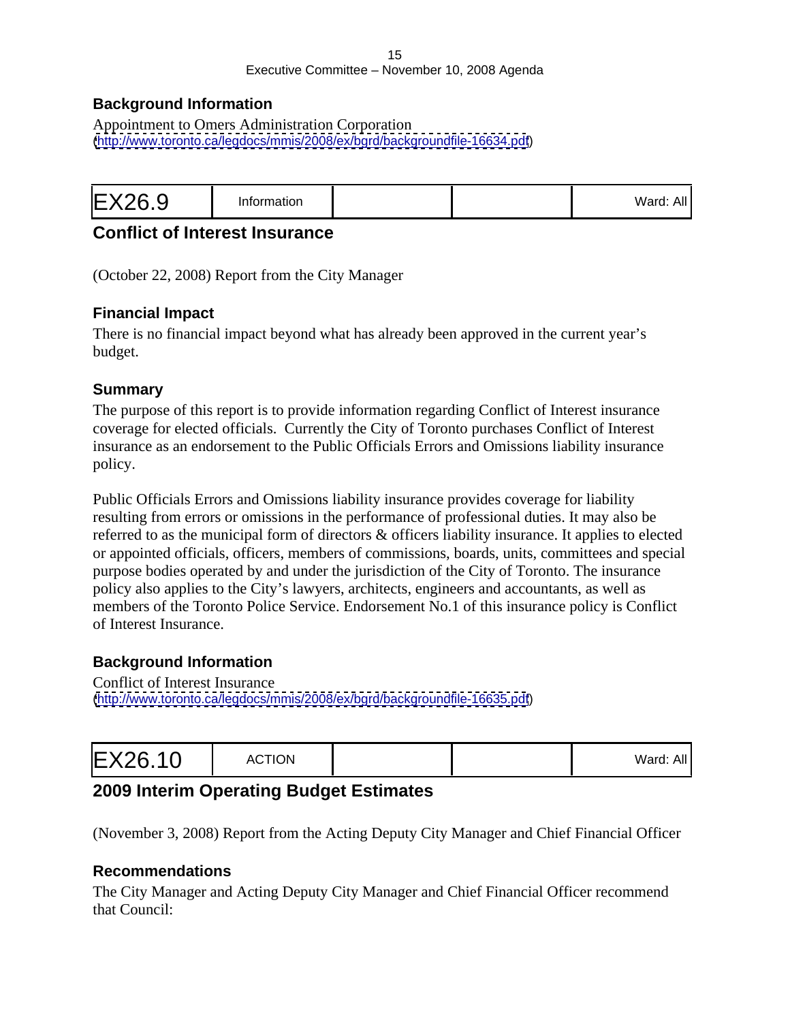#### 15 and the contract of the contract of the contract of the contract of the contract of the contract of the contract of the contract of the contract of the contract of the contract of the contract of the contract of the con Executive Committee – November 10, 2008 Agenda

#### **Background Information**

Appointment to Omers Administration Corporation [\(http://www.toronto.ca/legdocs/mmis/2008/ex/bgrd/backgroundfile-16634.pdf](http://www.toronto.ca/legdocs/mmis/2008/ex/bgrd/backgroundfile-16634.pdf))

|--|--|--|

#### **Conflict of Interest Insurance**

(October 22, 2008) Report from the City Manager

#### **Financial Impact**

There is no financial impact beyond what has already been approved in the current year's budget.

#### **Summary**

The purpose of this report is to provide information regarding Conflict of Interest insurance coverage for elected officials. Currently the City of Toronto purchases Conflict of Interest insurance as an endorsement to the Public Officials Errors and Omissions liability insurance policy. The contract of the contract of the contract of the contract of the contract of the contract of the contract of the contract of the contract of the contract of the contract of the contract of the contract of the co

Public Officials Errors and Omissions liability insurance provides coverage for liability resulting from errors or omissions in the performance of professional duties. It may also be referred to as the municipal form of directors & officers liability insurance. It applies to elected or appointed officials, officers, members of commissions, boards, units, committees and special purpose bodies operated by and under the jurisdiction of the City of Toronto. The insurance policy also applies to the City's lawyers, architects, engineers and accountants, as well as members of the Toronto Police Service. Endorsement No.1 of this insurance policy is Conflict of Interest Insurance.

#### **Background Information**

Conflict of Interest Insurance [\(http://www.toronto.ca/legdocs/mmis/2008/ex/bgrd/backgroundfile-16635.pdf](http://www.toronto.ca/legdocs/mmis/2008/ex/bgrd/backgroundfile-16635.pdf))

| valu. All |  |
|-----------|--|
|-----------|--|

# **2009 Interim Operating Budget Estimates**

(November 3, 2008) Report from the Acting Deputy City Manager and Chief Financial Officer

#### **Recommendations**

The City Manager and Acting Deputy City Manager and Chief Financial Officer recommend that Council: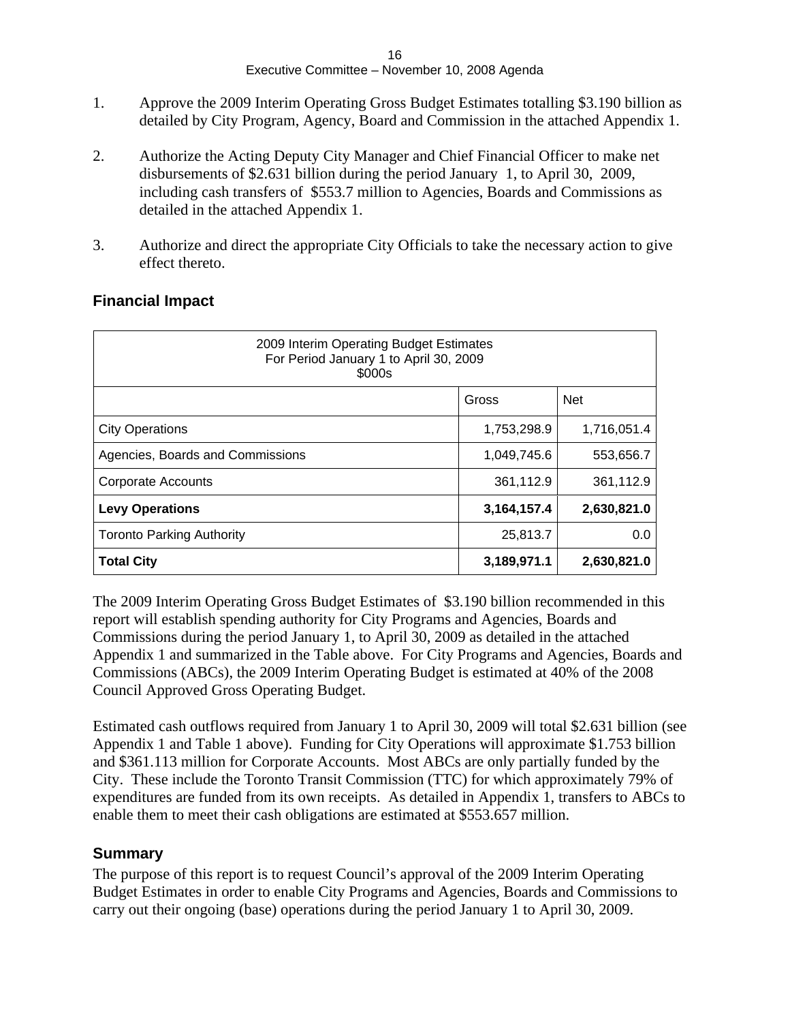- 1. Approve the 2009 Interim Operating Gross Budget Estimates totalling \$3.190 billion as detailed by City Program, Agency, Board and Commission in the attached Appendix 1.
- 2. Authorize the Acting Deputy City Manager and Chief Financial Officer to make net disbursements of \$2.631 billion during the period January 1, to April 30, 2009, including cash transfers of \$553.7 million to Agencies, Boards and Commissions as detailed in the attached Appendix 1.
- 3. Authorize and direct the appropriate City Officials to take the necessary action to give effect thereto.

| 2009 Interim Operating Budget Estimates<br>For Period January 1 to April 30, 2009<br>\$000s |             |             |
|---------------------------------------------------------------------------------------------|-------------|-------------|
|                                                                                             | Gross       | Net         |
| City Operations                                                                             | 1,753,298.9 | 1,716,051.4 |
| Agencies, Boards and Commissions                                                            | 1,049,745.6 | 553,656.7   |
| Corporate Accounts                                                                          | 361,112.9   | 361,112.9   |
| <b>Levy Operations</b>                                                                      | 3,164,157.4 | 2,630,821.0 |
| Toronto Parking Authority                                                                   | 25,813.7    | 0.0         |
| <b>Total City</b>                                                                           | 3,189,971.1 | 2,630,821.0 |

#### **Financial Impact**

The 2009 Interim Operating Gross Budget Estimates of \$3.190 billion recommended in this report will establish spending authority for City Programs and Agencies, Boards and Commissions during the period January 1, to April 30, 2009 as detailed in the attached Appendix 1 and summarized in the Table above. For City Programs and Agencies, Boards and Commissions (ABCs), the 2009 Interim Operating Budget is estimated at 40% of the 2008 Council Approved Gross Operating Budget.

Estimated cash outflows required from January 1 to April 30, 2009 will total \$2.631 billion (see Appendix 1 and Table 1 above). Funding for City Operations will approximate \$1.753 billion and \$361.113 million for Corporate Accounts. Most ABCs are only partially funded by the City. These include the Toronto Transit Commission (TTC) for which approximately 79% of expenditures are funded from its own receipts. As detailed in Appendix 1, transfers to ABCs to enable them to meet their cash obligations are estimated at \$553.657 million.

#### **Summary**

The purpose of this report is to request Council's approval of the 2009 Interim Operating Budget Estimates in order to enable City Programs and Agencies, Boards and Commissions to carry out their ongoing (base) operations during the period January 1 to April 30, 2009.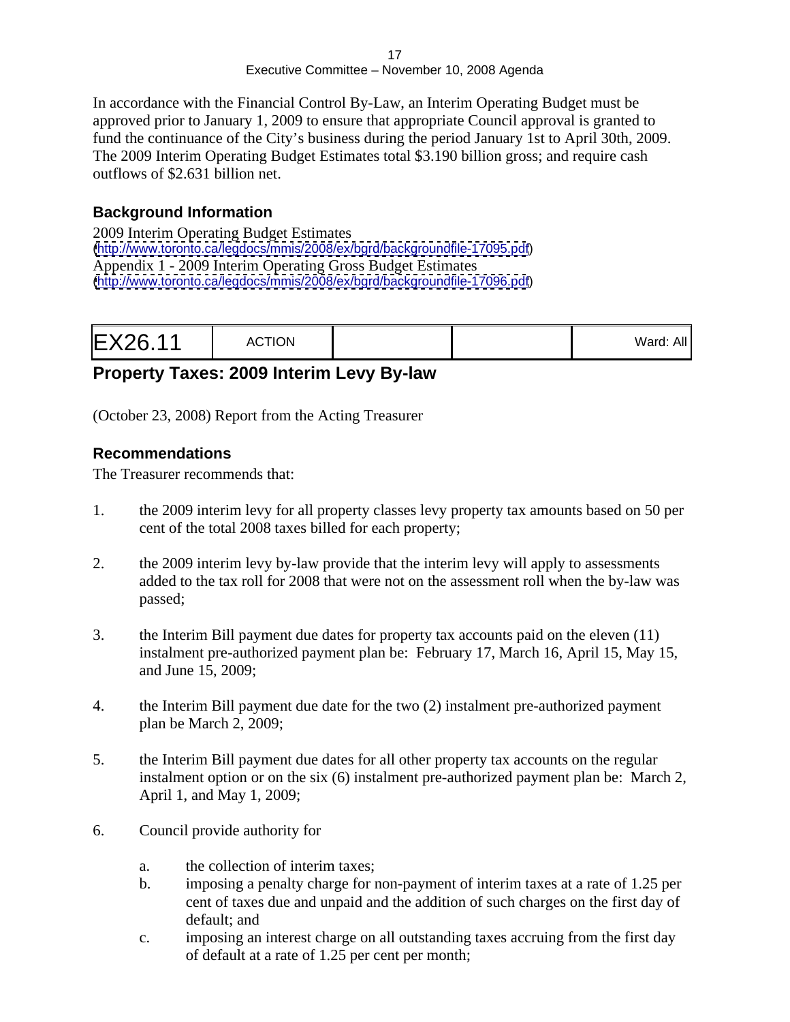In accordance with the Financial Control By-Law, an Interim Operating Budget must be approved prior to January 1, 2009 to ensure that appropriate Council approval is granted to fund the continuance of the City's business during the period January 1st to April 30th, 2009. The 2009 Interim Operating Budget Estimates total \$3.190 billion gross; and require cash outflows of \$2.631 billion net.

#### **Background Information**

2009 Interim Operating Budget Estimates [\(http://www.toronto.ca/legdocs/mmis/2008/ex/bgrd/backgroundfile-17095.pdf](http://www.toronto.ca/legdocs/mmis/2008/ex/bgrd/backgroundfile-17095.pdf)) Appendix 1 - 2009 Interim Operating Gross Budget Estimates [\(http://www.toronto.ca/legdocs/mmis/2008/ex/bgrd/backgroundfile-17096.pdf](http://www.toronto.ca/legdocs/mmis/2008/ex/bgrd/backgroundfile-17096.pdf))

| Ward: All |  |  |  |
|-----------|--|--|--|
|-----------|--|--|--|

# **Property Taxes: 2009 Interim Levy By-law**

(October 23, 2008) Report from the Acting Treasurer

#### **Recommendations**

The Treasurer recommends that:

- 1. the 2009 interim levy for all property classes levy property tax amounts based on 50 per cent of the total 2008 taxes billed for each property;
- 2. the 2009 interim levy by-law provide that the interim levy will apply to assessments added to the tax roll for 2008 that were not on the assessment roll when the by-law was passed; where  $\alpha$  is the contract of  $\alpha$  is the contract of  $\alpha$  in  $\alpha$  is the contract of  $\alpha$  in  $\alpha$  is the contract of  $\alpha$  in  $\alpha$  is the contract of  $\alpha$  is the contract of  $\alpha$  is the contract of  $\alpha$  is the cont
- 3. the Interim Bill payment due dates for property tax accounts paid on the eleven (11) instalment pre-authorized payment plan be: February 17, March 16, April 15, May 15, and June 15, 2009;
- 4. the Interim Bill payment due date for the two (2) instalment pre-authorized payment plan be March 2, 2009;
- 5. the Interim Bill payment due dates for all other property tax accounts on the regular instalment option or on the six (6) instalment pre-authorized payment plan be: March 2, April 1, and May 1, 2009;
- 6. Council provide authority for
	- a. the collection of interim taxes;
	- b. imposing a penalty charge for non-payment of interim taxes at a rate of 1.25 per cent of taxes due and unpaid and the addition of such charges on the first day of default; and the contract of the contract of the contract of the contract of the contract of the contract of the contract of the contract of the contract of the contract of the contract of the contract of the contract of t
	- c. imposing an interest charge on all outstanding taxes accruing from the first day of default at a rate of 1.25 per cent per month;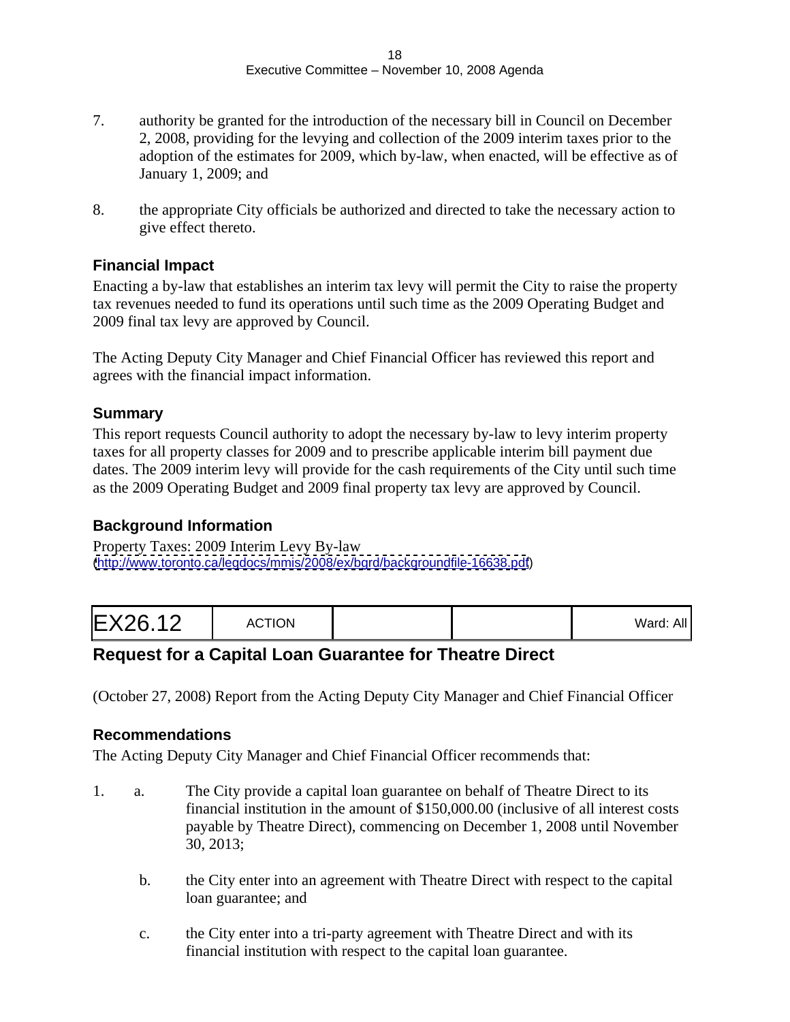- 7. authority be granted for the introduction of the necessary bill in Council on December 2, 2008, providing for the levying and collection of the 2009 interim taxes prior to the adoption of the estimates for 2009, which by-law, when enacted, will be effective as of January 1, 2009; and
- 8. the appropriate City officials be authorized and directed to take the necessary action to give effect thereto.

#### **Financial Impact**

Enacting a by-law that establishes an interim tax levy will permit the City to raise the property tax revenues needed to fund its operations until such time as the 2009 Operating Budget and 2009 final tax levy are approved by Council.

The Acting Deputy City Manager and Chief Financial Officer has reviewed this report and agrees with the financial impact information.

#### **Summary**

This report requests Council authority to adopt the necessary by-law to levy interim property taxes for all property classes for 2009 and to prescribe applicable interim bill payment due dates. The 2009 interim levy will provide for the cash requirements of the City until such time as the 2009 Operating Budget and 2009 final property tax levy are approved by Council.

#### **Background Information**

Property Taxes: 2009 Interim Levy By-law [\(http://www.toronto.ca/legdocs/mmis/2008/ex/bgrd/backgroundfile-16638.pdf](http://www.toronto.ca/legdocs/mmis/2008/ex/bgrd/backgroundfile-16638.pdf))

|--|--|

# **Request for a Capital Loan Guarantee for Theatre Direct**

(October 27, 2008) Report from the Acting Deputy City Manager and Chief Financial Officer

#### **Recommendations**

The Acting Deputy City Manager and Chief Financial Officer recommends that:

- 1. a. The City provide a capital loan guarantee on behalf of Theatre Direct to its financial institution in the amount of \$150,000.00 (inclusive of all interest costs payable by Theatre Direct), commencing on December 1, 2008 until November 30, 2013;
	- b. the City enter into an agreement with Theatre Direct with respect to the capital loan guarantee; and
	- c. the City enter into a tri-party agreement with Theatre Direct and with its financial institution with respect to the capital loan guarantee.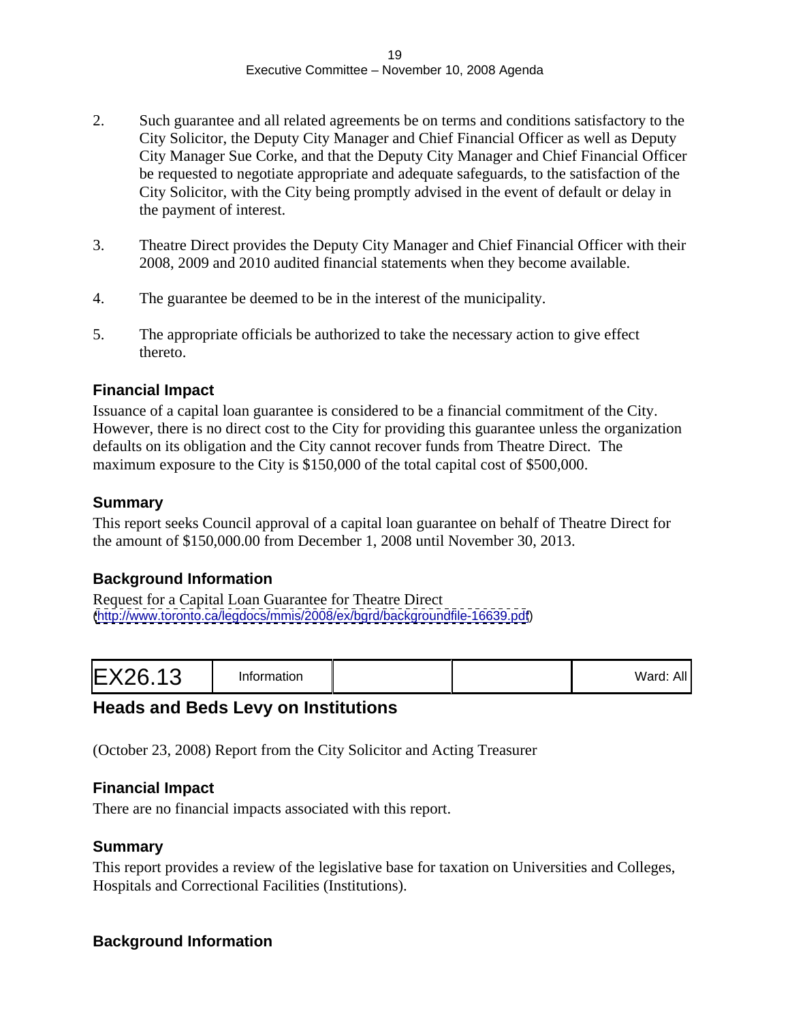- 2. Such guarantee and all related agreements be on terms and conditions satisfactory to the City Solicitor, the Deputy City Manager and Chief Financial Officer as well as Deputy City Manager Sue Corke, and that the Deputy City Manager and Chief Financial Officer be requested to negotiate appropriate and adequate safeguards, to the satisfaction of the City Solicitor, with the City being promptly advised in the event of default or delay in the payment of interest.
- 3. Theatre Direct provides the Deputy City Manager and Chief Financial Officer with their 2008, 2009 and 2010 audited financial statements when they become available.
- 4. The guarantee be deemed to be in the interest of the municipality.
- 5. The appropriate officials be authorized to take the necessary action to give effect thereto.

#### **Financial Impact**

Issuance of a capital loan guarantee is considered to be a financial commitment of the City. However, there is no direct cost to the City for providing this guarantee unless the organization defaults on its obligation and the City cannot recover funds from Theatre Direct. The maximum exposure to the City is \$150,000 of the total capital cost of \$500,000.

#### **Summary**

This report seeks Council approval of a capital loan guarantee on behalf of Theatre Direct for the amount of \$150,000.00 from December 1, 2008 until November 30, 2013.

#### **Background Information**

Request for a Capital Loan Guarantee for Theatre Direct [\(http://www.toronto.ca/legdocs/mmis/2008/ex/bgrd/backgroundfile-16639.pdf](http://www.toronto.ca/legdocs/mmis/2008/ex/bgrd/backgroundfile-16639.pdf))

|--|--|--|--|--|

#### **Heads and Beds Levy on Institutions**

(October 23, 2008) Report from the City Solicitor and Acting Treasurer

#### **Financial Impact**

There are no financial impacts associated with this report.

#### **Summary**

This report provides a review of the legislative base for taxation on Universities and Colleges, Hospitals and Correctional Facilities (Institutions).

#### **Background Information**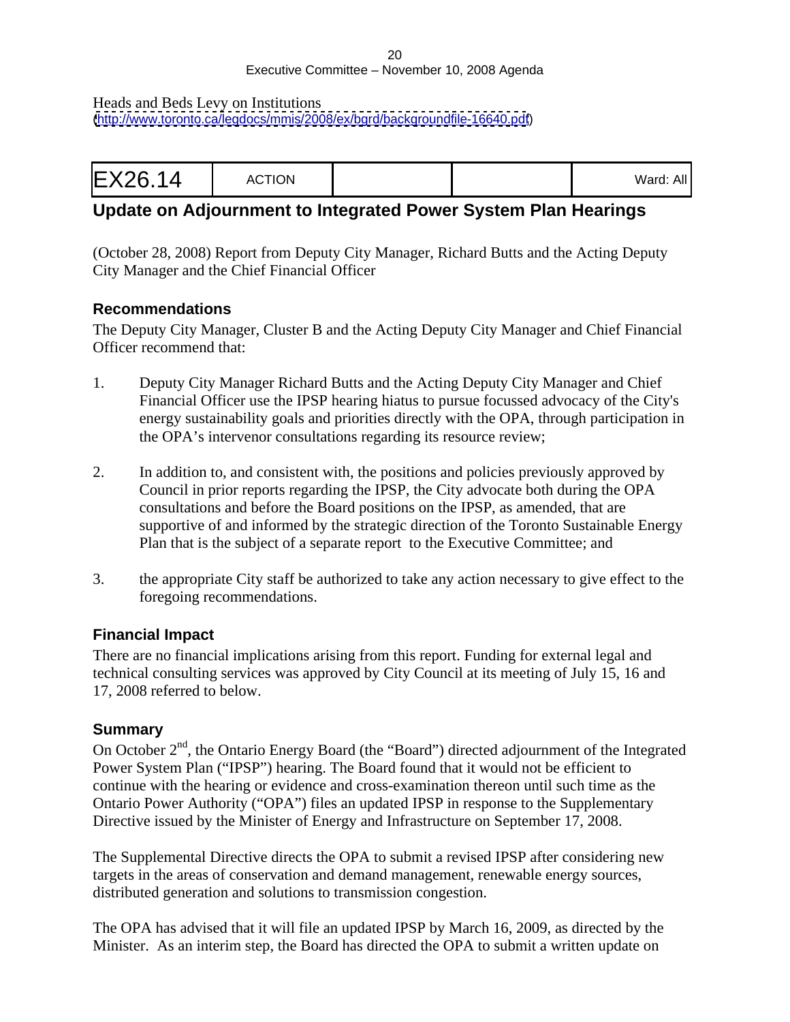Heads and Beds Levy on Institutions [\(http://www.toronto.ca/legdocs/mmis/2008/ex/bgrd/backgroundfile-16640.pdf](http://www.toronto.ca/legdocs/mmis/2008/ex/bgrd/backgroundfile-16640.pdf))

|--|--|

# **Update on Adjournment to Integrated Power System Plan Hearings**

(October 28, 2008) Report from Deputy City Manager, Richard Butts and the Acting Deputy City Manager and the Chief Financial Officer

#### **Recommendations**

The Deputy City Manager, Cluster B and the Acting Deputy City Manager and Chief Financial Officer recommend that:

- 1. Deputy City Manager Richard Butts and the Acting Deputy City Manager and Chief Financial Officer use the IPSP hearing hiatus to pursue focussed advocacy of the City's energy sustainability goals and priorities directly with the OPA, through participation in the OPA's intervenor consultations regarding its resource review;
- 2. In addition to, and consistent with, the positions and policies previously approved by Council in prior reports regarding the IPSP, the City advocate both during the OPA consultations and before the Board positions on the IPSP, as amended, that are supportive of and informed by the strategic direction of the Toronto Sustainable Energy Plan that is the subject of a separate report to the Executive Committee; and
- 3. the appropriate City staff be authorized to take any action necessary to give effect to the foregoing recommendations.

#### **Financial Impact**

There are no financial implications arising from this report. Funding for external legal and technical consulting services was approved by City Council at its meeting of July 15, 16 and 17, 2008 referred to below.

#### **Summary**

On October  $2<sup>nd</sup>$ , the Ontario Energy Board (the "Board") directed adjournment of the Integrated Power System Plan ("IPSP") hearing. The Board found that it would not be efficient to continue with the hearing or evidence and cross-examination thereon until such time as the Ontario Power Authority ("OPA") files an updated IPSP in response to the Supplementary Directive issued by the Minister of Energy and Infrastructure on September 17, 2008.

The Supplemental Directive directs the OPA to submit a revised IPSP after considering new targets in the areas of conservation and demand management, renewable energy sources, distributed generation and solutions to transmission congestion.

The OPA has advised that it will file an updated IPSP by March 16, 2009, as directed by the Minister. As an interim step, the Board has directed the OPA to submit a written update on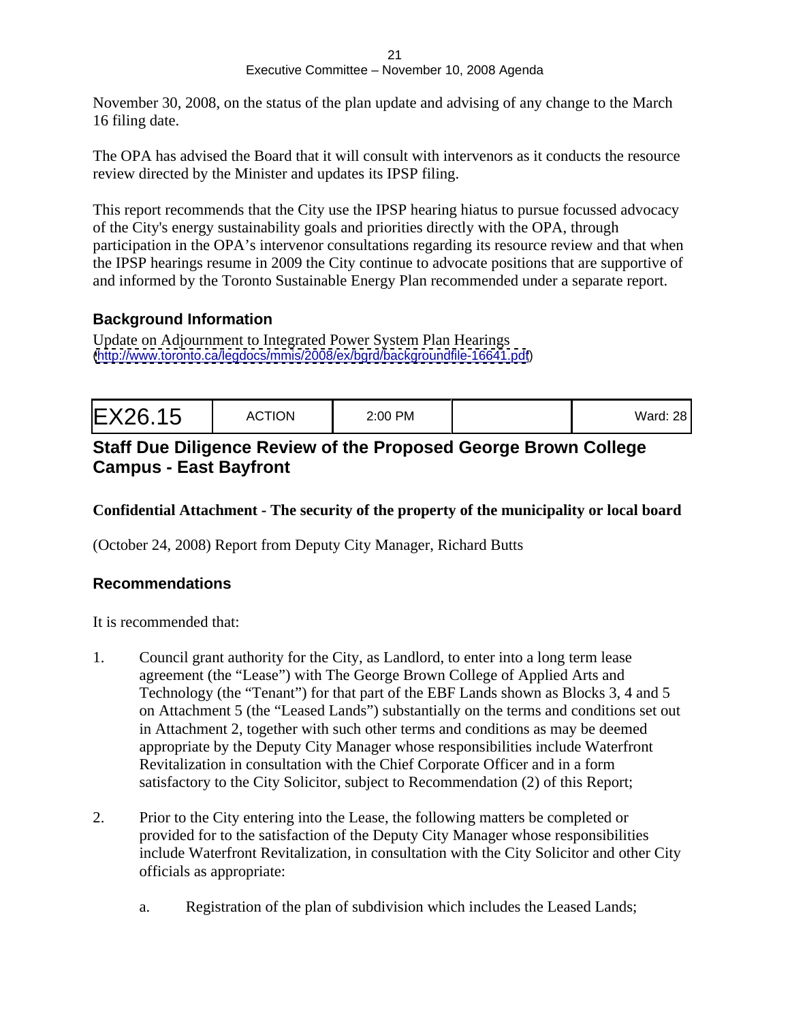November 30, 2008, on the status of the plan update and advising of any change to the March 16 filing date.

The OPA has advised the Board that it will consult with intervenors as it conducts the resource review directed by the Minister and updates its IPSP filing.

This report recommends that the City use the IPSP hearing hiatus to pursue focussed advocacy of the City's energy sustainability goals and priorities directly with the OPA, through participation in the OPA's intervenor consultations regarding its resource review and that when the IPSP hearings resume in 2009 the City continue to advocate positions that are supportive of and informed by the Toronto Sustainable Energy Plan recommended under a separate report.

#### **Background Information**

Update on Adjournment to Integrated Power System Plan Hearings [\(http://www.toronto.ca/legdocs/mmis/2008/ex/bgrd/backgroundfile-16641.pdf](http://www.toronto.ca/legdocs/mmis/2008/ex/bgrd/backgroundfile-16641.pdf))

#### **Staff Due Diligence Review of the Proposed George Brown College Campus - East Bayfront**

#### **Confidential Attachment - The security of the property of the municipality or local board**

(October 24, 2008) Report from Deputy City Manager, Richard Butts

#### **Recommendations**

It is recommended that:

- 1. Council grant authority for the City, as Landlord, to enter into a long term lease agreement (the "Lease") with The George Brown College of Applied Arts and Technology (the "Tenant") for that part of the EBF Lands shown as Blocks 3, 4 and 5 on Attachment 5 (the "Leased Lands") substantially on the terms and conditions set out in Attachment 2, together with such other terms and conditions as may be deemed appropriate by the Deputy City Manager whose responsibilities include Waterfront Revitalization in consultation with the Chief Corporate Officer and in a form satisfactory to the City Solicitor, subject to Recommendation (2) of this Report;
- 2. Prior to the City entering into the Lease, the following matters be completed or provided for to the satisfaction of the Deputy City Manager whose responsibilities include Waterfront Revitalization, in consultation with the City Solicitor and other City officials as appropriate:
	- a. Registration of the plan of subdivision which includes the Leased Lands;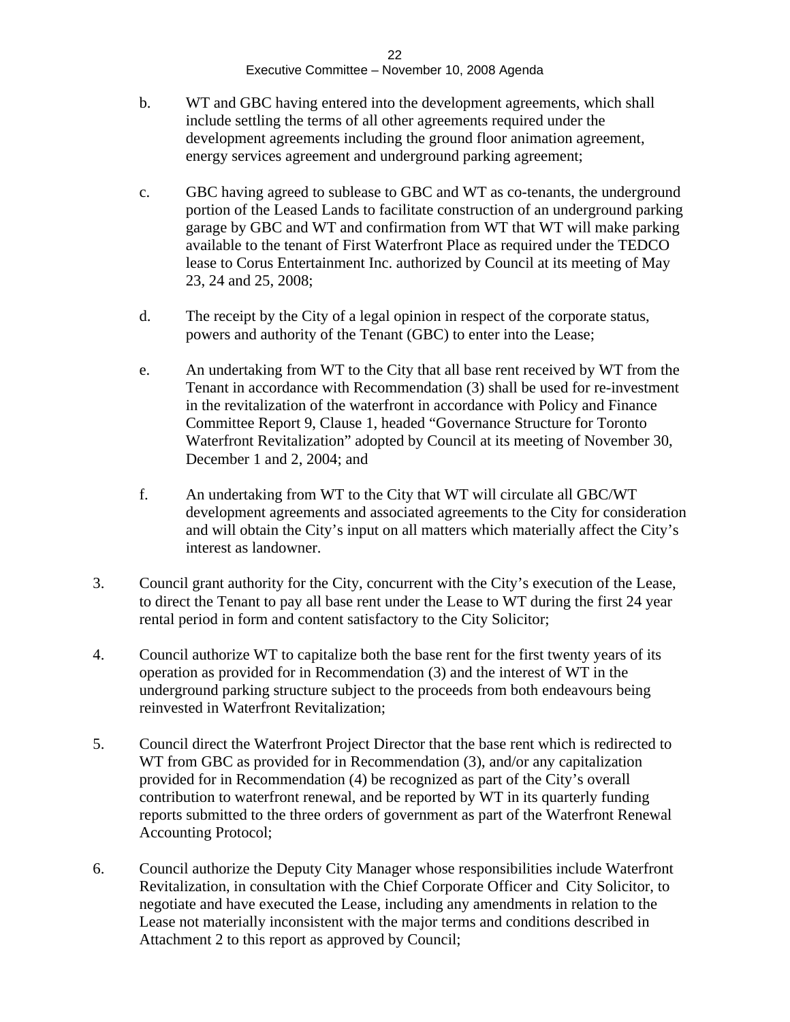- b. WT and GBC having entered into the development agreements, which shall include settling the terms of all other agreements required under the development agreements including the ground floor animation agreement, energy services agreement and underground parking agreement;
- c. GBC having agreed to sublease to GBC and WT as co-tenants, the underground portion of the Leased Lands to facilitate construction of an underground parking garage by GBC and WT and confirmation from WT that WT will make parking available to the tenant of First Waterfront Place as required under the TEDCO lease to Corus Entertainment Inc. authorized by Council at its meeting of May 23, 24 and 25, 2008;
- d. The receipt by the City of a legal opinion in respect of the corporate status, powers and authority of the Tenant (GBC) to enter into the Lease;
- e. An undertaking from WT to the City that all base rent received by WT from the Tenant in accordance with Recommendation (3) shall be used for re-investment in the revitalization of the waterfront in accordance with Policy and Finance Committee Report 9, Clause 1, headed "Governance Structure for Toronto Waterfront Revitalization" adopted by Council at its meeting of November 30, December 1 and 2, 2004; and
- f. An undertaking from WT to the City that WT will circulate all GBC/WT development agreements and associated agreements to the City for consideration and will obtain the City's input on all matters which materially affect the City's interest as landowner.
- 3. Council grant authority for the City, concurrent with the City's execution of the Lease, to direct the Tenant to pay all base rent under the Lease to WT during the first 24 year rental period in form and content satisfactory to the City Solicitor;
- 4. Council authorize WT to capitalize both the base rent for the first twenty years of its operation as provided for in Recommendation (3) and the interest of WT in the underground parking structure subject to the proceeds from both endeavours being reinvested in Waterfront Revitalization;
- 5. Council direct the Waterfront Project Director that the base rent which is redirected to WT from GBC as provided for in Recommendation (3), and/or any capitalization provided for in Recommendation (4) be recognized as part of the City's overall contribution to waterfront renewal, and be reported by WT in its quarterly funding reports submitted to the three orders of government as part of the Waterfront Renewal Accounting Protocol;
- 6. Council authorize the Deputy City Manager whose responsibilities include Waterfront Revitalization, in consultation with the Chief Corporate Officer and City Solicitor, to negotiate and have executed the Lease, including any amendments in relation to the Lease not materially inconsistent with the major terms and conditions described in Attachment 2 to this report as approved by Council;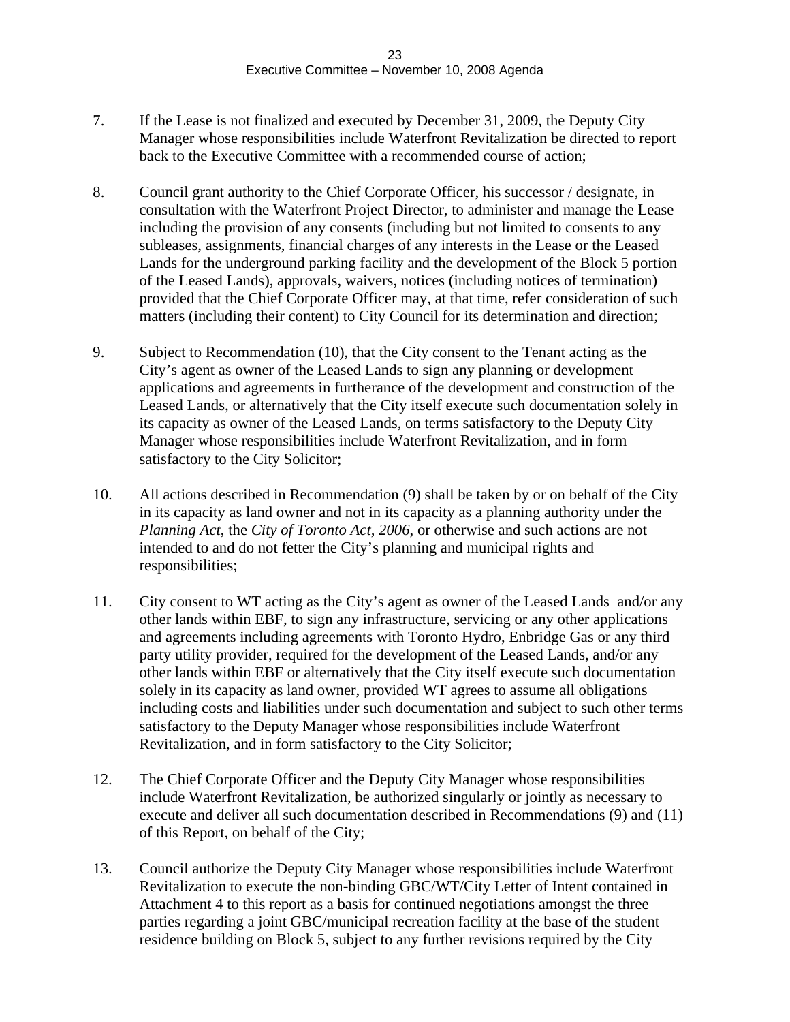- 7. If the Lease is not finalized and executed by December 31, 2009, the Deputy City Manager whose responsibilities include Waterfront Revitalization be directed to report back to the Executive Committee with a recommended course of action;
- 8. Council grant authority to the Chief Corporate Officer, his successor / designate, in consultation with the Waterfront Project Director, to administer and manage the Lease including the provision of any consents (including but not limited to consents to any subleases, assignments, financial charges of any interests in the Lease or the Leased Lands for the underground parking facility and the development of the Block 5 portion of the Leased Lands), approvals, waivers, notices (including notices of termination) provided that the Chief Corporate Officer may, at that time, refer consideration of such matters (including their content) to City Council for its determination and direction;
- 9. Subject to Recommendation (10), that the City consent to the Tenant acting as the City's agent as owner of the Leased Lands to sign any planning or development applications and agreements in furtherance of the development and construction of the Leased Lands, or alternatively that the City itself execute such documentation solely in its capacity as owner of the Leased Lands, on terms satisfactory to the Deputy City Manager whose responsibilities include Waterfront Revitalization, and in form satisfactory to the City Solicitor;
- 10. All actions described in Recommendation (9) shall be taken by or on behalf of the City in its capacity as land owner and not in its capacity as a planning authority under the *Planning Act*, the *City of Toronto Act, 2006*, or otherwise and such actions are not intended to and do not fetter the City's planning and municipal rights and responsibilities;
- 11. City consent to WT acting as the City's agent as owner of the Leased Lands and/or any other lands within EBF, to sign any infrastructure, servicing or any other applications and agreements including agreements with Toronto Hydro, Enbridge Gas or any third party utility provider, required for the development of the Leased Lands, and/or any other lands within EBF or alternatively that the City itself execute such documentation solely in its capacity as land owner, provided WT agrees to assume all obligations including costs and liabilities under such documentation and subject to such other terms satisfactory to the Deputy Manager whose responsibilities include Waterfront Revitalization, and in form satisfactory to the City Solicitor;
- 12. The Chief Corporate Officer and the Deputy City Manager whose responsibilities include Waterfront Revitalization, be authorized singularly or jointly as necessary to execute and deliver all such documentation described in Recommendations (9) and (11) of this Report, on behalf of the City;
- 13. Council authorize the Deputy City Manager whose responsibilities include Waterfront Revitalization to execute the non-binding GBC/WT/City Letter of Intent contained in Attachment 4 to this report as a basis for continued negotiations amongst the three parties regarding a joint GBC/municipal recreation facility at the base of the student residence building on Block 5, subject to any further revisions required by the City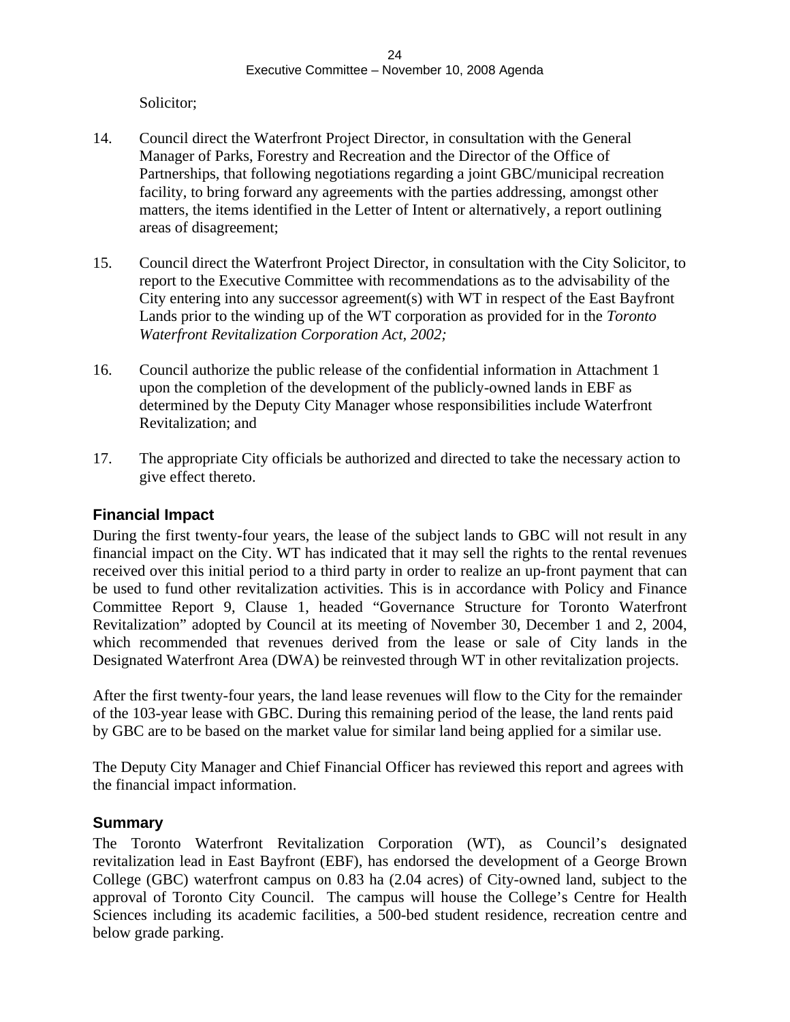Solicitor; and the set of the set of the set of the set of the set of the set of the set of the set of the set of the set of the set of the set of the set of the set of the set of the set of the set of the set of the set o

- 14. Council direct the Waterfront Project Director, in consultation with the General Manager of Parks, Forestry and Recreation and the Director of the Office of Partnerships, that following negotiations regarding a joint GBC/municipal recreation facility, to bring forward any agreements with the parties addressing, amongst other matters, the items identified in the Letter of Intent or alternatively, a report outlining areas of disagreement;
- 15. Council direct the Waterfront Project Director, in consultation with the City Solicitor, to report to the Executive Committee with recommendations as to the advisability of the City entering into any successor agreement(s) with WT in respect of the East Bayfront Lands prior to the winding up of the WT corporation as provided for in the *Toronto Waterfront Revitalization Corporation Act, 2002;*
- 16. Council authorize the public release of the confidential information in Attachment 1 upon the completion of the development of the publicly-owned lands in EBF as determined by the Deputy City Manager whose responsibilities include Waterfront Revitalization; and
- 17. The appropriate City officials be authorized and directed to take the necessary action to give effect thereto.

#### **Financial Impact**

During the first twenty-four years, the lease of the subject lands to GBC will not result in any financial impact on the City. WT has indicated that it may sell the rights to the rental revenues received over this initial period to a third party in order to realize an up-front payment that can be used to fund other revitalization activities. This is in accordance with Policy and Finance Committee Report 9, Clause 1, headed "Governance Structure for Toronto Waterfront Revitalization" adopted by Council at its meeting of November 30, December 1 and 2, 2004, which recommended that revenues derived from the lease or sale of City lands in the Designated Waterfront Area (DWA) be reinvested through WT in other revitalization projects.

After the first twenty-four years, the land lease revenues will flow to the City for the remainder of the 103-year lease with GBC. During this remaining period of the lease, the land rents paid by GBC are to be based on the market value for similar land being applied for a similar use.

The Deputy City Manager and Chief Financial Officer has reviewed this report and agrees with the financial impact information.

#### **Summary**

The Toronto Waterfront Revitalization Corporation (WT), as Council's designated revitalization lead in East Bayfront (EBF), has endorsed the development of a George Brown College (GBC) waterfront campus on 0.83 ha (2.04 acres) of City-owned land, subject to the approval of Toronto City Council. The campus will house the College's Centre for Health Sciences including its academic facilities, a 500-bed student residence, recreation centre and below grade parking.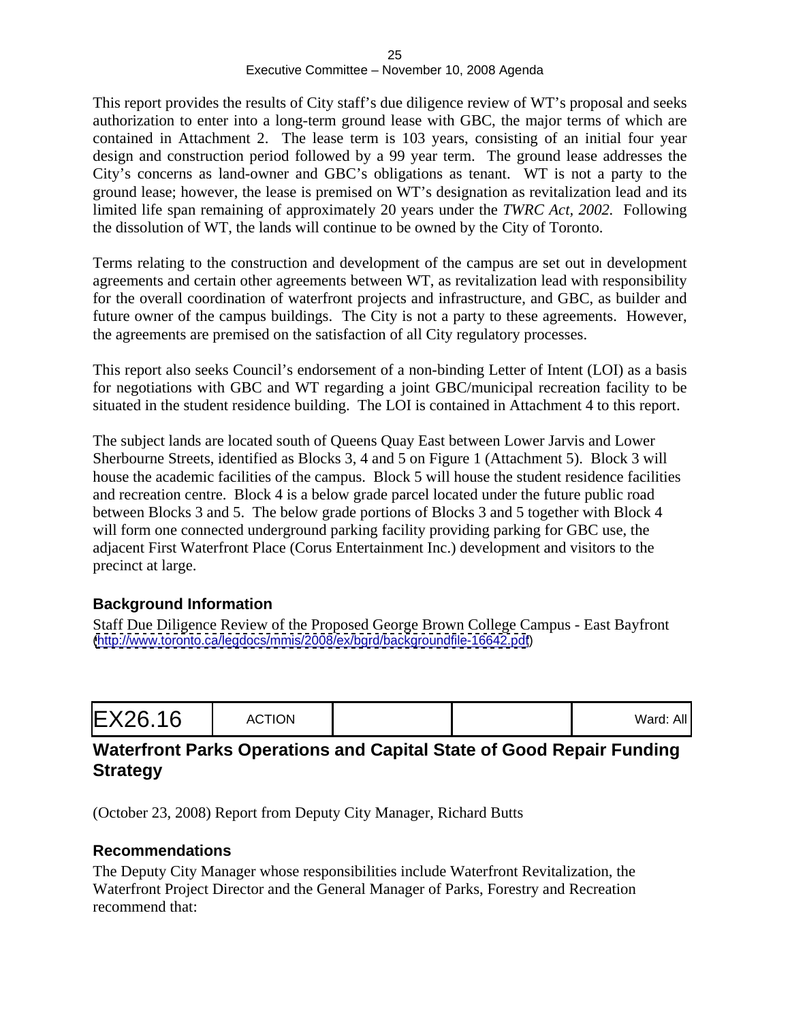This report provides the results of City staff's due diligence review of WT's proposal and seeks authorization to enter into a long-term ground lease with GBC, the major terms of which are contained in Attachment 2. The lease term is 103 years, consisting of an initial four year design and construction period followed by a 99 year term. The ground lease addresses the City's concerns as land-owner and GBC's obligations as tenant. WT is not a party to the ground lease; however, the lease is premised on WT's designation as revitalization lead and its limited life span remaining of approximately 20 years under the *TWRC Act, 2002.* Following the dissolution of WT, the lands will continue to be owned by the City of Toronto.

Terms relating to the construction and development of the campus are set out in development agreements and certain other agreements between WT, as revitalization lead with responsibility for the overall coordination of waterfront projects and infrastructure, and GBC, as builder and future owner of the campus buildings. The City is not a party to these agreements. However, the agreements are premised on the satisfaction of all City regulatory processes.

This report also seeks Council's endorsement of a non-binding Letter of Intent (LOI) as a basis for negotiations with GBC and WT regarding a joint GBC/municipal recreation facility to be situated in the student residence building. The LOI is contained in Attachment 4 to this report.

The subject lands are located south of Queens Quay East between Lower Jarvis and Lower Sherbourne Streets, identified as Blocks 3, 4 and 5 on Figure 1 (Attachment 5). Block 3 will house the academic facilities of the campus. Block 5 will house the student residence facilities and recreation centre. Block 4 is a below grade parcel located under the future public road between Blocks 3 and 5. The below grade portions of Blocks 3 and 5 together with Block 4 will form one connected underground parking facility providing parking for GBC use, the adjacent First Waterfront Place (Corus Entertainment Inc.) development and visitors to the precinct at large.

#### **Background Information**

Staff Due Diligence Review of the Proposed George Brown College Campus - East Bayfront [\(http://www.toronto.ca/legdocs/mmis/2008/ex/bgrd/backgroundfile-16642.pdf](http://www.toronto.ca/legdocs/mmis/2008/ex/bgrd/backgroundfile-16642.pdf))

|--|--|

#### **Waterfront Parks Operations and Capital State of Good Repair Funding Strategy**

(October 23, 2008) Report from Deputy City Manager, Richard Butts

#### **Recommendations**

The Deputy City Manager whose responsibilities include Waterfront Revitalization, the Waterfront Project Director and the General Manager of Parks, Forestry and Recreation recommend that: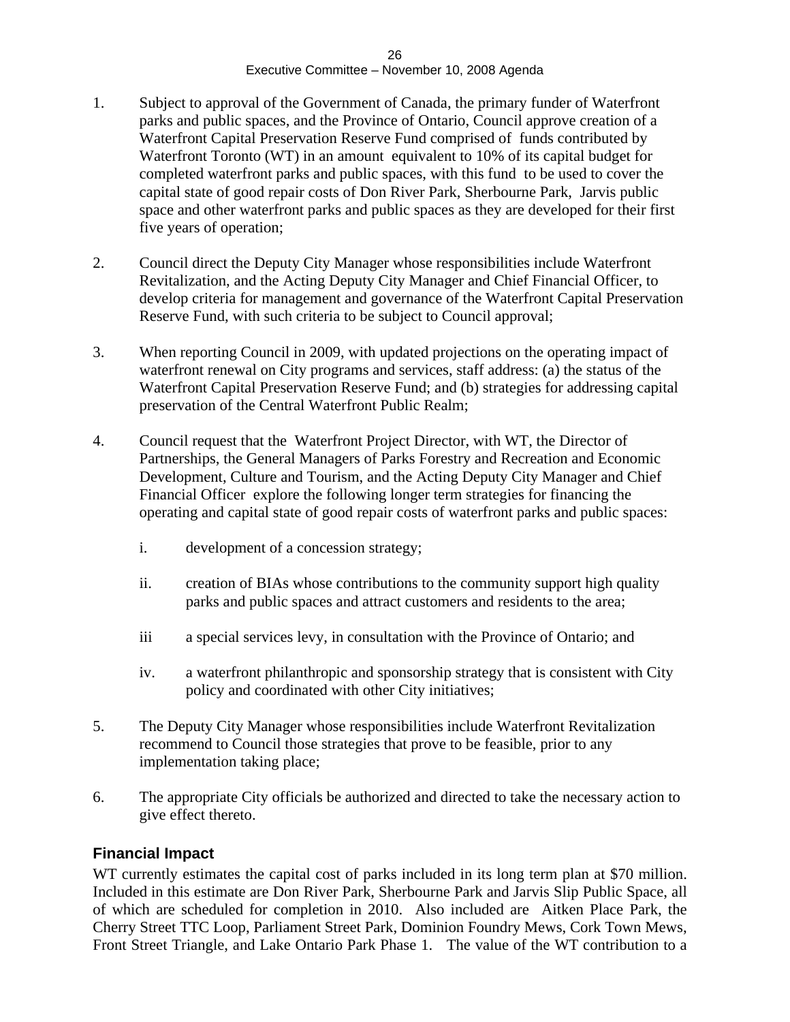- 1. Subject to approval of the Government of Canada, the primary funder of Waterfront parks and public spaces, and the Province of Ontario, Council approve creation of a Waterfront Capital Preservation Reserve Fund comprised of funds contributed by Waterfront Toronto (WT) in an amount equivalent to 10% of its capital budget for completed waterfront parks and public spaces, with this fund to be used to cover the capital state of good repair costs of Don River Park, Sherbourne Park, Jarvis public space and other waterfront parks and public spaces as they are developed for their first five years of operation;
- 2. Council direct the Deputy City Manager whose responsibilities include Waterfront Revitalization, and the Acting Deputy City Manager and Chief Financial Officer, to develop criteria for management and governance of the Waterfront Capital Preservation Reserve Fund, with such criteria to be subject to Council approval;
- 3. When reporting Council in 2009, with updated projections on the operating impact of waterfront renewal on City programs and services, staff address: (a) the status of the Waterfront Capital Preservation Reserve Fund; and (b) strategies for addressing capital preservation of the Central Waterfront Public Realm;
- 4. Council request that the Waterfront Project Director, with WT, the Director of Partnerships, the General Managers of Parks Forestry and Recreation and Economic Development, Culture and Tourism, and the Acting Deputy City Manager and Chief Financial Officer explore the following longer term strategies for financing the operating and capital state of good repair costs of waterfront parks and public spaces:
	- i. development of a concession strategy;
	- ii. creation of BIAs whose contributions to the community support high quality parks and public spaces and attract customers and residents to the area;
	- iii a special services levy, in consultation with the Province of Ontario; and
	- iv. a waterfront philanthropic and sponsorship strategy that is consistent with City policy and coordinated with other City initiatives;
- 5. The Deputy City Manager whose responsibilities include Waterfront Revitalization recommend to Council those strategies that prove to be feasible, prior to any implementation taking place;
- 6. The appropriate City officials be authorized and directed to take the necessary action to give effect thereto.

#### **Financial Impact**

WT currently estimates the capital cost of parks included in its long term plan at \$70 million. Included in this estimate are Don River Park, Sherbourne Park and Jarvis Slip Public Space, all of which are scheduled for completion in 2010. Also included are Aitken Place Park, the Cherry Street TTC Loop, Parliament Street Park, Dominion Foundry Mews, Cork Town Mews, Front Street Triangle, and Lake Ontario Park Phase 1. The value of the WT contribution to a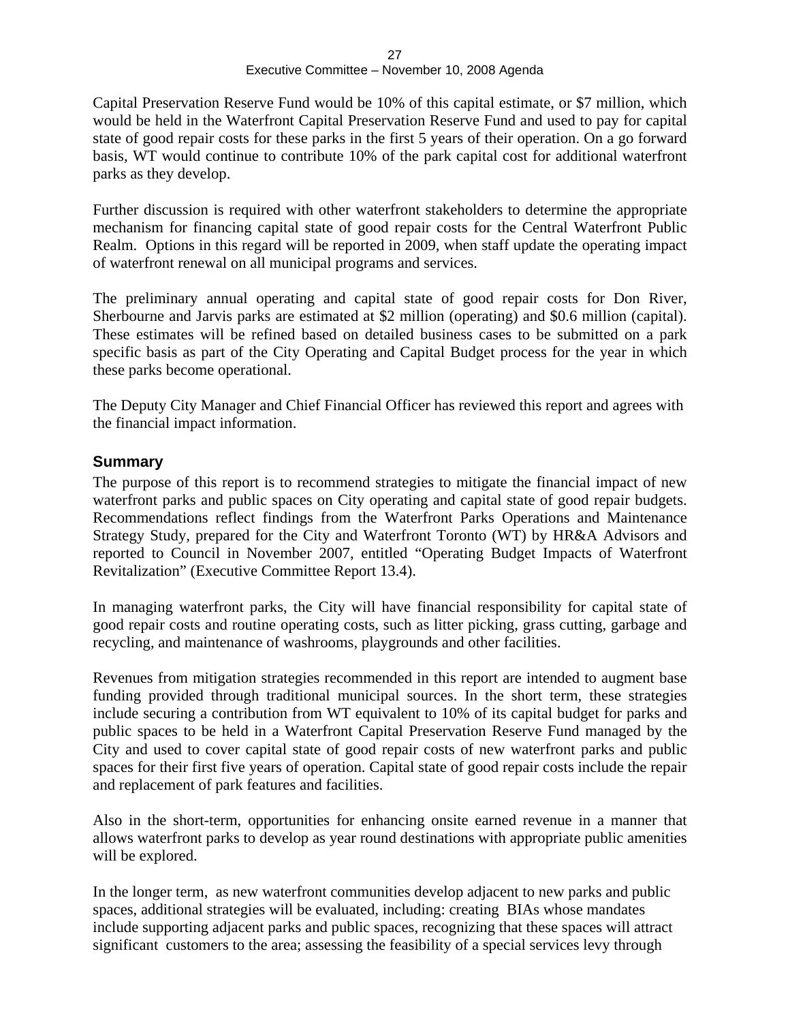Capital Preservation Reserve Fund would be 10% of this capital estimate, or \$7 million, which would be held in the Waterfront Capital Preservation Reserve Fund and used to pay for capital state of good repair costs for these parks in the first 5 years of their operation. On a go forward basis, WT would continue to contribute 10% of the park capital cost for additional waterfront parks as they develop.

Further discussion is required with other waterfront stakeholders to determine the appropriate mechanism for financing capital state of good repair costs for the Central Waterfront Public Realm. Options in this regard will be reported in 2009, when staff update the operating impact of waterfront renewal on all municipal programs and services.

The preliminary annual operating and capital state of good repair costs for Don River, Sherbourne and Jarvis parks are estimated at \$2 million (operating) and \$0.6 million (capital). These estimates will be refined based on detailed business cases to be submitted on a park specific basis as part of the City Operating and Capital Budget process for the year in which these parks become operational.

The Deputy City Manager and Chief Financial Officer has reviewed this report and agrees with the financial impact information.

#### **Summary**

The purpose of this report is to recommend strategies to mitigate the financial impact of new waterfront parks and public spaces on City operating and capital state of good repair budgets. Recommendations reflect findings from the Waterfront Parks Operations and Maintenance Strategy Study, prepared for the City and Waterfront Toronto (WT) by HR&A Advisors and reported to Council in November 2007, entitled "Operating Budget Impacts of Waterfront Revitalization" (Executive Committee Report 13.4).

In managing waterfront parks, the City will have financial responsibility for capital state of good repair costs and routine operating costs, such as litter picking, grass cutting, garbage and recycling, and maintenance of washrooms, playgrounds and other facilities.

Revenues from mitigation strategies recommended in this report are intended to augment base funding provided through traditional municipal sources. In the short term, these strategies include securing a contribution from WT equivalent to 10% of its capital budget for parks and public spaces to be held in a Waterfront Capital Preservation Reserve Fund managed by the City and used to cover capital state of good repair costs of new waterfront parks and public spaces for their first five years of operation. Capital state of good repair costs include the repair and replacement of park features and facilities.

Also in the short-term, opportunities for enhancing onsite earned revenue in a manner that allows waterfront parks to develop as year round destinations with appropriate public amenities will be explored.

 In the longer term, as new waterfront communities develop adjacent to new parks and public spaces, additional strategies will be evaluated, including: creating BIAs whose mandates include supporting adjacent parks and public spaces, recognizing that these spaces will attract significant customers to the area; assessing the feasibility of a special services levy through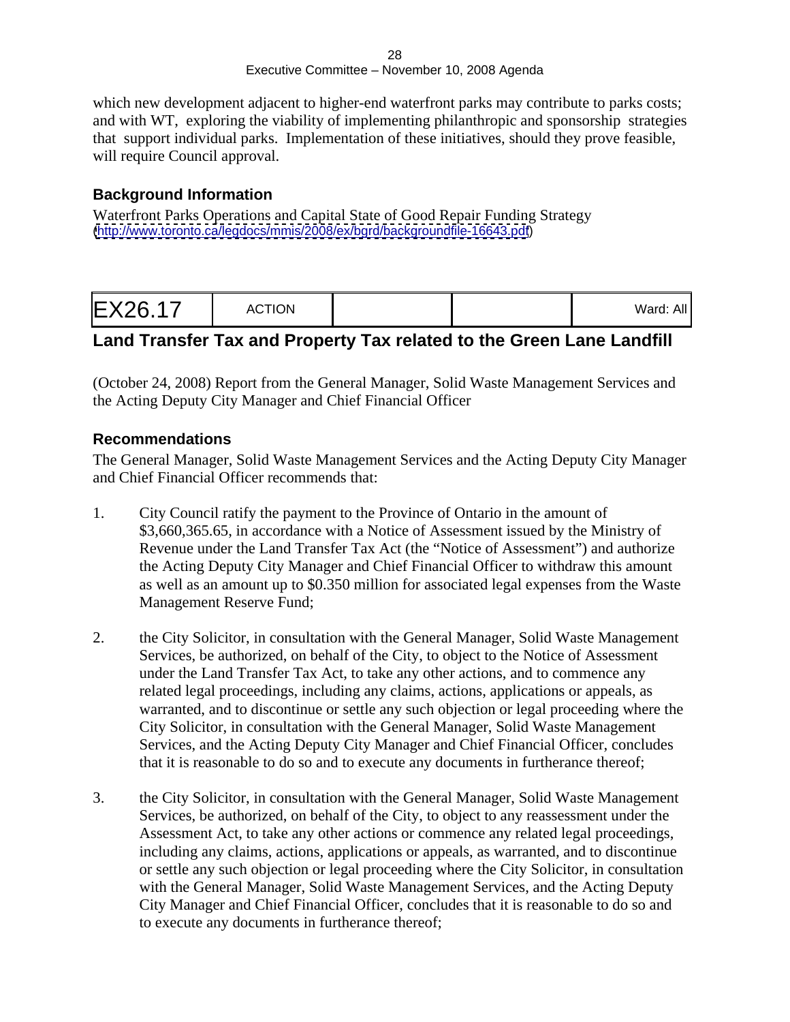which new development adjacent to higher-end waterfront parks may contribute to parks costs; and with WT, exploring the viability of implementing philanthropic and sponsorship strategies that support individual parks. Implementation of these initiatives, should they prove feasible, will require Council approval.

#### **Background Information**

Waterfront Parks Operations and Capital State of Good Repair Funding Strategy [\(http://www.toronto.ca/legdocs/mmis/2008/ex/bgrd/backgroundfile-16643.pdf](http://www.toronto.ca/legdocs/mmis/2008/ex/bgrd/backgroundfile-16643.pdf))

| $Mord$ $\cdot$ All<br>$rac{1}{2}$ |  |  |
|-----------------------------------|--|--|
|-----------------------------------|--|--|

# **Land Transfer Tax and Property Tax related to the Green Lane Landfill**

(October 24, 2008) Report from the General Manager, Solid Waste Management Services and the Acting Deputy City Manager and Chief Financial Officer

#### **Recommendations**

The General Manager, Solid Waste Management Services and the Acting Deputy City Manager and Chief Financial Officer recommends that:

- 1. City Council ratify the payment to the Province of Ontario in the amount of \$3,660,365.65, in accordance with a Notice of Assessment issued by the Ministry of Revenue under the Land Transfer Tax Act (the "Notice of Assessment") and authorize the Acting Deputy City Manager and Chief Financial Officer to withdraw this amount as well as an amount up to \$0.350 million for associated legal expenses from the Waste Management Reserve Fund;
- 2. the City Solicitor, in consultation with the General Manager, Solid Waste Management Services, be authorized, on behalf of the City, to object to the Notice of Assessment under the Land Transfer Tax Act, to take any other actions, and to commence any related legal proceedings, including any claims, actions, applications or appeals, as warranted, and to discontinue or settle any such objection or legal proceeding where the City Solicitor, in consultation with the General Manager, Solid Waste Management Services, and the Acting Deputy City Manager and Chief Financial Officer, concludes that it is reasonable to do so and to execute any documents in furtherance thereof;
- 3. the City Solicitor, in consultation with the General Manager, Solid Waste Management Services, be authorized, on behalf of the City, to object to any reassessment under the Assessment Act, to take any other actions or commence any related legal proceedings, including any claims, actions, applications or appeals, as warranted, and to discontinue or settle any such objection or legal proceeding where the City Solicitor, in consultation with the General Manager, Solid Waste Management Services, and the Acting Deputy City Manager and Chief Financial Officer, concludes that it is reasonable to do so and to execute any documents in furtherance thereof;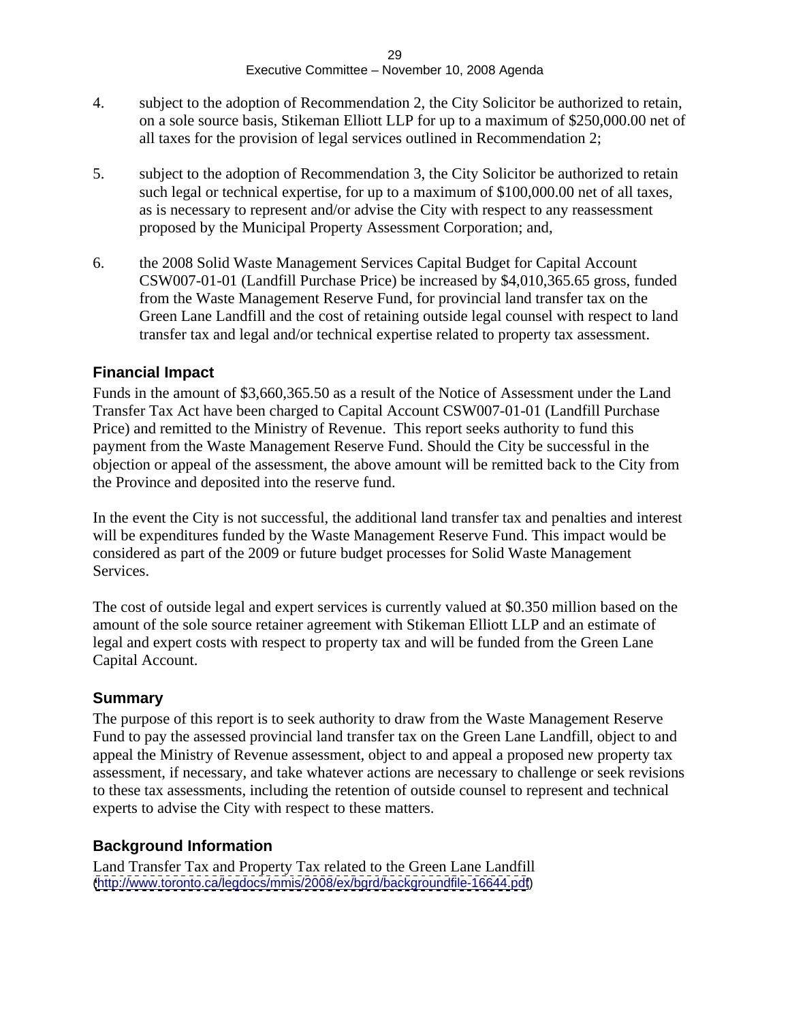- 4. subject to the adoption of Recommendation 2, the City Solicitor be authorized to retain, on a sole source basis, Stikeman Elliott LLP for up to a maximum of \$250,000.00 net of all taxes for the provision of legal services outlined in Recommendation 2;
- 5. subject to the adoption of Recommendation 3, the City Solicitor be authorized to retain such legal or technical expertise, for up to a maximum of \$100,000.00 net of all taxes, as is necessary to represent and/or advise the City with respect to any reassessment proposed by the Municipal Property Assessment Corporation; and,
- 6. the 2008 Solid Waste Management Services Capital Budget for Capital Account CSW007-01-01 (Landfill Purchase Price) be increased by \$4,010,365.65 gross, funded from the Waste Management Reserve Fund, for provincial land transfer tax on the Green Lane Landfill and the cost of retaining outside legal counsel with respect to land transfer tax and legal and/or technical expertise related to property tax assessment.

#### **Financial Impact**

Funds in the amount of \$3,660,365.50 as a result of the Notice of Assessment under the Land Transfer Tax Act have been charged to Capital Account CSW007-01-01 (Landfill Purchase Price) and remitted to the Ministry of Revenue. This report seeks authority to fund this payment from the Waste Management Reserve Fund. Should the City be successful in the objection or appeal of the assessment, the above amount will be remitted back to the City from the Province and deposited into the reserve fund.

In the event the City is not successful, the additional land transfer tax and penalties and interest will be expenditures funded by the Waste Management Reserve Fund. This impact would be considered as part of the 2009 or future budget processes for Solid Waste Management Services.

The cost of outside legal and expert services is currently valued at \$0.350 million based on the amount of the sole source retainer agreement with Stikeman Elliott LLP and an estimate of legal and expert costs with respect to property tax and will be funded from the Green Lane Capital Account.

#### **Summary**

The purpose of this report is to seek authority to draw from the Waste Management Reserve Fund to pay the assessed provincial land transfer tax on the Green Lane Landfill, object to and appeal the Ministry of Revenue assessment, object to and appeal a proposed new property tax assessment, if necessary, and take whatever actions are necessary to challenge or seek revisions to these tax assessments, including the retention of outside counsel to represent and technical experts to advise the City with respect to these matters.

#### **Background Information**

Land Transfer Tax and Property Tax related to the Green Lane Landfill [\(http://www.toronto.ca/legdocs/mmis/2008/ex/bgrd/backgroundfile-16644.pdf](http://www.toronto.ca/legdocs/mmis/2008/ex/bgrd/backgroundfile-16644.pdf))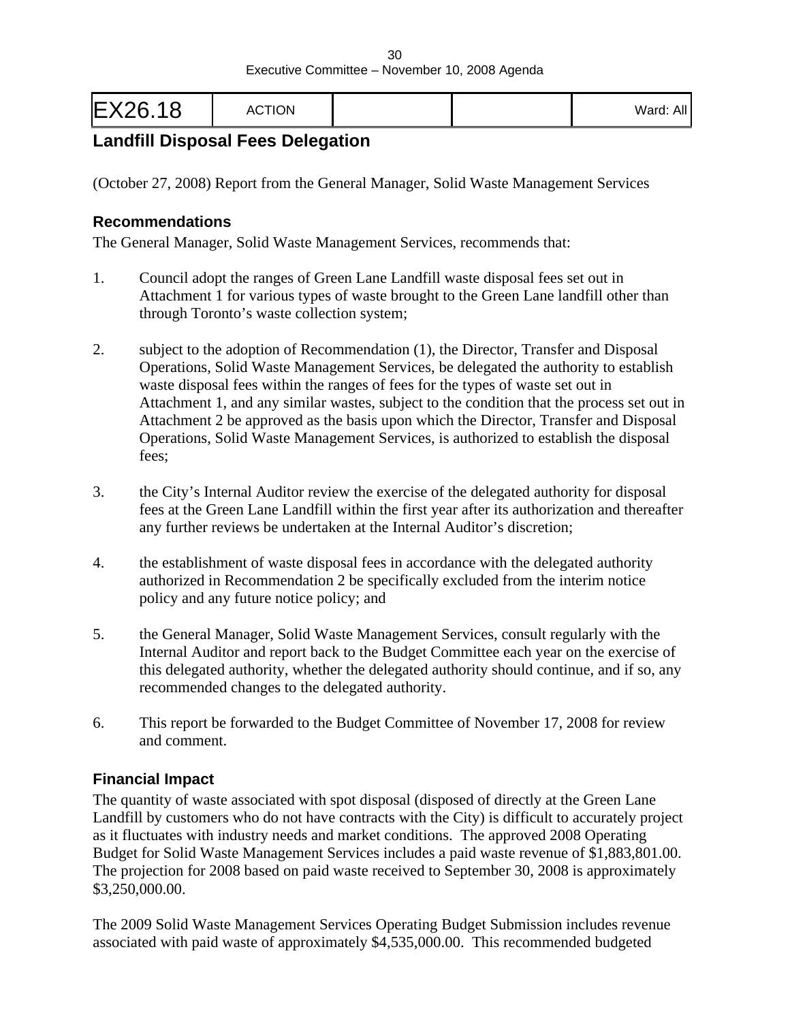| <b>Claratic</b><br>$\ldots$ |  |
|-----------------------------|--|
|                             |  |

# **Landfill Disposal Fees Delegation**

(October 27, 2008) Report from the General Manager, Solid Waste Management Services

#### **Recommendations**

The General Manager, Solid Waste Management Services, recommends that:

- 1. Council adopt the ranges of Green Lane Landfill waste disposal fees set out in Attachment 1 for various types of waste brought to the Green Lane landfill other than through Toronto's waste collection system;
- 2. subject to the adoption of Recommendation (1), the Director, Transfer and Disposal Operations, Solid Waste Management Services, be delegated the authority to establish waste disposal fees within the ranges of fees for the types of waste set out in Attachment 1, and any similar wastes, subject to the condition that the process set out in Attachment 2 be approved as the basis upon which the Director, Transfer and Disposal Operations, Solid Waste Management Services, is authorized to establish the disposal fees;
- 3. the City's Internal Auditor review the exercise of the delegated authority for disposal fees at the Green Lane Landfill within the first year after its authorization and thereafter any further reviews be undertaken at the Internal Auditor's discretion;
- 4. the establishment of waste disposal fees in accordance with the delegated authority authorized in Recommendation 2 be specifically excluded from the interim notice policy and any future notice policy; and
- 5. the General Manager, Solid Waste Management Services, consult regularly with the Internal Auditor and report back to the Budget Committee each year on the exercise of this delegated authority, whether the delegated authority should continue, and if so, any recommended changes to the delegated authority.
- 6. This report be forwarded to the Budget Committee of November 17, 2008 for review and comment.

#### **Financial Impact**

The quantity of waste associated with spot disposal (disposed of directly at the Green Lane Landfill by customers who do not have contracts with the City) is difficult to accurately project as it fluctuates with industry needs and market conditions. The approved 2008 Operating Budget for Solid Waste Management Services includes a paid waste revenue of \$1,883,801.00. The projection for 2008 based on paid waste received to September 30, 2008 is approximately \$3,250,000.00.

The 2009 Solid Waste Management Services Operating Budget Submission includes revenue associated with paid waste of approximately \$4,535,000.00. This recommended budgeted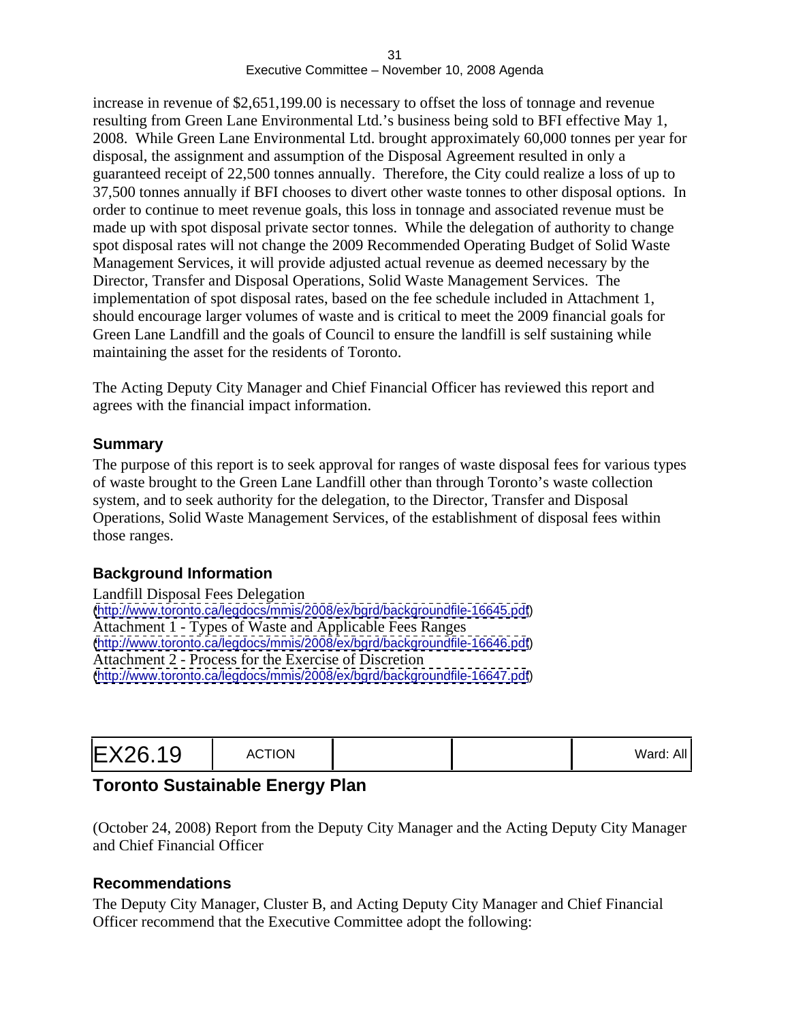increase in revenue of \$2,651,199.00 is necessary to offset the loss of tonnage and revenue resulting from Green Lane Environmental Ltd.'s business being sold to BFI effective May 1, 2008. While Green Lane Environmental Ltd. brought approximately 60,000 tonnes per year for disposal, the assignment and assumption of the Disposal Agreement resulted in only a guaranteed receipt of 22,500 tonnes annually. Therefore, the City could realize a loss of up to 37,500 tonnes annually if BFI chooses to divert other waste tonnes to other disposal options. In order to continue to meet revenue goals, this loss in tonnage and associated revenue must be made up with spot disposal private sector tonnes. While the delegation of authority to change spot disposal rates will not change the 2009 Recommended Operating Budget of Solid Waste Management Services, it will provide adjusted actual revenue as deemed necessary by the Director, Transfer and Disposal Operations, Solid Waste Management Services. The implementation of spot disposal rates, based on the fee schedule included in Attachment 1, should encourage larger volumes of waste and is critical to meet the 2009 financial goals for Green Lane Landfill and the goals of Council to ensure the landfill is self sustaining while maintaining the asset for the residents of Toronto.

The Acting Deputy City Manager and Chief Financial Officer has reviewed this report and agrees with the financial impact information.

#### **Summary**

The purpose of this report is to seek approval for ranges of waste disposal fees for various types of waste brought to the Green Lane Landfill other than through Toronto's waste collection system, and to seek authority for the delegation, to the Director, Transfer and Disposal Operations, Solid Waste Management Services, of the establishment of disposal fees within those ranges.

#### **Background Information**

| Landfill Disposal Fees Delegation                                          |  |
|----------------------------------------------------------------------------|--|
| (http://www.toronto.ca/legdocs/mmis/2008/ex/bgrd/backgroundfile-16645.pdf) |  |
| Attachment 1 - Types of Waste and Applicable Fees Ranges                   |  |
| (http://www.toronto.ca/legdocs/mmis/2008/ex/bgrd/backgroundfile-16646.pdf) |  |
| Attachment 2 - Process for the Exercise of Discretion                      |  |
| (http://www.toronto.ca/legdocs/mmis/2008/ex/bgrd/backgroundfile-16647.pdf) |  |

| Ward: Al. |  |  |
|-----------|--|--|
|-----------|--|--|

# **Toronto Sustainable Energy Plan**

(October 24, 2008) Report from the Deputy City Manager and the Acting Deputy City Manager and Chief Financial Officer

#### **Recommendations**

The Deputy City Manager, Cluster B, and Acting Deputy City Manager and Chief Financial Officer recommend that the Executive Committee adopt the following: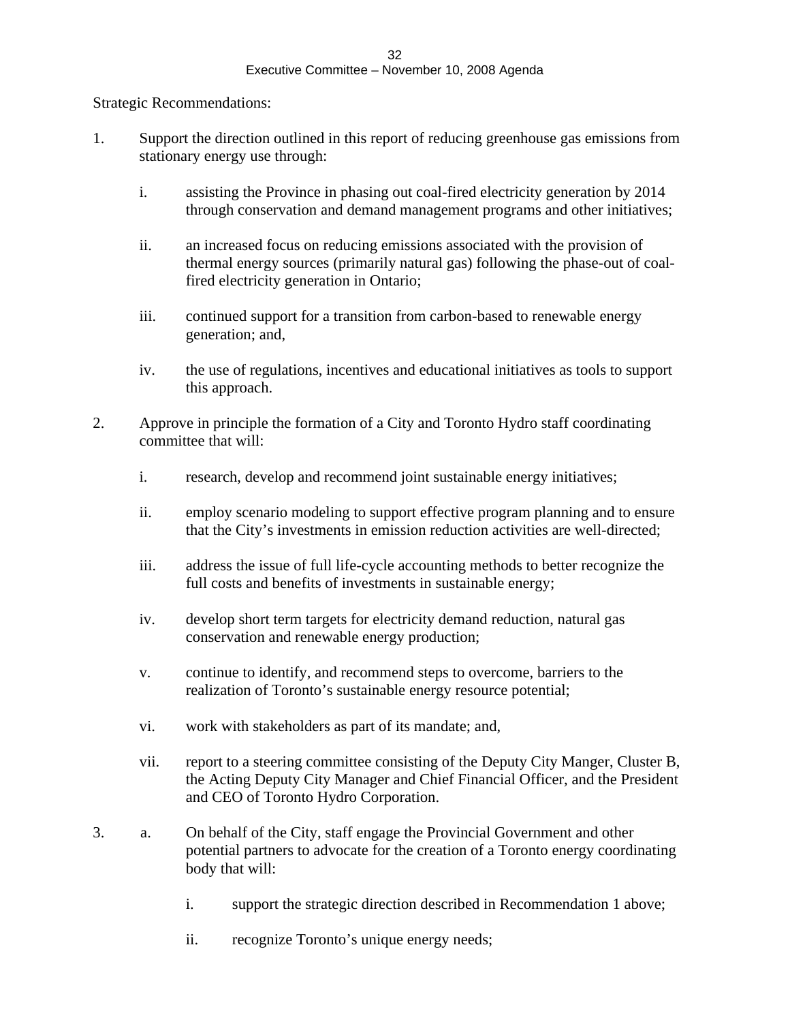Strategic Recommendations:

- 1. Support the direction outlined in this report of reducing greenhouse gas emissions from stationary energy use through:
	- i. assisting the Province in phasing out coal-fired electricity generation by 2014 through conservation and demand management programs and other initiatives;
	- ii. an increased focus on reducing emissions associated with the provision of thermal energy sources (primarily natural gas) following the phase-out of coalfired electricity generation in Ontario;
	- iii. continued support for a transition from carbon-based to renewable energy generation; and,
	- iv. the use of regulations, incentives and educational initiatives as tools to support this approach.
- 2. Approve in principle the formation of a City and Toronto Hydro staff coordinating committee that will:
	- i. research, develop and recommend joint sustainable energy initiatives;
	- ii. employ scenario modeling to support effective program planning and to ensure that the City's investments in emission reduction activities are well-directed;
	- iii. address the issue of full life-cycle accounting methods to better recognize the full costs and benefits of investments in sustainable energy;
	- iv. develop short term targets for electricity demand reduction, natural gas conservation and renewable energy production;
	- v. continue to identify, and recommend steps to overcome, barriers to the realization of Toronto's sustainable energy resource potential;
	- vi. work with stakeholders as part of its mandate; and,
	- vii. report to a steering committee consisting of the Deputy City Manger, Cluster B, the Acting Deputy City Manager and Chief Financial Officer, and the President and CEO of Toronto Hydro Corporation.
- 3. a. On behalf of the City, staff engage the Provincial Government and other potential partners to advocate for the creation of a Toronto energy coordinating body that will:
	- i. support the strategic direction described in Recommendation 1 above;
	- ii. recognize Toronto's unique energy needs;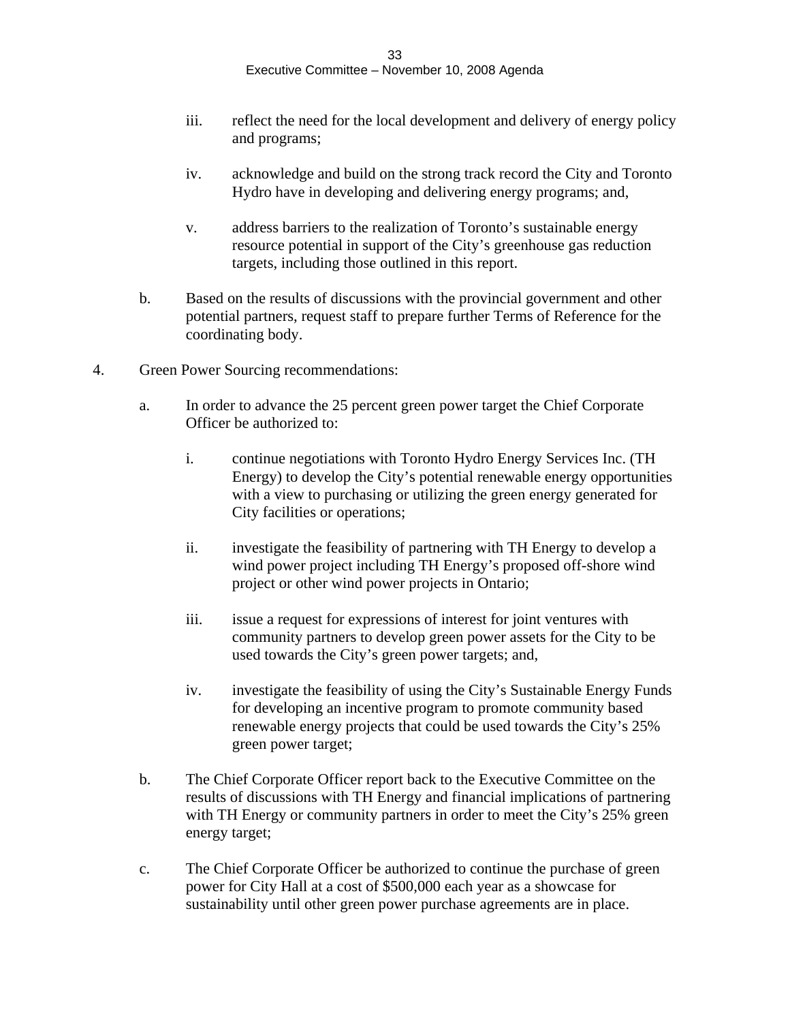- iii. reflect the need for the local development and delivery of energy policy and programs;
- iv. acknowledge and build on the strong track record the City and Toronto Hydro have in developing and delivering energy programs; and,
- v. address barriers to the realization of Toronto's sustainable energy resource potential in support of the City's greenhouse gas reduction targets, including those outlined in this report.
- b. Based on the results of discussions with the provincial government and other potential partners, request staff to prepare further Terms of Reference for the coordinating body.
- 4. Green Power Sourcing recommendations:
	- a. In order to advance the 25 percent green power target the Chief Corporate Officer be authorized to:
		- i. continue negotiations with Toronto Hydro Energy Services Inc. (TH Energy) to develop the City's potential renewable energy opportunities with a view to purchasing or utilizing the green energy generated for City facilities or operations;
		- ii. investigate the feasibility of partnering with TH Energy to develop a wind power project including TH Energy's proposed off-shore wind project or other wind power projects in Ontario;
		- iii. issue a request for expressions of interest for joint ventures with community partners to develop green power assets for the City to be used towards the City's green power targets; and,
		- iv. investigate the feasibility of using the City's Sustainable Energy Funds for developing an incentive program to promote community based renewable energy projects that could be used towards the City's 25% green power target;
	- b. The Chief Corporate Officer report back to the Executive Committee on the results of discussions with TH Energy and financial implications of partnering with TH Energy or community partners in order to meet the City's 25% green energy target;
	- c. The Chief Corporate Officer be authorized to continue the purchase of green power for City Hall at a cost of \$500,000 each year as a showcase for sustainability until other green power purchase agreements are in place.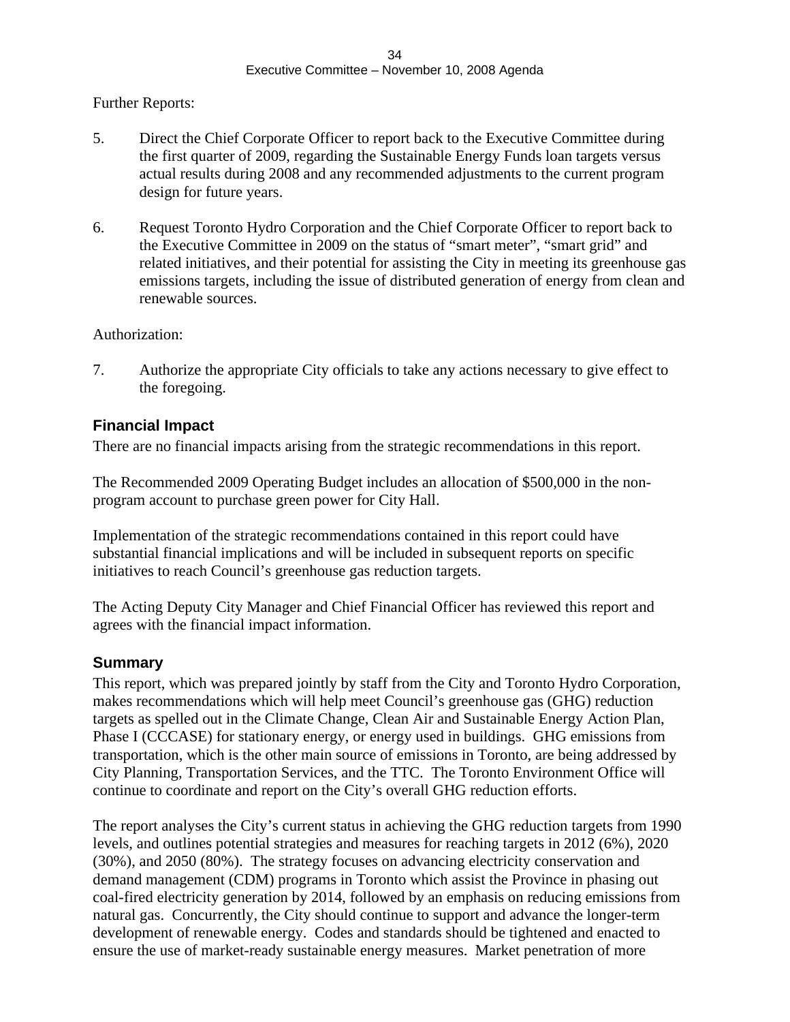Further Reports:

- 5. Direct the Chief Corporate Officer to report back to the Executive Committee during the first quarter of 2009, regarding the Sustainable Energy Funds loan targets versus actual results during 2008 and any recommended adjustments to the current program design for future years.
- 6. Request Toronto Hydro Corporation and the Chief Corporate Officer to report back to the Executive Committee in 2009 on the status of "smart meter", "smart grid" and related initiatives, and their potential for assisting the City in meeting its greenhouse gas emissions targets, including the issue of distributed generation of energy from clean and renewable sources.

Authorization:

7. Authorize the appropriate City officials to take any actions necessary to give effect to the foregoing.

#### **Financial Impact**

There are no financial impacts arising from the strategic recommendations in this report.

The Recommended 2009 Operating Budget includes an allocation of \$500,000 in the non program account to purchase green power for City Hall.

Implementation of the strategic recommendations contained in this report could have substantial financial implications and will be included in subsequent reports on specific initiatives to reach Council's greenhouse gas reduction targets.

The Acting Deputy City Manager and Chief Financial Officer has reviewed this report and agrees with the financial impact information.

#### **Summary**

This report, which was prepared jointly by staff from the City and Toronto Hydro Corporation, makes recommendations which will help meet Council's greenhouse gas (GHG) reduction targets as spelled out in the Climate Change, Clean Air and Sustainable Energy Action Plan, Phase I (CCCASE) for stationary energy, or energy used in buildings. GHG emissions from transportation, which is the other main source of emissions in Toronto, are being addressed by City Planning, Transportation Services, and the TTC. The Toronto Environment Office will continue to coordinate and report on the City's overall GHG reduction efforts.

The report analyses the City's current status in achieving the GHG reduction targets from 1990 levels, and outlines potential strategies and measures for reaching targets in 2012 (6%), 2020 (30%), and 2050 (80%). The strategy focuses on advancing electricity conservation and demand management (CDM) programs in Toronto which assist the Province in phasing out coal-fired electricity generation by 2014, followed by an emphasis on reducing emissions from natural gas. Concurrently, the City should continue to support and advance the longer-term development of renewable energy. Codes and standards should be tightened and enacted to ensure the use of market-ready sustainable energy measures. Market penetration of more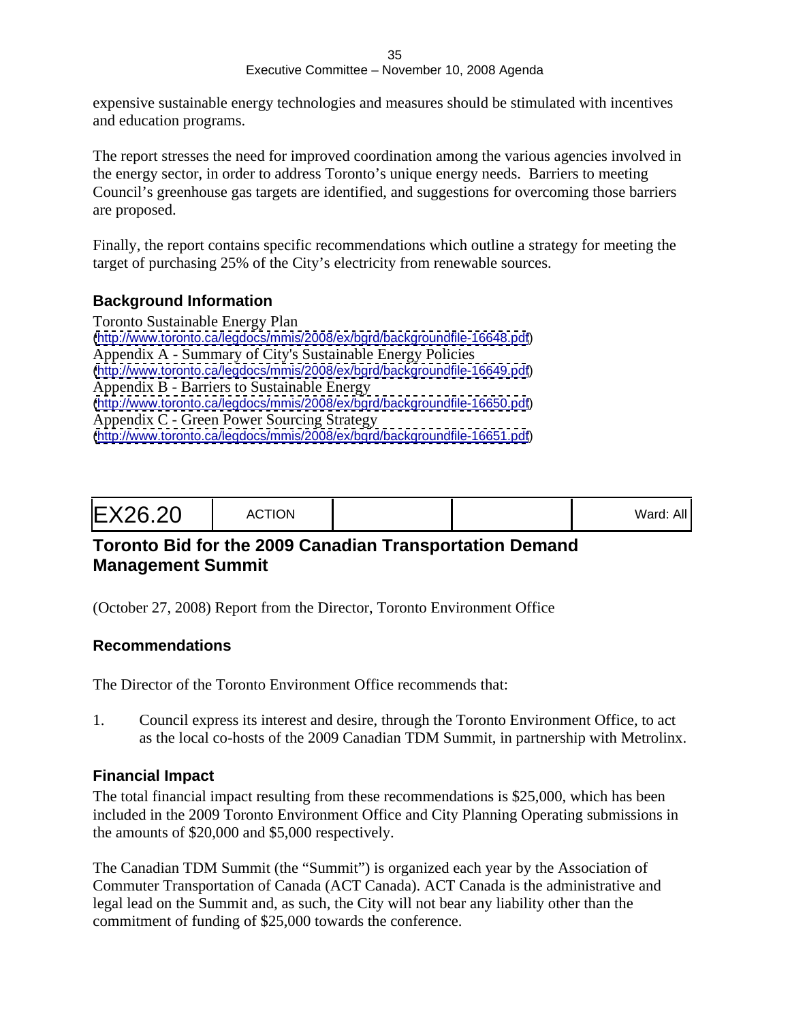expensive sustainable energy technologies and measures should be stimulated with incentives and education programs.

The report stresses the need for improved coordination among the various agencies involved in the energy sector, in order to address Toronto's unique energy needs. Barriers to meeting Council's greenhouse gas targets are identified, and suggestions for overcoming those barriers are proposed.

Finally, the report contains specific recommendations which outline a strategy for meeting the target of purchasing 25% of the City's electricity from renewable sources.

#### **Background Information**

Toronto Sustainable Energy Plan [\(http://www.toronto.ca/legdocs/mmis/2008/ex/bgrd/backgroundfile-16648.pdf](http://www.toronto.ca/legdocs/mmis/2008/ex/bgrd/backgroundfile-16648.pdf)) Appendix A - Summary of City's Sustainable Energy Policies [\(http://www.toronto.ca/legdocs/mmis/2008/ex/bgrd/backgroundfile-16649.pdf](http://www.toronto.ca/legdocs/mmis/2008/ex/bgrd/backgroundfile-16649.pdf)) Appendix B - Barriers to Sustainable Energy [\(http://www.toronto.ca/legdocs/mmis/2008/ex/bgrd/backgroundfile-16650.pdf](http://www.toronto.ca/legdocs/mmis/2008/ex/bgrd/backgroundfile-16650.pdf)) Appendix C - Green Power Sourcing Strategy [\(http://www.toronto.ca/legdocs/mmis/2008/ex/bgrd/backgroundfile-16651.pdf](http://www.toronto.ca/legdocs/mmis/2008/ex/bgrd/backgroundfile-16651.pdf))

|--|--|--|

# **Toronto Bid for the 2009 Canadian Transportation Demand Management Summit**

(October 27, 2008) Report from the Director, Toronto Environment Office

#### **Recommendations**

The Director of the Toronto Environment Office recommends that:

1. Council express its interest and desire, through the Toronto Environment Office, to act as the local co-hosts of the 2009 Canadian TDM Summit, in partnership with Metrolinx.

#### **Financial Impact**

The total financial impact resulting from these recommendations is \$25,000, which has been included in the 2009 Toronto Environment Office and City Planning Operating submissions in the amounts of \$20,000 and \$5,000 respectively.

The Canadian TDM Summit (the "Summit") is organized each year by the Association of Commuter Transportation of Canada (ACT Canada). ACT Canada is the administrative and legal lead on the Summit and, as such, the City will not bear any liability other than the commitment of funding of \$25,000 towards the conference.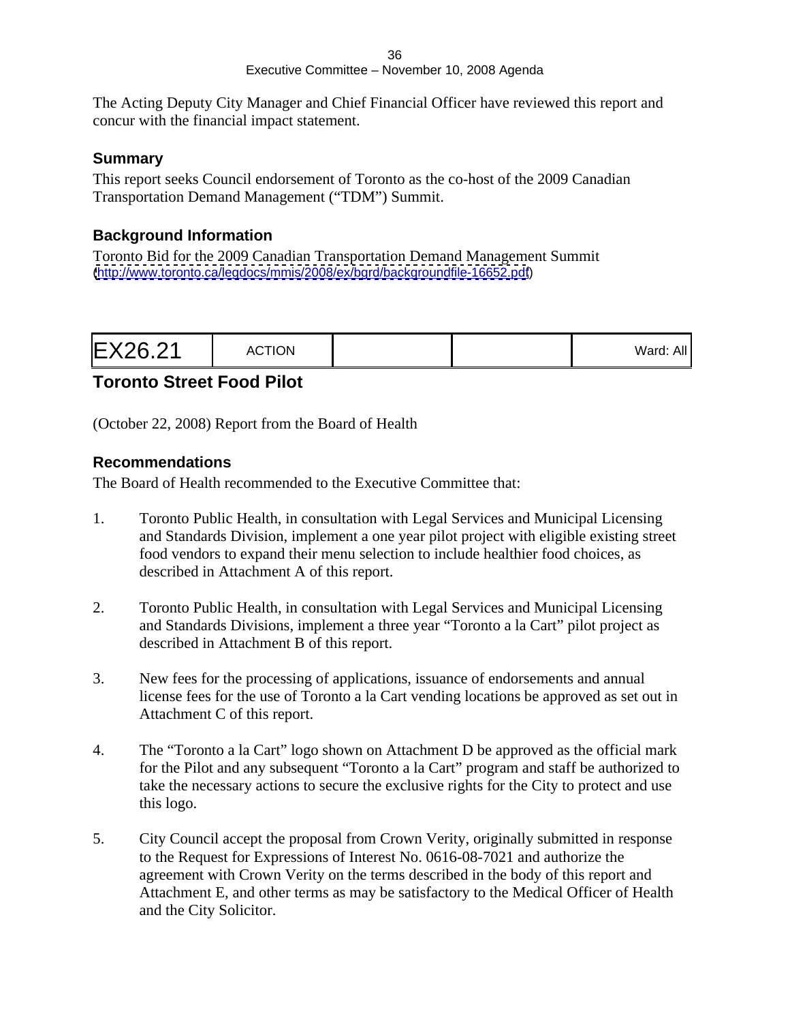The Acting Deputy City Manager and Chief Financial Officer have reviewed this report and concur with the financial impact statement.

#### **Summary**

This report seeks Council endorsement of Toronto as the co-host of the 2009 Canadian Transportation Demand Management ("TDM") Summit.

#### **Background Information**

Toronto Bid for the 2009 Canadian Transportation Demand Management Summit [\(http://www.toronto.ca/legdocs/mmis/2008/ex/bgrd/backgroundfile-16652.pdf](http://www.toronto.ca/legdocs/mmis/2008/ex/bgrd/backgroundfile-16652.pdf))

# **Toronto Street Food Pilot**

(October 22, 2008) Report from the Board of Health

#### **Recommendations**

The Board of Health recommended to the Executive Committee that:

- 1. Toronto Public Health, in consultation with Legal Services and Municipal Licensing and Standards Division, implement a one year pilot project with eligible existing street food vendors to expand their menu selection to include healthier food choices, as described in Attachment A of this report.
- 2. Toronto Public Health, in consultation with Legal Services and Municipal Licensing and Standards Divisions, implement a three year "Toronto a la Cart" pilot project as described in Attachment B of this report.
- 3. New fees for the processing of applications, issuance of endorsements and annual license fees for the use of Toronto a la Cart vending locations be approved as set out in Attachment C of this report.
- 4. The "Toronto a la Cart" logo shown on Attachment D be approved as the official mark for the Pilot and any subsequent "Toronto a la Cart" program and staff be authorized to take the necessary actions to secure the exclusive rights for the City to protect and use this logo.
- 5. City Council accept the proposal from Crown Verity, originally submitted in response to the Request for Expressions of Interest No. 0616-08-7021 and authorize the agreement with Crown Verity on the terms described in the body of this report and Attachment E, and other terms as may be satisfactory to the Medical Officer of Health and the City Solicitor.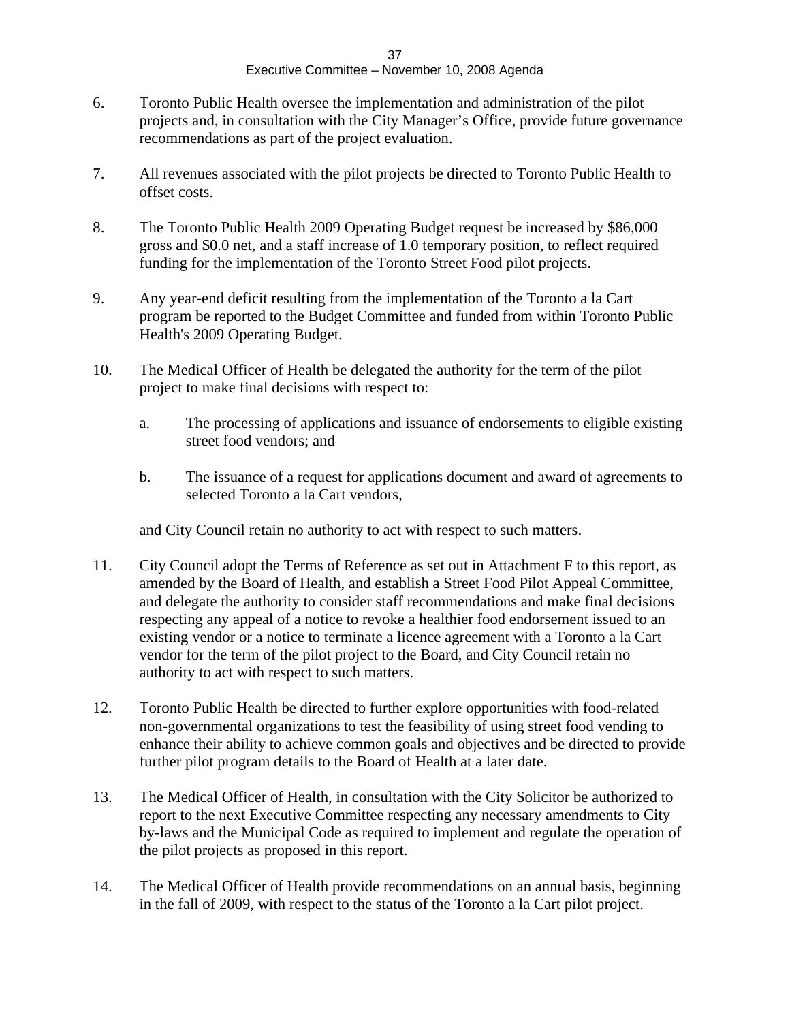- 6. Toronto Public Health oversee the implementation and administration of the pilot projects and, in consultation with the City Manager's Office, provide future governance recommendations as part of the project evaluation.
- 7. All revenues associated with the pilot projects be directed to Toronto Public Health to offset costs.
- 8. The Toronto Public Health 2009 Operating Budget request be increased by \$86,000 gross and \$0.0 net, and a staff increase of 1.0 temporary position, to reflect required funding for the implementation of the Toronto Street Food pilot projects.
- 9. Any year-end deficit resulting from the implementation of the Toronto a la Cart program be reported to the Budget Committee and funded from within Toronto Public Health's 2009 Operating Budget.
- 10. The Medical Officer of Health be delegated the authority for the term of the pilot project to make final decisions with respect to:
	- a. The processing of applications and issuance of endorsements to eligible existing street food vendors; and
	- b. The issuance of a request for applications document and award of agreements to selected Toronto a la Cart vendors,

and City Council retain no authority to act with respect to such matters.

- 11. City Council adopt the Terms of Reference as set out in Attachment F to this report, as amended by the Board of Health, and establish a Street Food Pilot Appeal Committee, and delegate the authority to consider staff recommendations and make final decisions respecting any appeal of a notice to revoke a healthier food endorsement issued to an existing vendor or a notice to terminate a licence agreement with a Toronto a la Cart vendor for the term of the pilot project to the Board, and City Council retain no authority to act with respect to such matters.
- 12. Toronto Public Health be directed to further explore opportunities with food-related non-governmental organizations to test the feasibility of using street food vending to enhance their ability to achieve common goals and objectives and be directed to provide further pilot program details to the Board of Health at a later date.
- 13. The Medical Officer of Health, in consultation with the City Solicitor be authorized to report to the next Executive Committee respecting any necessary amendments to City by-laws and the Municipal Code as required to implement and regulate the operation of the pilot projects as proposed in this report.
- 14. The Medical Officer of Health provide recommendations on an annual basis, beginning in the fall of 2009, with respect to the status of the Toronto a la Cart pilot project.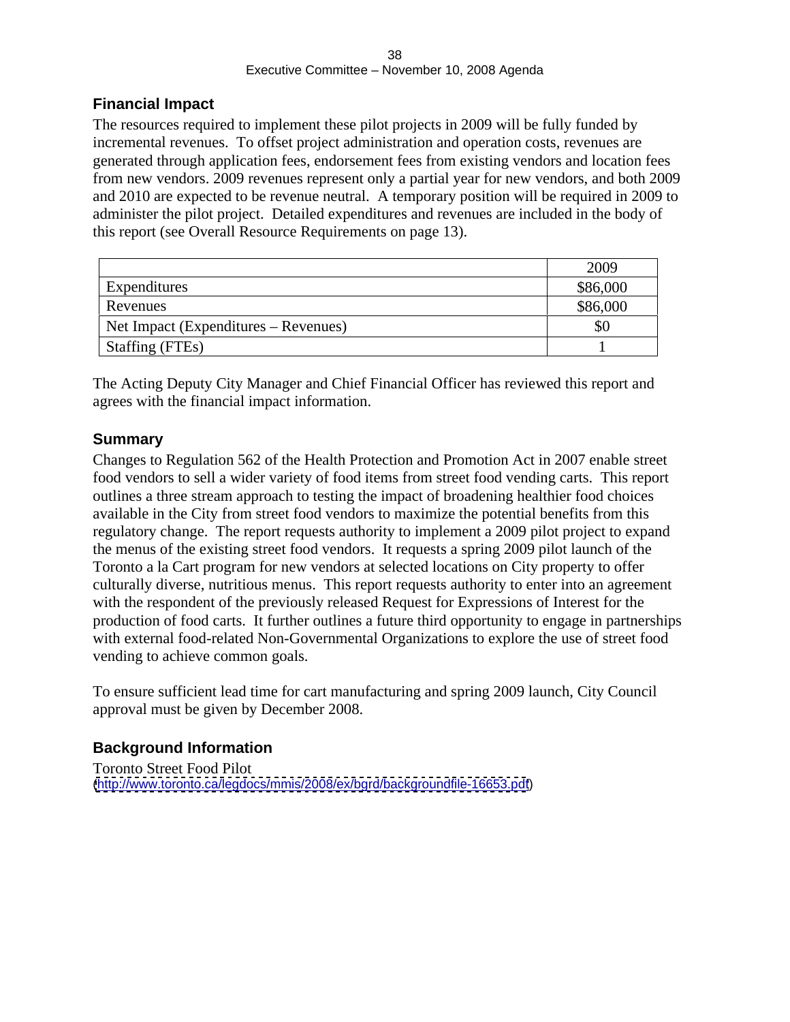### **Financial Impact**

The resources required to implement these pilot projects in 2009 will be fully funded by incremental revenues. To offset project administration and operation costs, revenues are generated through application fees, endorsement fees from existing vendors and location fees from new vendors. 2009 revenues represent only a partial year for new vendors, and both 2009 and 2010 are expected to be revenue neutral. A temporary position will be required in 2009 to administer the pilot project. Detailed expenditures and revenues are included in the body of this report (see Overall Resource Requirements on page 13).

|                                      | 2009     |
|--------------------------------------|----------|
| Expenditures                         | \$86,000 |
| Revenues                             | \$86,000 |
| Net Impact (Expenditures – Revenues) |          |
| Staffing (FTEs)                      |          |

The Acting Deputy City Manager and Chief Financial Officer has reviewed this report and agrees with the financial impact information.

### **Summary**

Changes to Regulation 562 of the Health Protection and Promotion Act in 2007 enable street food vendors to sell a wider variety of food items from street food vending carts. This report outlines a three stream approach to testing the impact of broadening healthier food choices available in the City from street food vendors to maximize the potential benefits from this regulatory change. The report requests authority to implement a 2009 pilot project to expand the menus of the existing street food vendors. It requests a spring 2009 pilot launch of the Toronto a la Cart program for new vendors at selected locations on City property to offer culturally diverse, nutritious menus. This report requests authority to enter into an agreement with the respondent of the previously released Request for Expressions of Interest for the production of food carts. It further outlines a future third opportunity to engage in partnerships with external food-related Non-Governmental Organizations to explore the use of street food vending to achieve common goals.

To ensure sufficient lead time for cart manufacturing and spring 2009 launch, City Council approval must be given by December 2008.

### **Background Information**

Toronto Street Food Pilot [\(http://www.toronto.ca/legdocs/mmis/2008/ex/bgrd/backgroundfile-16653.pdf](http://www.toronto.ca/legdocs/mmis/2008/ex/bgrd/backgroundfile-16653.pdf))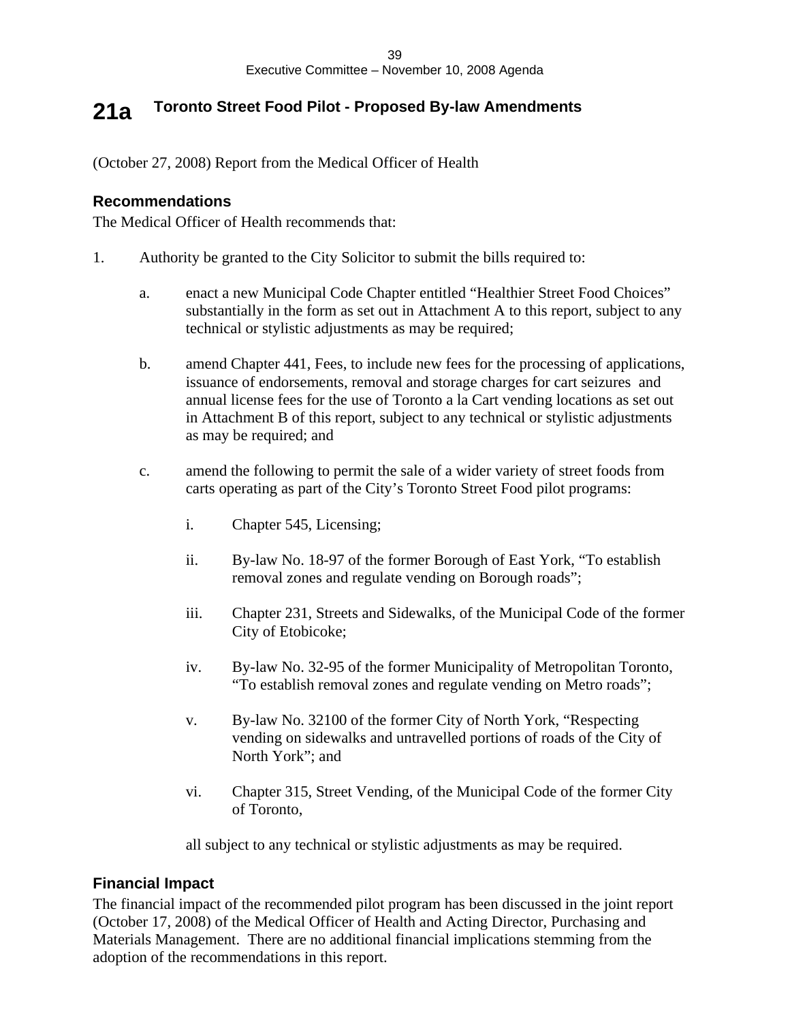# **21a Toronto Street Food Pilot - Proposed By-law Amendments**

(October 27, 2008) Report from the Medical Officer of Health

### **Recommendations**

The Medical Officer of Health recommends that:

- 1. Authority be granted to the City Solicitor to submit the bills required to:
	- a. enact a new Municipal Code Chapter entitled "Healthier Street Food Choices" substantially in the form as set out in Attachment A to this report, subject to any technical or stylistic adjustments as may be required;
	- b. amend Chapter 441, Fees, to include new fees for the processing of applications, issuance of endorsements, removal and storage charges for cart seizures and annual license fees for the use of Toronto a la Cart vending locations as set out in Attachment B of this report, subject to any technical or stylistic adjustments as may be required; and
	- c. amend the following to permit the sale of a wider variety of street foods from carts operating as part of the City's Toronto Street Food pilot programs:
		- i. Chapter 545, Licensing;
		- ii. By-law No. 18-97 of the former Borough of East York, "To establish removal zones and regulate vending on Borough roads";
		- iii. Chapter 231, Streets and Sidewalks, of the Municipal Code of the former City of Etobicoke;
		- iv. By-law No. 32-95 of the former Municipality of Metropolitan Toronto, "To establish removal zones and regulate vending on Metro roads";
		- v. By-law No. 32100 of the former City of North York, "Respecting vending on sidewalks and untravelled portions of roads of the City of North York"; and  $\blacksquare$
		- vi. Chapter 315, Street Vending, of the Municipal Code of the former City of Toronto,

all subject to any technical or stylistic adjustments as may be required.

### **Financial Impact**

The financial impact of the recommended pilot program has been discussed in the joint report (October 17, 2008) of the Medical Officer of Health and Acting Director, Purchasing and Materials Management. There are no additional financial implications stemming from the adoption of the recommendations in this report.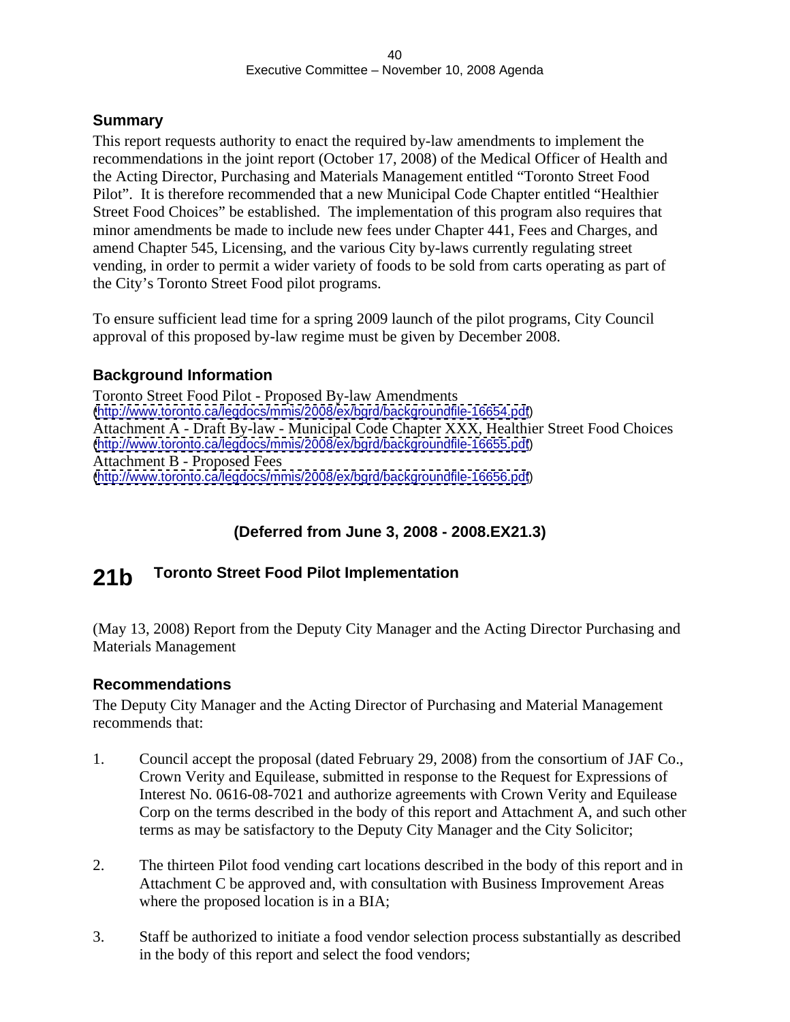### **Summary**

This report requests authority to enact the required by-law amendments to implement the recommendations in the joint report (October 17, 2008) of the Medical Officer of Health and the Acting Director, Purchasing and Materials Management entitled "Toronto Street Food Pilot". It is therefore recommended that a new Municipal Code Chapter entitled "Healthier Street Food Choices" be established. The implementation of this program also requires that minor amendments be made to include new fees under Chapter 441, Fees and Charges, and amend Chapter 545, Licensing, and the various City by-laws currently regulating street vending, in order to permit a wider variety of foods to be sold from carts operating as part of the City's Toronto Street Food pilot programs.

To ensure sufficient lead time for a spring 2009 launch of the pilot programs, City Council approval of this proposed by-law regime must be given by December 2008.

### **Background Information**

Toronto Street Food Pilot - Proposed By-law Amendments [\(http://www.toronto.ca/legdocs/mmis/2008/ex/bgrd/backgroundfile-16654.pdf](http://www.toronto.ca/legdocs/mmis/2008/ex/bgrd/backgroundfile-16654.pdf)) Attachment A - Draft By-law - Municipal Code Chapter XXX, Healthier Street Food Choices [\(http://www.toronto.ca/legdocs/mmis/2008/ex/bgrd/backgroundfile-16655.pdf](http://www.toronto.ca/legdocs/mmis/2008/ex/bgrd/backgroundfile-16655.pdf)) Attachment B - Proposed Fees [\(http://www.toronto.ca/legdocs/mmis/2008/ex/bgrd/backgroundfile-16656.pdf](http://www.toronto.ca/legdocs/mmis/2008/ex/bgrd/backgroundfile-16656.pdf))

# **(Deferred from June 3, 2008 - 2008.EX21.3)**

#### 21b Toronto Street Food Pilot Implementation **Toronto Street Food Pilot Implementation**

(May 13, 2008) Report from the Deputy City Manager and the Acting Director Purchasing and Materials Management

### **Recommendations**

The Deputy City Manager and the Acting Director of Purchasing and Material Management recommends that:

- 1. Council accept the proposal (dated February 29, 2008) from the consortium of JAF Co., Crown Verity and Equilease, submitted in response to the Request for Expressions of Interest No. 0616-08-7021 and authorize agreements with Crown Verity and Equilease Corp on the terms described in the body of this report and Attachment A, and such other terms as may be satisfactory to the Deputy City Manager and the City Solicitor;
- 2. The thirteen Pilot food vending cart locations described in the body of this report and in Attachment C be approved and, with consultation with Business Improvement Areas where the proposed location is in a BIA;
- 3. Staff be authorized to initiate a food vendor selection process substantially as described in the body of this report and select the food vendors;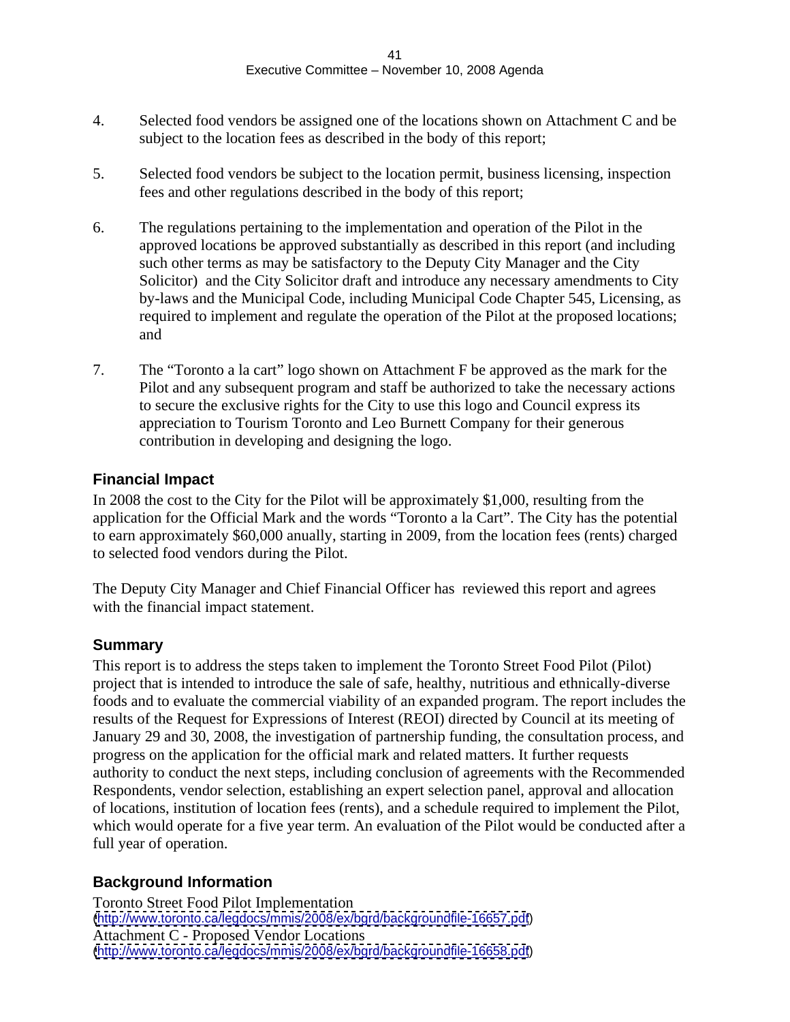- 4. Selected food vendors be assigned one of the locations shown on Attachment C and be subject to the location fees as described in the body of this report;
- 5. Selected food vendors be subject to the location permit, business licensing, inspection fees and other regulations described in the body of this report;
- 6. The regulations pertaining to the implementation and operation of the Pilot in the approved locations be approved substantially as described in this report (and including such other terms as may be satisfactory to the Deputy City Manager and the City Solicitor) and the City Solicitor draft and introduce any necessary amendments to City by-laws and the Municipal Code, including Municipal Code Chapter 545, Licensing, as required to implement and regulate the operation of the Pilot at the proposed locations; and
- 7. The "Toronto a la cart" logo shown on Attachment F be approved as the mark for the Pilot and any subsequent program and staff be authorized to take the necessary actions to secure the exclusive rights for the City to use this logo and Council express its appreciation to Tourism Toronto and Leo Burnett Company for their generous contribution in developing and designing the logo.

### **Financial Impact**

In 2008 the cost to the City for the Pilot will be approximately \$1,000, resulting from the application for the Official Mark and the words "Toronto a la Cart". The City has the potential to earn approximately \$60,000 anually, starting in 2009, from the location fees (rents) charged to selected food vendors during the Pilot.

The Deputy City Manager and Chief Financial Officer has reviewed this report and agrees with the financial impact statement.

### **Summary**

This report is to address the steps taken to implement the Toronto Street Food Pilot (Pilot) project that is intended to introduce the sale of safe, healthy, nutritious and ethnically-diverse foods and to evaluate the commercial viability of an expanded program. The report includes the results of the Request for Expressions of Interest (REOI) directed by Council at its meeting of January 29 and 30, 2008, the investigation of partnership funding, the consultation process, and progress on the application for the official mark and related matters. It further requests authority to conduct the next steps, including conclusion of agreements with the Recommended Respondents, vendor selection, establishing an expert selection panel, approval and allocation of locations, institution of location fees (rents), and a schedule required to implement the Pilot, which would operate for a five year term. An evaluation of the Pilot would be conducted after a full year of operation.

### **Background Information**

Toronto Street Food Pilot Implementation [\(http://www.toronto.ca/legdocs/mmis/2008/ex/bgrd/backgroundfile-16657.pdf](http://www.toronto.ca/legdocs/mmis/2008/ex/bgrd/backgroundfile-16657.pdf)) Attachment C - Proposed Vendor Locations [\(http://www.toronto.ca/legdocs/mmis/2008/ex/bgrd/backgroundfile-16658.pdf](http://www.toronto.ca/legdocs/mmis/2008/ex/bgrd/backgroundfile-16658.pdf))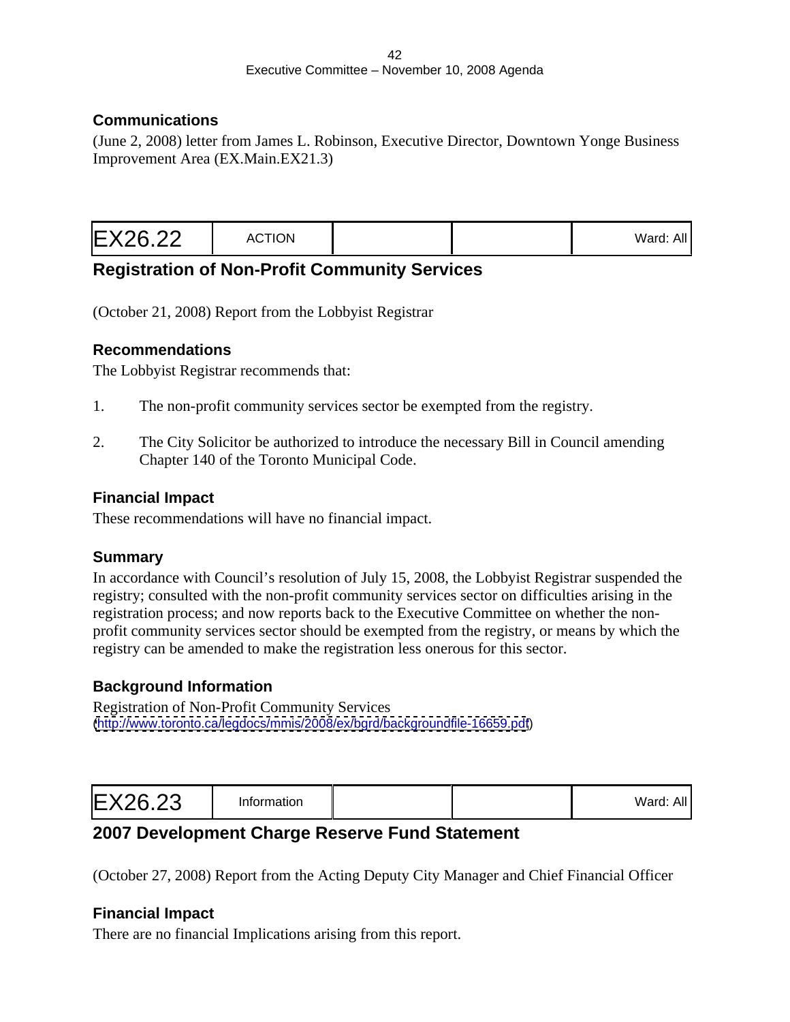### **Communications**

(June 2, 2008) letter from James L. Robinson, Executive Director, Downtown Yonge Business Improvement Area (EX.Main.EX21.3)

| valu. <sub>m</sub> |  |  |
|--------------------|--|--|
|--------------------|--|--|

## **Registration of Non-Profit Community Services**

(October 21, 2008) Report from the Lobbyist Registrar

### **Recommendations**

The Lobbyist Registrar recommends that:

- 1. The non-profit community services sector be exempted from the registry.
- 2. The City Solicitor be authorized to introduce the necessary Bill in Council amending Chapter 140 of the Toronto Municipal Code.

### **Financial Impact**

These recommendations will have no financial impact.

### **Summary**

In accordance with Council's resolution of July 15, 2008, the Lobbyist Registrar suspended the registry; consulted with the non-profit community services sector on difficulties arising in the registration process; and now reports back to the Executive Committee on whether the non profit community services sector should be exempted from the registry, or means by which the registry can be amended to make the registration less onerous for this sector.

### **Background Information**

Registration of Non-Profit Community Services [\(http://www.toronto.ca/legdocs/mmis/2008/ex/bgrd/backgroundfile-16659.pdf](http://www.toronto.ca/legdocs/mmis/2008/ex/bgrd/backgroundfile-16659.pdf))

|--|--|--|--|

# **2007 Development Charge Reserve Fund Statement**

(October 27, 2008) Report from the Acting Deputy City Manager and Chief Financial Officer

### **Financial Impact**

There are no financial Implications arising from this report.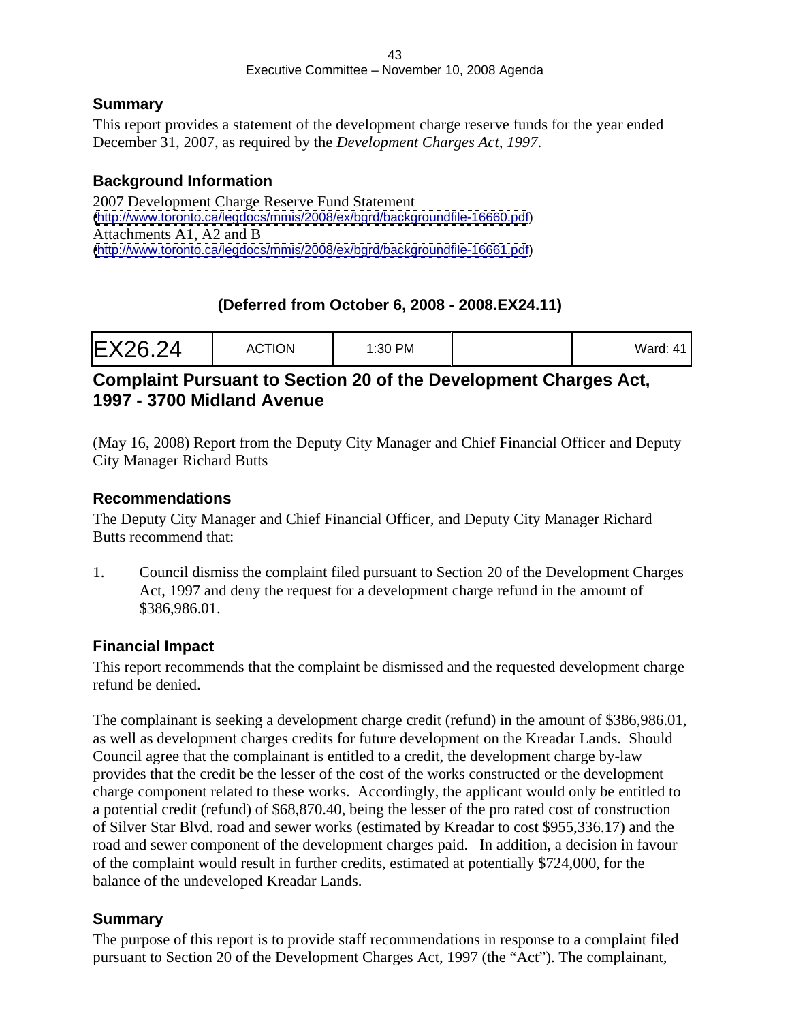### **Summary**

This report provides a statement of the development charge reserve funds for the year ended December 31, 2007, as required by the *Development Charges Act, 1997*.

### **Background Information**

2007 Development Charge Reserve Fund Statement [\(http://www.toronto.ca/legdocs/mmis/2008/ex/bgrd/backgroundfile-16660.pdf](http://www.toronto.ca/legdocs/mmis/2008/ex/bgrd/backgroundfile-16660.pdf)) Attachments A1, A2 and B [\(http://www.toronto.ca/legdocs/mmis/2008/ex/bgrd/backgroundfile-16661.pdf](http://www.toronto.ca/legdocs/mmis/2008/ex/bgrd/backgroundfile-16661.pdf))

## **(Deferred from October 6, 2008 - 2008.EX24.11)**

| EX26.24<br><b>ACTION</b><br>ייטויי | 1:30 PM |  |  |  |  |  |  |  |  |
|------------------------------------|---------|--|--|--|--|--|--|--|--|
|------------------------------------|---------|--|--|--|--|--|--|--|--|

## **Complaint Pursuant to Section 20 of the Development Charges Act, 1997 - 3700 Midland Avenue**

(May 16, 2008) Report from the Deputy City Manager and Chief Financial Officer and Deputy City Manager Richard Butts

### **Recommendations**

The Deputy City Manager and Chief Financial Officer, and Deputy City Manager Richard Butts recommend that:

1. Council dismiss the complaint filed pursuant to Section 20 of the Development Charges Act, 1997 and deny the request for a development charge refund in the amount of  $$386,986.01$ .

### **Financial Impact**

This report recommends that the complaint be dismissed and the requested development charge refund be denied.

The complainant is seeking a development charge credit (refund) in the amount of \$386,986.01, as well as development charges credits for future development on the Kreadar Lands. Should Council agree that the complainant is entitled to a credit, the development charge by-law provides that the credit be the lesser of the cost of the works constructed or the development charge component related to these works. Accordingly, the applicant would only be entitled to a potential credit (refund) of \$68,870.40, being the lesser of the pro rated cost of construction of Silver Star Blvd. road and sewer works (estimated by Kreadar to cost \$955,336.17) and the road and sewer component of the development charges paid. In addition, a decision in favour of the complaint would result in further credits, estimated at potentially \$724,000, for the balance of the undeveloped Kreadar Lands.

### **Summary**

The purpose of this report is to provide staff recommendations in response to a complaint filed pursuant to Section 20 of the Development Charges Act, 1997 (the "Act"). The complainant,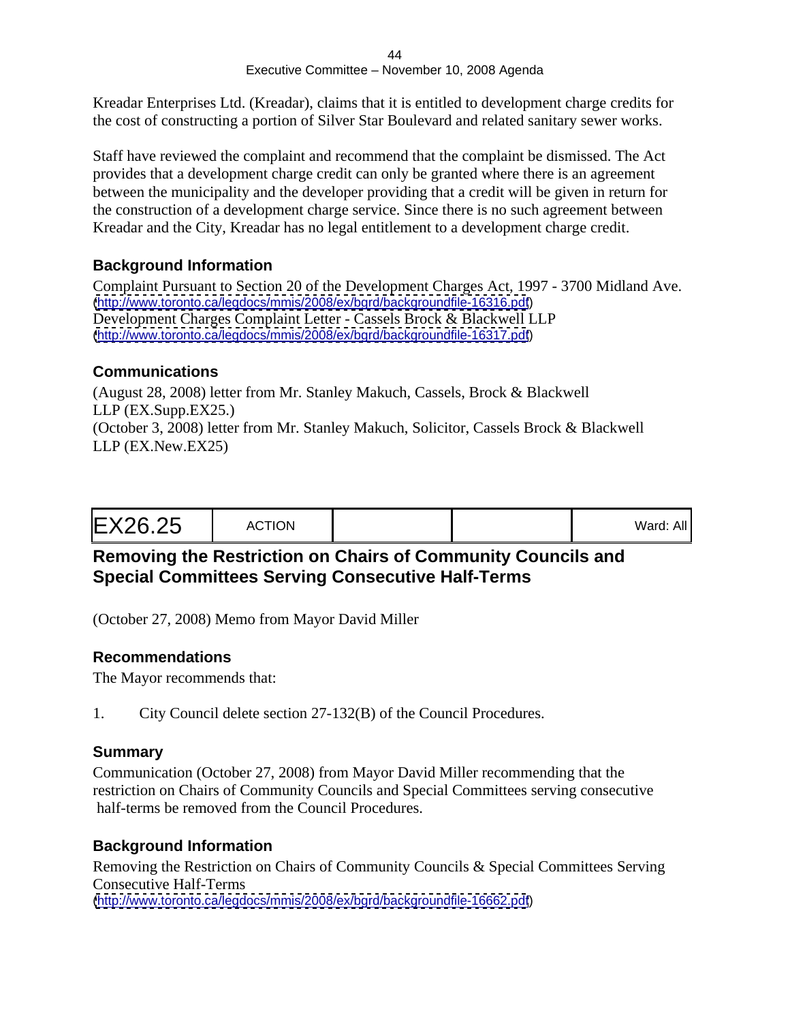Kreadar Enterprises Ltd. (Kreadar), claims that it is entitled to development charge credits for the cost of constructing a portion of Silver Star Boulevard and related sanitary sewer works.

Staff have reviewed the complaint and recommend that the complaint be dismissed. The Act provides that a development charge credit can only be granted where there is an agreement between the municipality and the developer providing that a credit will be given in return for the construction of a development charge service. Since there is no such agreement between Kreadar and the City, Kreadar has no legal entitlement to a development charge credit.

## **Background Information**

Complaint Pursuant to Section 20 of the Development Charges Act, 1997 - 3700 Midland Ave. [\(http://www.toronto.ca/legdocs/mmis/2008/ex/bgrd/backgroundfile-16316.pdf](http://www.toronto.ca/legdocs/mmis/2008/ex/bgrd/backgroundfile-16316.pdf)) Development Charges Complaint Letter - Cassels Brock & Blackwell LLP [\(http://www.toronto.ca/legdocs/mmis/2008/ex/bgrd/backgroundfile-16317.pdf](http://www.toronto.ca/legdocs/mmis/2008/ex/bgrd/backgroundfile-16317.pdf))

## **Communications**

(August 28, 2008) letter from Mr. Stanley Makuch, Cassels, Brock & Blackwell LLP (EX.Supp.EX25.) (October 3, 2008) letter from Mr. Stanley Makuch, Solicitor, Cassels Brock & Blackwell LLP (EX.New.EX25)

# **Removing the Restriction on Chairs of Community Councils and Special Committees Serving Consecutive Half-Terms**

(October 27, 2008) Memo from Mayor David Miller

### **Recommendations**

The Mayor recommends that:

1. City Council delete section 27-132(B) of the Council Procedures.

### **Summary**

Communication (October 27, 2008) from Mayor David Miller recommending that the restriction on Chairs of Community Councils and Special Committees serving consecutive half-terms be removed from the Council Procedures.

### **Background Information**

Removing the Restriction on Chairs of Community Councils & Special Committees Serving Consecutive Half-Terms [\(http://www.toronto.ca/legdocs/mmis/2008/ex/bgrd/backgroundfile-16662.pdf](http://www.toronto.ca/legdocs/mmis/2008/ex/bgrd/backgroundfile-16662.pdf))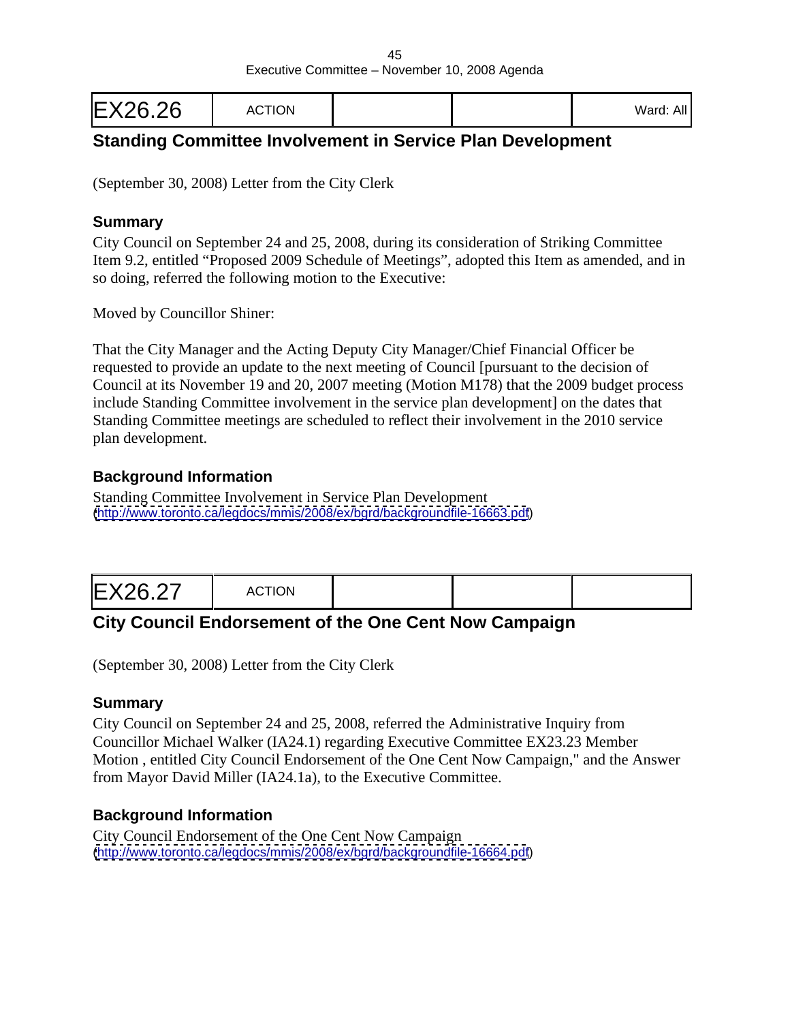| EX26.26 | <b>ACTION</b> |  |  | $M = 1$<br>alu. Al |  |  |  |  |  |  |  |
|---------|---------------|--|--|--------------------|--|--|--|--|--|--|--|
|---------|---------------|--|--|--------------------|--|--|--|--|--|--|--|

# **Standing Committee Involvement in Service Plan Development**

(September 30, 2008) Letter from the City Clerk

### **Summary**

City Council on September 24 and 25, 2008, during its consideration of Striking Committee Item 9.2, entitled "Proposed 2009 Schedule of Meetings", adopted this Item as amended, and in so doing, referred the following motion to the Executive:

Moved by Councillor Shiner:

That the City Manager and the Acting Deputy City Manager/Chief Financial Officer be requested to provide an update to the next meeting of Council [pursuant to the decision of Council at its November 19 and 20, 2007 meeting (Motion M178) that the 2009 budget process include Standing Committee involvement in the service plan development] on the dates that Standing Committee meetings are scheduled to reflect their involvement in the 2010 service plan development.

### **Background Information**

Standing Committee Involvement in Service Plan Development [\(http://www.toronto.ca/legdocs/mmis/2008/ex/bgrd/backgroundfile-16663.pdf](http://www.toronto.ca/legdocs/mmis/2008/ex/bgrd/backgroundfile-16663.pdf))

|--|--|--|

# **City Council Endorsement of the One Cent Now Campaign**

(September 30, 2008) Letter from the City Clerk

### **Summary**

City Council on September 24 and 25, 2008, referred the Administrative Inquiry from Councillor Michael Walker (IA24.1) regarding Executive Committee EX23.23 Member Motion , entitled City Council Endorsement of the One Cent Now Campaign," and the Answer from Mayor David Miller (IA24.1a), to the Executive Committee.

### **Background Information**

City Council Endorsement of the One Cent Now Campaign [\(http://www.toronto.ca/legdocs/mmis/2008/ex/bgrd/backgroundfile-16664.pdf](http://www.toronto.ca/legdocs/mmis/2008/ex/bgrd/backgroundfile-16664.pdf))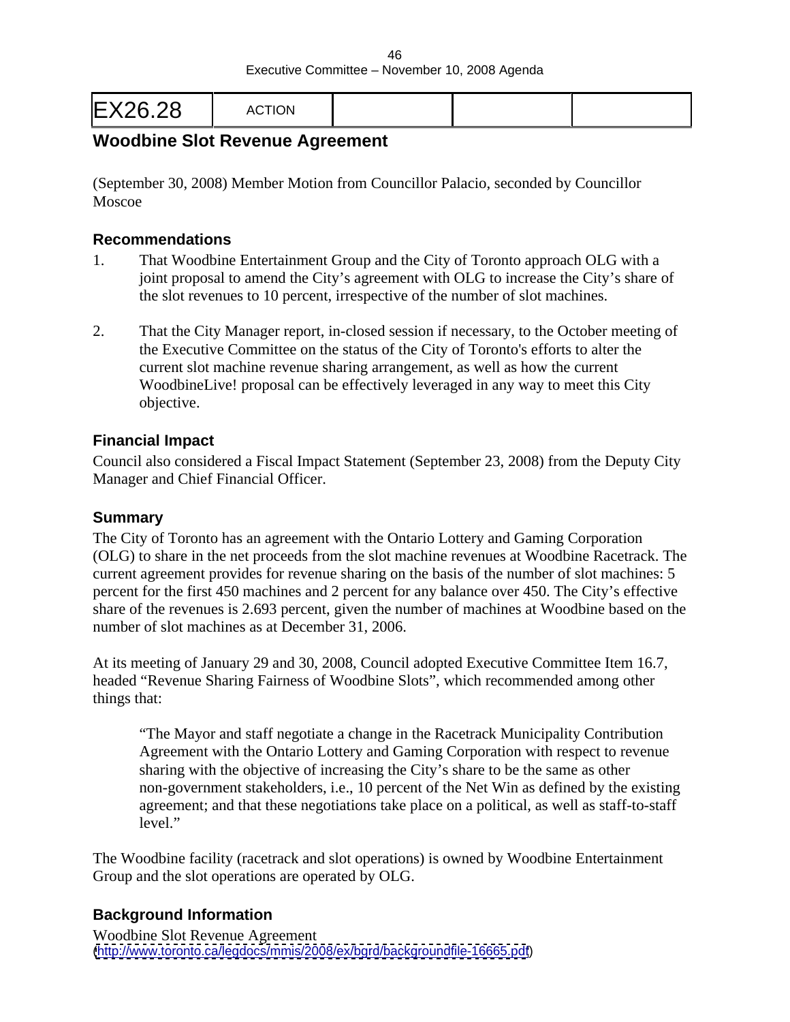|--|--|--|

# **Woodbine Slot Revenue Agreement**

(September 30, 2008) Member Motion from Councillor Palacio, seconded by Councillor Moscoe **Moscoe** and the set of the set of the set of the set of the set of the set of the set of the set of the set of the set of the set of the set of the set of the set of the set of the set of the set of the set of the

### **Recommendations**

- 1. That Woodbine Entertainment Group and the City of Toronto approach OLG with a joint proposal to amend the City's agreement with OLG to increase the City's share of the slot revenues to 10 percent, irrespective of the number of slot machines.
- 2. That the City Manager report, in-closed session if necessary, to the October meeting of the Executive Committee on the status of the City of Toronto's efforts to alter the current slot machine revenue sharing arrangement, as well as how the current WoodbineLive! proposal can be effectively leveraged in any way to meet this City objective.

#### **Financial Impact**

Council also considered a Fiscal Impact Statement (September 23, 2008) from the Deputy City Manager and Chief Financial Officer.

#### **Summary**

The City of Toronto has an agreement with the Ontario Lottery and Gaming Corporation (OLG) to share in the net proceeds from the slot machine revenues at Woodbine Racetrack. The current agreement provides for revenue sharing on the basis of the number of slot machines: 5 percent for the first 450 machines and 2 percent for any balance over 450. The City's effective share of the revenues is 2.693 percent, given the number of machines at Woodbine based on the number of slot machines as at December 31, 2006.

At its meeting of January 29 and 30, 2008, Council adopted Executive Committee Item 16.7, headed "Revenue Sharing Fairness of Woodbine Slots", which recommended among other things that:

"The Mayor and staff negotiate a change in the Racetrack Municipality Contribution Agreement with the Ontario Lottery and Gaming Corporation with respect to revenue sharing with the objective of increasing the City's share to be the same as other non-government stakeholders, i.e., 10 percent of the Net Win as defined by the existing agreement; and that these negotiations take place on a political, as well as staff-to-staff level."

The Woodbine facility (racetrack and slot operations) is owned by Woodbine Entertainment Group and the slot operations are operated by OLG.

### **Background Information**

Woodbine Slot Revenue Agreement [\(http://www.toronto.ca/legdocs/mmis/2008/ex/bgrd/backgroundfile-16665.pdf](http://www.toronto.ca/legdocs/mmis/2008/ex/bgrd/backgroundfile-16665.pdf))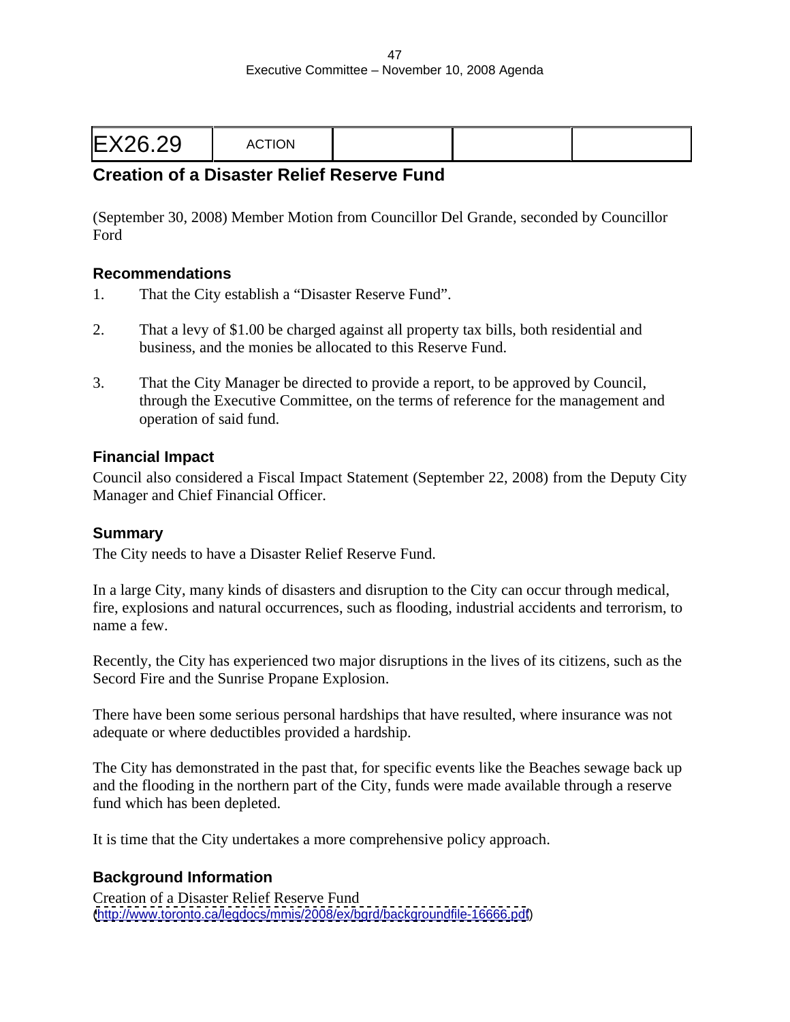|--|--|

# **Creation of a Disaster Relief Reserve Fund**

(September 30, 2008) Member Motion from Councillor Del Grande, seconded by Councillor Ford **Ford** 

#### **Recommendations**

- 1. That the City establish a "Disaster Reserve Fund".
- 2. That a levy of \$1.00 be charged against all property tax bills, both residential and business, and the monies be allocated to this Reserve Fund.
- 3. That the City Manager be directed to provide a report, to be approved by Council, through the Executive Committee, on the terms of reference for the management and operation of said fund.

#### **Financial Impact**

Council also considered a Fiscal Impact Statement (September 22, 2008) from the Deputy City Manager and Chief Financial Officer.

#### **Summary**

The City needs to have a Disaster Relief Reserve Fund.

In a large City, many kinds of disasters and disruption to the City can occur through medical, fire, explosions and natural occurrences, such as flooding, industrial accidents and terrorism, to name a few.

Recently, the City has experienced two major disruptions in the lives of its citizens, such as the Secord Fire and the Sunrise Propane Explosion.

There have been some serious personal hardships that have resulted, where insurance was not adequate or where deductibles provided a hardship.

The City has demonstrated in the past that, for specific events like the Beaches sewage back up and the flooding in the northern part of the City, funds were made available through a reserve fund which has been depleted.

It is time that the City undertakes a more comprehensive policy approach.

### **Background Information**

Creation of a Disaster Relief Reserve Fund [\(http://www.toronto.ca/legdocs/mmis/2008/ex/bgrd/backgroundfile-16666.pdf](http://www.toronto.ca/legdocs/mmis/2008/ex/bgrd/backgroundfile-16666.pdf))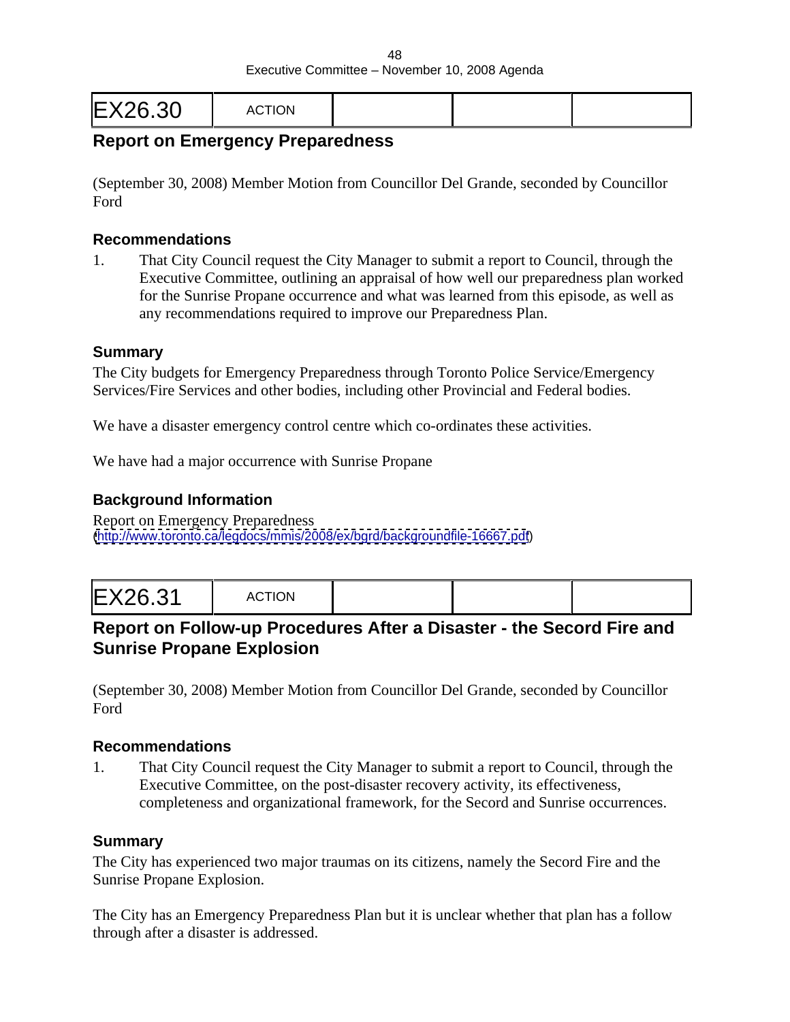|--|--|

# **Report on Emergency Preparedness**

(September 30, 2008) Member Motion from Councillor Del Grande, seconded by Councillor Ford **Ford** 

#### **Recommendations**

1. That City Council request the City Manager to submit a report to Council, through the Executive Committee, outlining an appraisal of how well our preparedness plan worked for the Sunrise Propane occurrence and what was learned from this episode, as well as any recommendations required to improve our Preparedness Plan.

#### **Summary**

The City budgets for Emergency Preparedness through Toronto Police Service/Emergency Services/Fire Services and other bodies, including other Provincial and Federal bodies.

We have a disaster emergency control centre which co-ordinates these activities.

We have had a major occurrence with Sunrise Propane

### **Background Information**

Report on Emergency Preparedness [\(http://www.toronto.ca/legdocs/mmis/2008/ex/bgrd/backgroundfile-16667.pdf](http://www.toronto.ca/legdocs/mmis/2008/ex/bgrd/backgroundfile-16667.pdf))

|--|--|--|--|

## **Report on Follow-up Procedures After a Disaster - the Secord Fire and Sunrise Propane Explosion**

(September 30, 2008) Member Motion from Councillor Del Grande, seconded by Councillor Ford **Ford** 

#### **Recommendations**

1. That City Council request the City Manager to submit a report to Council, through the Executive Committee, on the post-disaster recovery activity, its effectiveness, completeness and organizational framework, for the Secord and Sunrise occurrences.

#### **Summary**

The City has experienced two major traumas on its citizens, namely the Secord Fire and the Sunrise Propane Explosion.

The City has an Emergency Preparedness Plan but it is unclear whether that plan has a follow through after a disaster is addressed.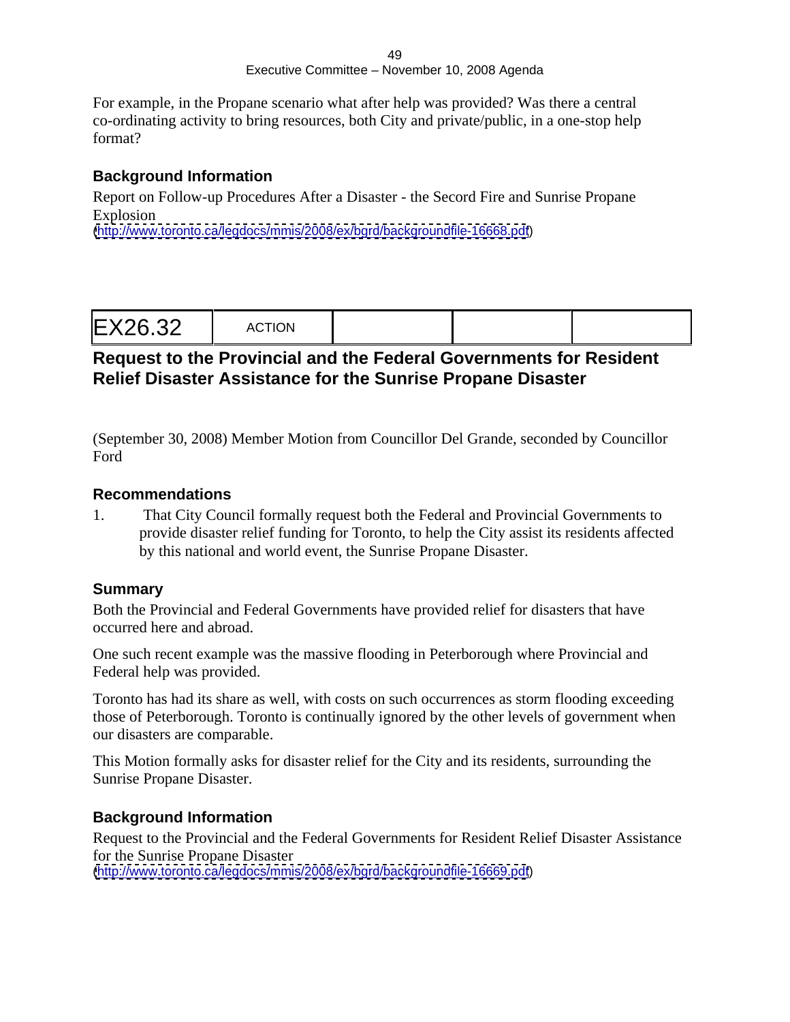#### 49 Executive Committee – November 10, 2008 Agenda

For example, in the Propane scenario what after help was provided? Was there a central co-ordinating activity to bring resources, both City and private/public, in a one-stop help format?

### **Background Information**

Report on Follow-up Procedures After a Disaster - the Secord Fire and Sunrise Propane Explosion

[\(http://www.toronto.ca/legdocs/mmis/2008/ex/bgrd/backgroundfile-16668.pdf](http://www.toronto.ca/legdocs/mmis/2008/ex/bgrd/backgroundfile-16668.pdf))

### **Request to the Provincial and the Federal Governments for Resident Relief Disaster Assistance for the Sunrise Propane Disaster**

(September 30, 2008) Member Motion from Councillor Del Grande, seconded by Councillor Ford **Ford** 

### **Recommendations**

1. That City Council formally request both the Federal and Provincial Governments to provide disaster relief funding for Toronto, to help the City assist its residents affected by this national and world event, the Sunrise Propane Disaster.

### **Summary**

Both the Provincial and Federal Governments have provided relief for disasters that have occurred here and abroad.

One such recent example was the massive flooding in Peterborough where Provincial and Federal help was provided.

Toronto has had its share as well, with costs on such occurrences as storm flooding exceeding those of Peterborough. Toronto is continually ignored by the other levels of government when our disasters are comparable.

This Motion formally asks for disaster relief for the City and its residents, surrounding the Sunrise Propane Disaster.

### **Background Information**

Request to the Provincial and the Federal Governments for Resident Relief Disaster Assistance for the Sunrise Propane Disaster [\(http://www.toronto.ca/legdocs/mmis/2008/ex/bgrd/backgroundfile-16669.pdf](http://www.toronto.ca/legdocs/mmis/2008/ex/bgrd/backgroundfile-16669.pdf))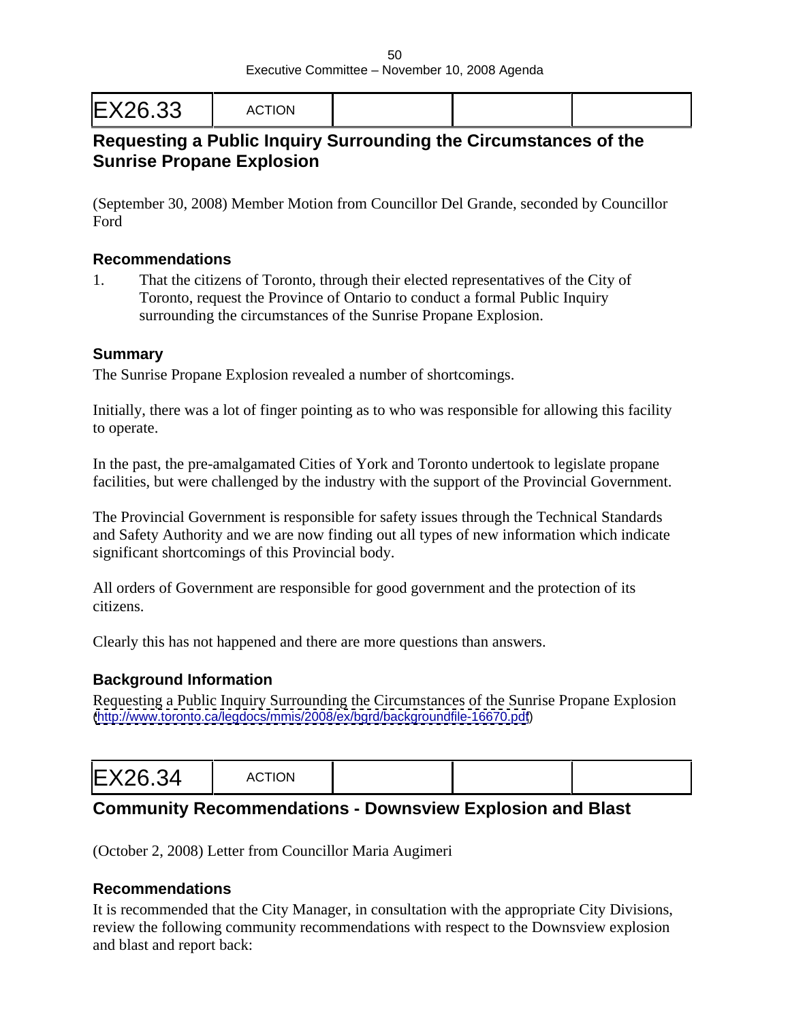# **Requesting a Public Inquiry Surrounding the Circumstances of the Sunrise Propane Explosion**

(September 30, 2008) Member Motion from Councillor Del Grande, seconded by Councillor Ford **Ford** 

### **Recommendations**

1. That the citizens of Toronto, through their elected representatives of the City of Toronto, request the Province of Ontario to conduct a formal Public Inquiry surrounding the circumstances of the Sunrise Propane Explosion.

#### **Summary**

The Sunrise Propane Explosion revealed a number of shortcomings.

Initially, there was a lot of finger pointing as to who was responsible for allowing this facility to operate.

In the past, the pre-amalgamated Cities of York and Toronto undertook to legislate propane facilities, but were challenged by the industry with the support of the Provincial Government.

The Provincial Government is responsible for safety issues through the Technical Standards and Safety Authority and we are now finding out all types of new information which indicate significant shortcomings of this Provincial body.

All orders of Government are responsible for good government and the protection of its citizens.

Clearly this has not happened and there are more questions than answers.

### **Background Information**

Requesting a Public Inquiry Surrounding the Circumstances of the Sunrise Propane Explosion [\(http://www.toronto.ca/legdocs/mmis/2008/ex/bgrd/backgroundfile-16670.pdf](http://www.toronto.ca/legdocs/mmis/2008/ex/bgrd/backgroundfile-16670.pdf))

| EX26.34 | <b>IOTION</b><br>AUTION. |  |  |  |  |  |  |  |  |  |
|---------|--------------------------|--|--|--|--|--|--|--|--|--|
|---------|--------------------------|--|--|--|--|--|--|--|--|--|

### **Community Recommendations - Downsview Explosion and Blast**

(October 2, 2008) Letter from Councillor Maria Augimeri

### **Recommendations**

It is recommended that the City Manager, in consultation with the appropriate City Divisions, review the following community recommendations with respect to the Downsview explosion and blast and report back: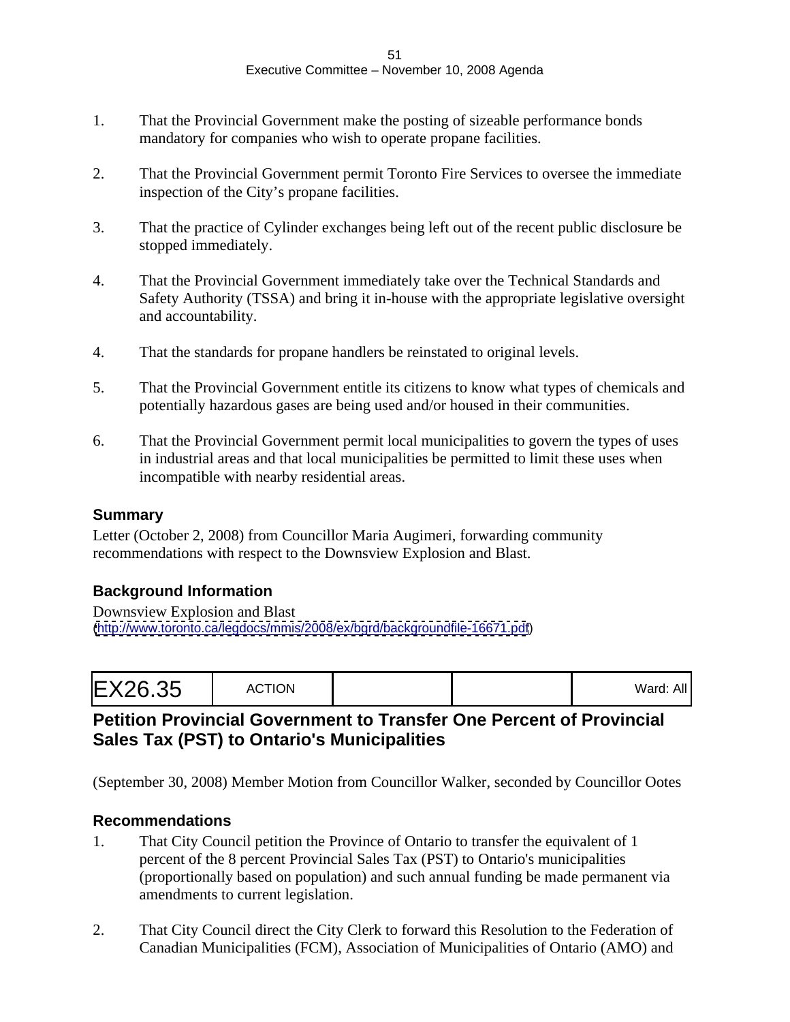#### Executive Committee – November 10, 2008 Agenda

- 1. That the Provincial Government make the posting of sizeable performance bonds mandatory for companies who wish to operate propane facilities.
- 2. That the Provincial Government permit Toronto Fire Services to oversee the immediate inspection of the City's propane facilities.
- 3. That the practice of Cylinder exchanges being left out of the recent public disclosure be stopped immediately.
- 4. That the Provincial Government immediately take over the Technical Standards and Safety Authority (TSSA) and bring it in-house with the appropriate legislative oversight and accountability.
- 4. That the standards for propane handlers be reinstated to original levels.
- 5. That the Provincial Government entitle its citizens to know what types of chemicals and potentially hazardous gases are being used and/or housed in their communities.
- 6. That the Provincial Government permit local municipalities to govern the types of uses in industrial areas and that local municipalities be permitted to limit these uses when incompatible with nearby residential areas.

#### **Summary**

Letter (October 2, 2008) from Councillor Maria Augimeri, forwarding community recommendations with respect to the Downsview Explosion and Blast.

### **Background Information**

Downsview Explosion and Blast [\(http://www.toronto.ca/legdocs/mmis/2008/ex/bgrd/backgroundfile-16671.pdf](http://www.toronto.ca/legdocs/mmis/2008/ex/bgrd/backgroundfile-16671.pdf))

|--|--|--|--|

## **Petition Provincial Government to Transfer One Percent of Provincial Sales Tax (PST) to Ontario's Municipalities**

(September 30, 2008) Member Motion from Councillor Walker, seconded by Councillor Ootes

#### **Recommendations**

- 1. That City Council petition the Province of Ontario to transfer the equivalent of 1 percent of the 8 percent Provincial Sales Tax (PST) to Ontario's municipalities (proportionally based on population) and such annual funding be made permanent via amendments to current legislation.
- 2. That City Council direct the City Clerk to forward this Resolution to the Federation of Canadian Municipalities (FCM), Association of Municipalities of Ontario (AMO) and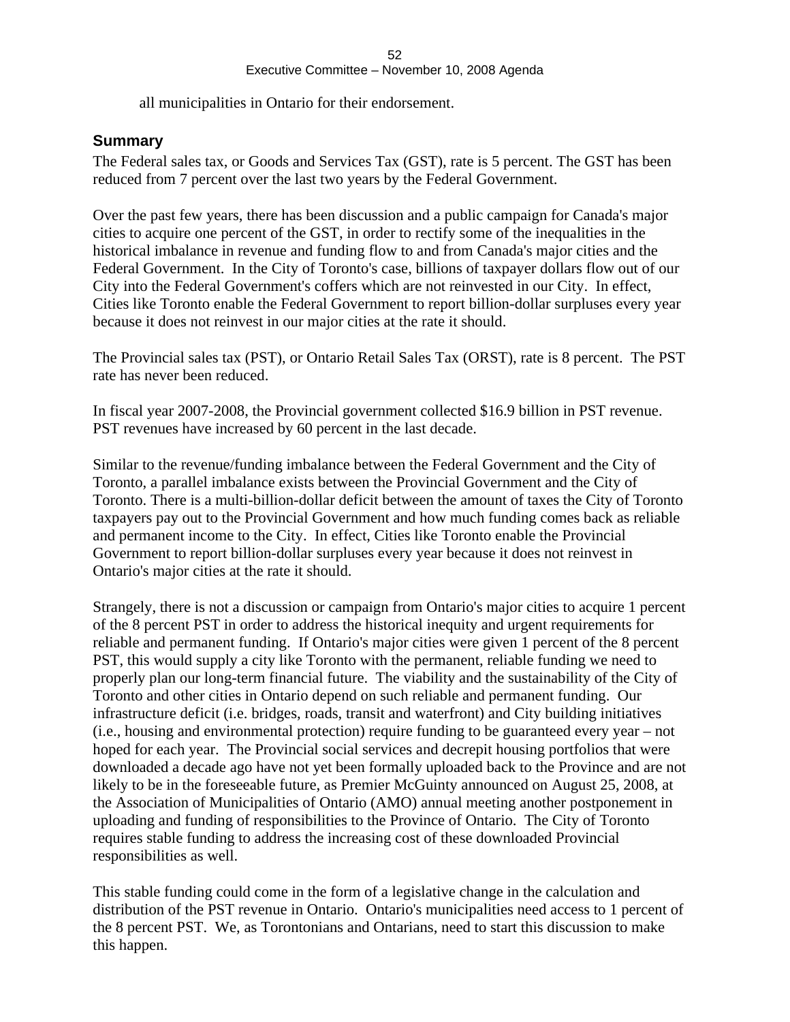all municipalities in Ontario for their endorsement.

### **Summary**

The Federal sales tax, or Goods and Services Tax (GST), rate is 5 percent. The GST has been reduced from 7 percent over the last two years by the Federal Government.

Over the past few years, there has been discussion and a public campaign for Canada's major cities to acquire one percent of the GST, in order to rectify some of the inequalities in the historical imbalance in revenue and funding flow to and from Canada's major cities and the Federal Government. In the City of Toronto's case, billions of taxpayer dollars flow out of our City into the Federal Government's coffers which are not reinvested in our City. In effect, Cities like Toronto enable the Federal Government to report billion-dollar surpluses every year because it does not reinvest in our major cities at the rate it should.

The Provincial sales tax (PST), or Ontario Retail Sales Tax (ORST), rate is 8 percent. The PST rate has never been reduced.

In fiscal year 2007-2008, the Provincial government collected \$16.9 billion in PST revenue. PST revenues have increased by 60 percent in the last decade.

Similar to the revenue/funding imbalance between the Federal Government and the City of Toronto, a parallel imbalance exists between the Provincial Government and the City of Toronto. There is a multi-billion-dollar deficit between the amount of taxes the City of Toronto taxpayers pay out to the Provincial Government and how much funding comes back as reliable and permanent income to the City. In effect, Cities like Toronto enable the Provincial Government to report billion-dollar surpluses every year because it does not reinvest in Ontario's major cities at the rate it should.

Strangely, there is not a discussion or campaign from Ontario's major cities to acquire 1 percent of the 8 percent PST in order to address the historical inequity and urgent requirements for reliable and permanent funding. If Ontario's major cities were given 1 percent of the 8 percent PST, this would supply a city like Toronto with the permanent, reliable funding we need to properly plan our long-term financial future. The viability and the sustainability of the City of Toronto and other cities in Ontario depend on such reliable and permanent funding. Our infrastructure deficit (i.e. bridges, roads, transit and waterfront) and City building initiatives (i.e., housing and environmental protection) require funding to be guaranteed every year – not hoped for each year. The Provincial social services and decrepit housing portfolios that were downloaded a decade ago have not yet been formally uploaded back to the Province and are not likely to be in the foreseeable future, as Premier McGuinty announced on August 25, 2008, at the Association of Municipalities of Ontario (AMO) annual meeting another postponement in uploading and funding of responsibilities to the Province of Ontario. The City of Toronto requires stable funding to address the increasing cost of these downloaded Provincial responsibilities as well.

This stable funding could come in the form of a legislative change in the calculation and distribution of the PST revenue in Ontario. Ontario's municipalities need access to 1 percent of the 8 percent PST. We, as Torontonians and Ontarians, need to start this discussion to make this happen.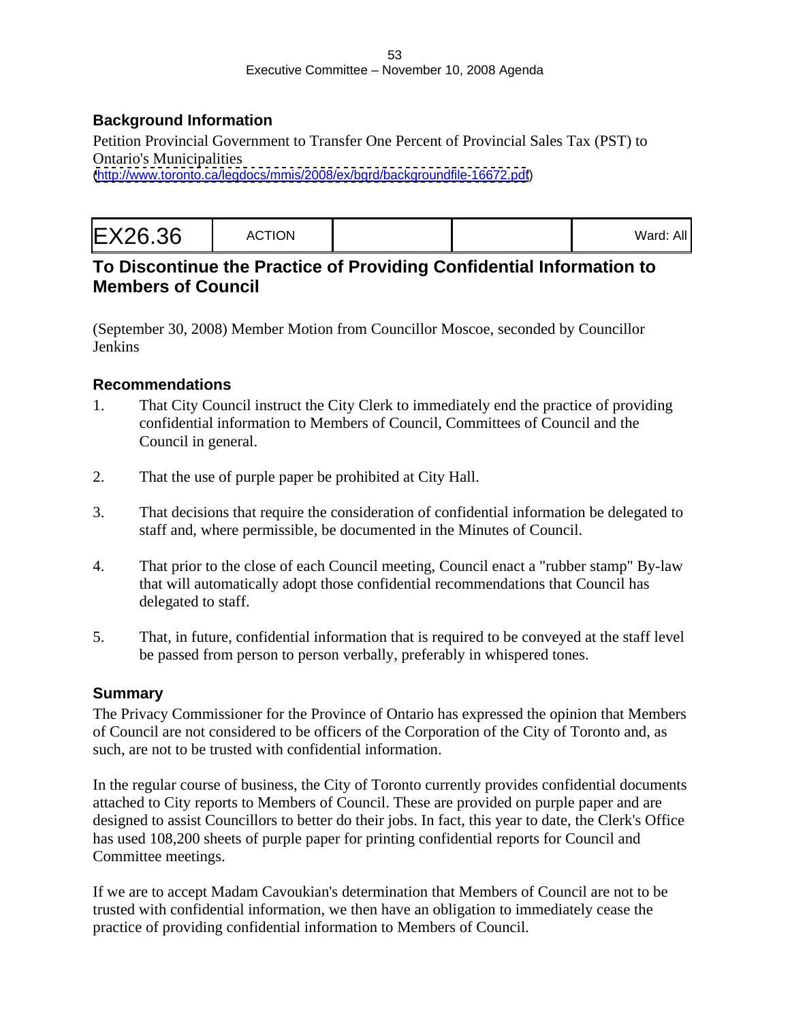### **Background Information**

Petition Provincial Government to Transfer One Percent of Provincial Sales Tax (PST) to Ontario's Municipalities [\(http://www.toronto.ca/legdocs/mmis/2008/ex/bgrd/backgroundfile-16672.pdf](http://www.toronto.ca/legdocs/mmis/2008/ex/bgrd/backgroundfile-16672.pdf))

|--|--|--|

# **To Discontinue the Practice of Providing Confidential Information to Members of Council**

(September 30, 2008) Member Motion from Councillor Moscoe, seconded by Councillor Jenkins

### **Recommendations**

- 1. That City Council instruct the City Clerk to immediately end the practice of providing confidential information to Members of Council, Committees of Council and the Council in general.
- 2. That the use of purple paper be prohibited at City Hall.
- 3. That decisions that require the consideration of confidential information be delegated to staff and, where permissible, be documented in the Minutes of Council.
- 4. That prior to the close of each Council meeting, Council enact a "rubber stamp" By-law that will automatically adopt those confidential recommendations that Council has delegated to staff.
- 5. That, in future, confidential information that is required to be conveyed at the staff level be passed from person to person verbally, preferably in whispered tones.

### **Summary**

The Privacy Commissioner for the Province of Ontario has expressed the opinion that Members of Council are not considered to be officers of the Corporation of the City of Toronto and, as such, are not to be trusted with confidential information.

In the regular course of business, the City of Toronto currently provides confidential documents attached to City reports to Members of Council. These are provided on purple paper and are designed to assist Councillors to better do their jobs. In fact, this year to date, the Clerk's Office has used 108,200 sheets of purple paper for printing confidential reports for Council and Committee meetings.

If we are to accept Madam Cavoukian's determination that Members of Council are not to be trusted with confidential information, we then have an obligation to immediately cease the practice of providing confidential information to Members of Council.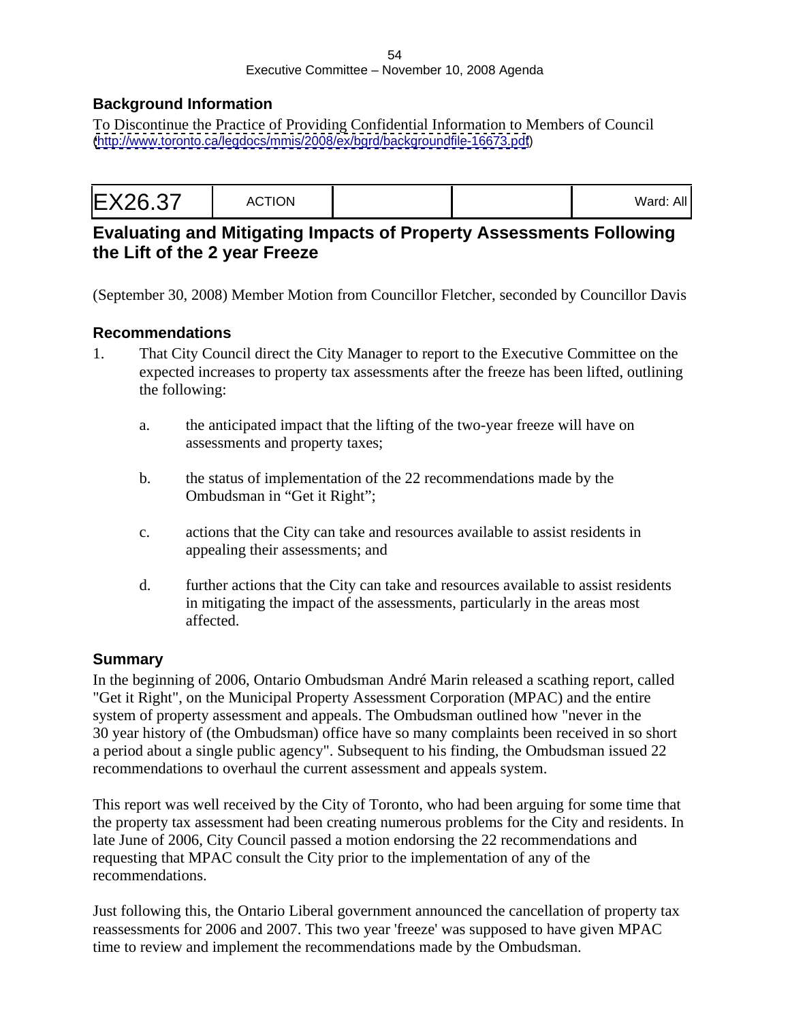### **Background Information**

To Discontinue the Practice of Providing Confidential Information to Members of Council [\(http://www.toronto.ca/legdocs/mmis/2008/ex/bgrd/backgroundfile-16673.pdf](http://www.toronto.ca/legdocs/mmis/2008/ex/bgrd/backgroundfile-16673.pdf))

|--|--|

### **Evaluating and Mitigating Impacts of Property Assessments Following the Lift of the 2 year Freeze**

(September 30, 2008) Member Motion from Councillor Fletcher, seconded by Councillor Davis

#### **Recommendations**

- 1. That City Council direct the City Manager to report to the Executive Committee on the expected increases to property tax assessments after the freeze has been lifted, outlining the following:
	- a. the anticipated impact that the lifting of the two-year freeze will have on assessments and property taxes;
	- b. the status of implementation of the 22 recommendations made by the Ombudsman in "Get it Right";
	- c. actions that the City can take and resources available to assist residents in appealing their assessments; and
	- d. further actions that the City can take and resources available to assist residents in mitigating the impact of the assessments, particularly in the areas most affected. The contract of the contract of the contract of the contract of the contract of the contract of the contract of the contract of the contract of the contract of the contract of the contract of the contract of the

### **Summary**

In the beginning of 2006, Ontario Ombudsman André Marin released a scathing report, called "Get it Right", on the Municipal Property Assessment Corporation (MPAC) and the entire system of property assessment and appeals. The Ombudsman outlined how "never in the 30 year history of (the Ombudsman) office have so many complaints been received in so short a period about a single public agency". Subsequent to his finding, the Ombudsman issued 22 recommendations to overhaul the current assessment and appeals system.

This report was well received by the City of Toronto, who had been arguing for some time that the property tax assessment had been creating numerous problems for the City and residents. In late June of 2006, City Council passed a motion endorsing the 22 recommendations and requesting that MPAC consult the City prior to the implementation of any of the recommendations.

Just following this, the Ontario Liberal government announced the cancellation of property tax reassessments for 2006 and 2007. This two year 'freeze' was supposed to have given MPAC time to review and implement the recommendations made by the Ombudsman.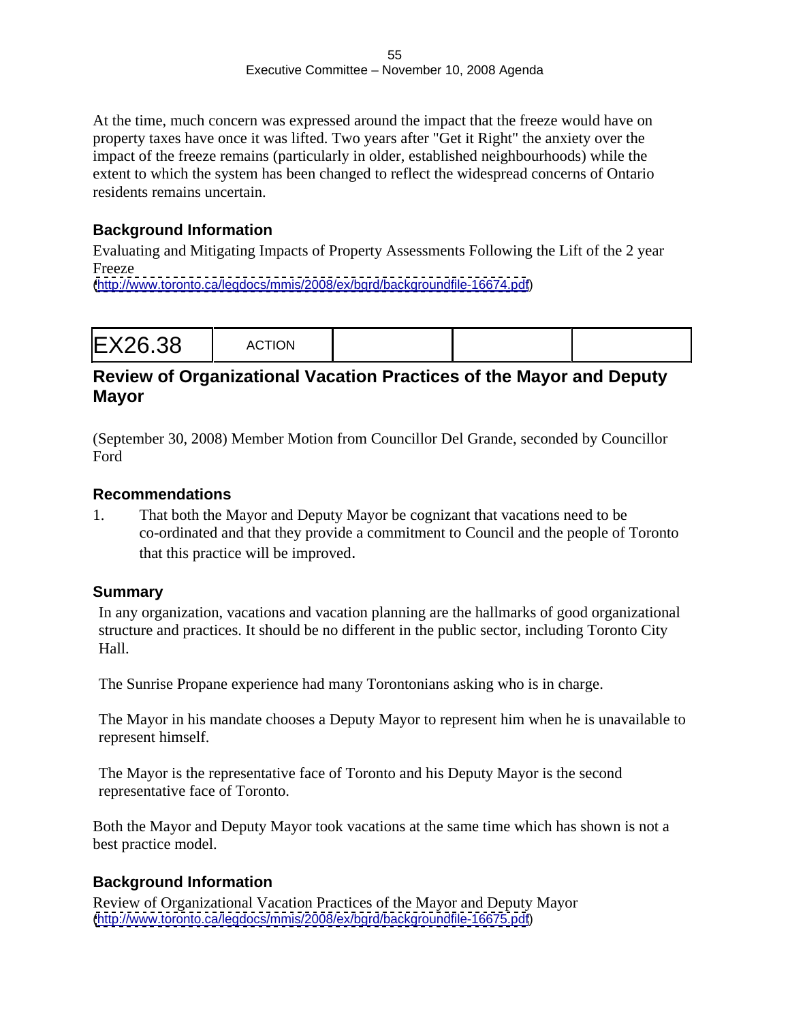At the time, much concern was expressed around the impact that the freeze would have on property taxes have once it was lifted. Two years after "Get it Right" the anxiety over the impact of the freeze remains (particularly in older, established neighbourhoods) while the extent to which the system has been changed to reflect the widespread concerns of Ontario residents remains uncertain.

### **Background Information**

Evaluating and Mitigating Impacts of Property Assessments Following the Lift of the 2 year Freeze

[\(http://www.toronto.ca/legdocs/mmis/2008/ex/bgrd/backgroundfile-16674.pdf](http://www.toronto.ca/legdocs/mmis/2008/ex/bgrd/backgroundfile-16674.pdf))

# **Review of Organizational Vacation Practices of the Mayor and Deputy Mayor**

(September 30, 2008) Member Motion from Councillor Del Grande, seconded by Councillor Ford **Ford** 

### **Recommendations**

1. That both the Mayor and Deputy Mayor be cognizant that vacations need to be co-ordinated and that they provide a commitment to Council and the people of Toronto that this practice will be improved.

### **Summary**

In any organization, vacations and vacation planning are the hallmarks of good organizational structure and practices. It should be no different in the public sector, including Toronto City Hall.

The Sunrise Propane experience had many Torontonians asking who is in charge.

The Mayor in his mandate chooses a Deputy Mayor to represent him when he is unavailable to represent himself.

The Mayor is the representative face of Toronto and his Deputy Mayor is the second representative face of Toronto.

Both the Mayor and Deputy Mayor took vacations at the same time which has shown is not a best practice model.

# **Background Information**

Review of Organizational Vacation Practices of the Mayor and Deputy Mayor [\(http://www.toronto.ca/legdocs/mmis/2008/ex/bgrd/backgroundfile-16675.pdf](http://www.toronto.ca/legdocs/mmis/2008/ex/bgrd/backgroundfile-16675.pdf))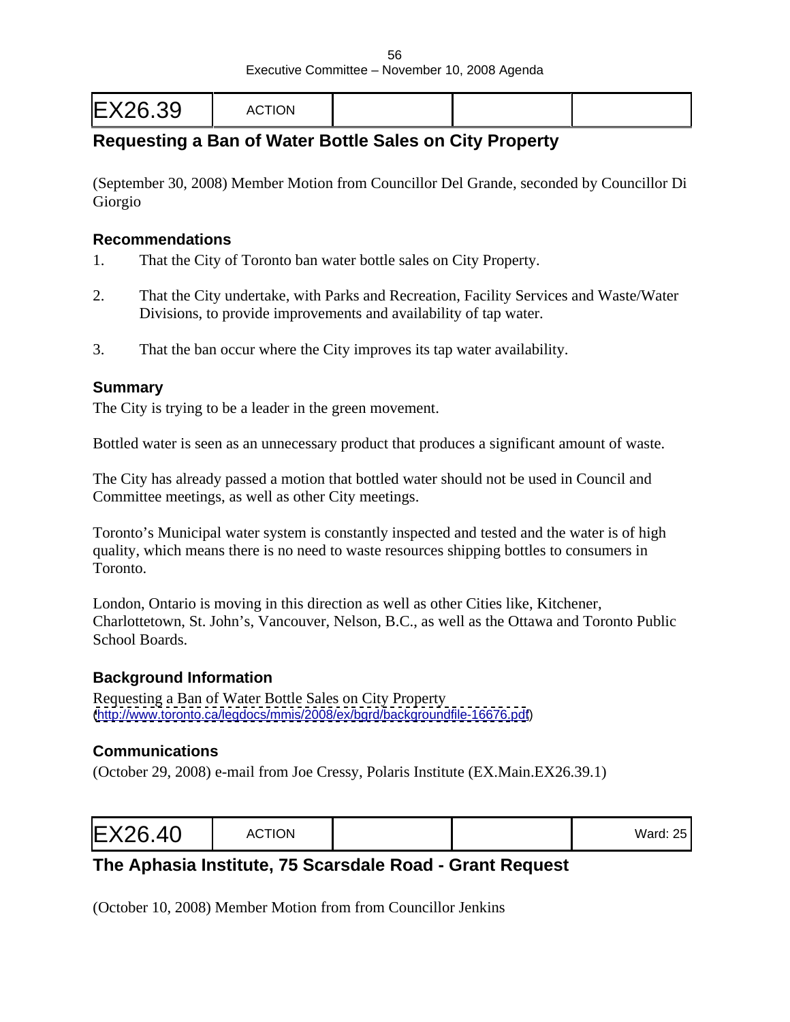# **Requesting a Ban of Water Bottle Sales on City Property**

(September 30, 2008) Member Motion from Councillor Del Grande, seconded by Councillor Di Giorgio

#### **Recommendations**

- 1. That the City of Toronto ban water bottle sales on City Property.
- 2. That the City undertake, with Parks and Recreation, Facility Services and Waste/Water Divisions, to provide improvements and availability of tap water.
- 3. That the ban occur where the City improves its tap water availability.

#### **Summary**

The City is trying to be a leader in the green movement.

Bottled water is seen as an unnecessary product that produces a significant amount of waste.

The City has already passed a motion that bottled water should not be used in Council and Committee meetings, as well as other City meetings.

Toronto's Municipal water system is constantly inspected and tested and the water is of high quality, which means there is no need to waste resources shipping bottles to consumers in Toronto.

London, Ontario is moving in this direction as well as other Cities like, Kitchener, Charlottetown, St. John's, Vancouver, Nelson, B.C., as well as the Ottawa and Toronto Public School Boards.

### **Background Information**

Requesting a Ban of Water Bottle Sales on City Property [\(http://www.toronto.ca/legdocs/mmis/2008/ex/bgrd/backgroundfile-16676.pdf](http://www.toronto.ca/legdocs/mmis/2008/ex/bgrd/backgroundfile-16676.pdf))

### **Communications**

(October 29, 2008) e-mail from Joe Cressy, Polaris Institute (EX.Main.EX26.39.1)

|--|--|

# **The Aphasia Institute, 75 Scarsdale Road - Grant Request**

(October 10, 2008) Member Motion from from Councillor Jenkins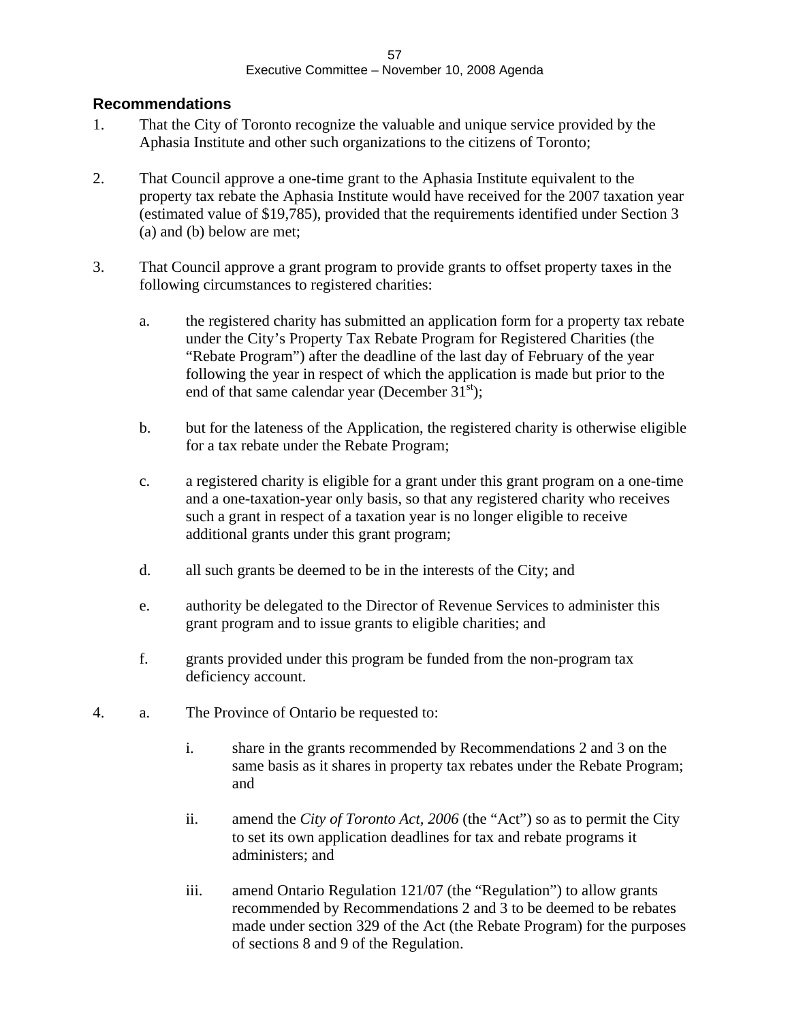### **Recommendations**

- 1. That the City of Toronto recognize the valuable and unique service provided by the Aphasia Institute and other such organizations to the citizens of Toronto;
- 2. That Council approve a one-time grant to the Aphasia Institute equivalent to the property tax rebate the Aphasia Institute would have received for the 2007 taxation year (estimated value of \$19,785), provided that the requirements identified under Section 3 (a) and (b) below are met;
- 3. That Council approve a grant program to provide grants to offset property taxes in the following circumstances to registered charities:
	- a. the registered charity has submitted an application form for a property tax rebate under the City's Property Tax Rebate Program for Registered Charities (the "Rebate Program") after the deadline of the last day of February of the year following the year in respect of which the application is made but prior to the end of that same calendar year (December  $31<sup>st</sup>$ );
	- b. but for the lateness of the Application, the registered charity is otherwise eligible for a tax rebate under the Rebate Program;
	- c. a registered charity is eligible for a grant under this grant program on a one-time and a one-taxation-year only basis, so that any registered charity who receives such a grant in respect of a taxation year is no longer eligible to receive additional grants under this grant program;
	- d. all such grants be deemed to be in the interests of the City; and
	- e. authority be delegated to the Director of Revenue Services to administer this grant program and to issue grants to eligible charities; and
	- f. grants provided under this program be funded from the non-program tax deficiency account.
- 4. a. The Province of Ontario be requested to:
	- i. share in the grants recommended by Recommendations 2 and 3 on the same basis as it shares in property tax rebates under the Rebate Program; and
	- ii. amend the *City of Toronto Act, 2006* (the "Act") so as to permit the City to set its own application deadlines for tax and rebate programs it administers; and
	- iii. amend Ontario Regulation 121/07 (the "Regulation") to allow grants recommended by Recommendations 2 and 3 to be deemed to be rebates made under section 329 of the Act (the Rebate Program) for the purposes of sections 8 and 9 of the Regulation.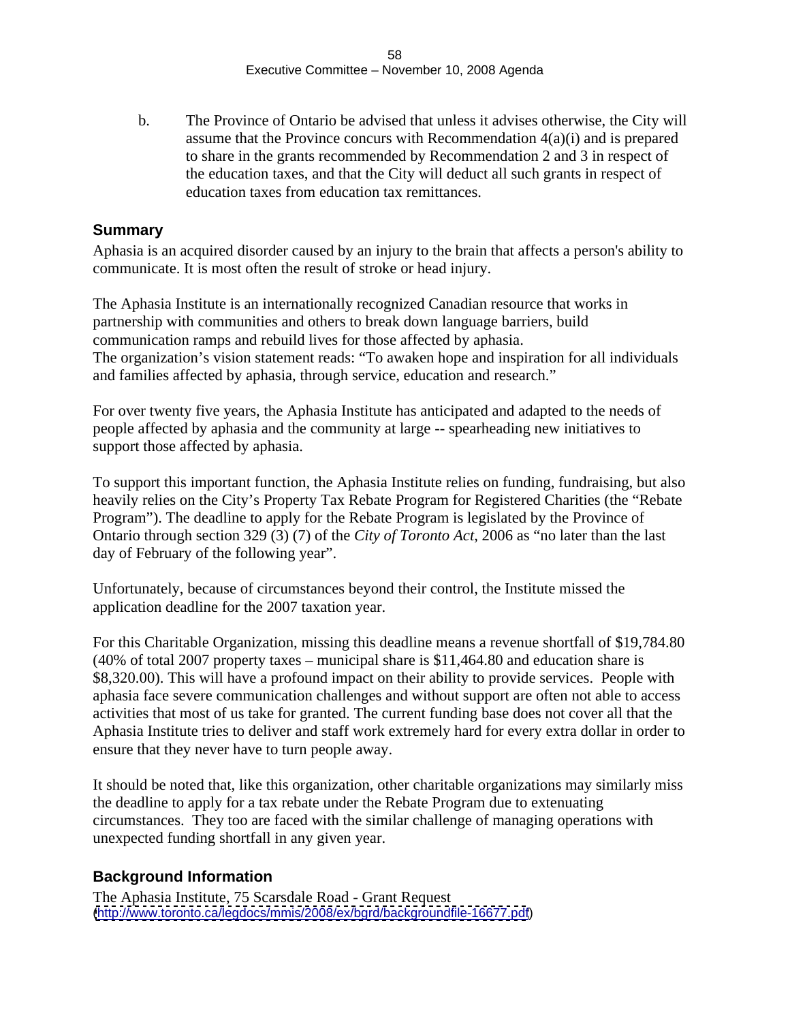b. The Province of Ontario be advised that unless it advises otherwise, the City will assume that the Province concurs with Recommendation  $4(a)(i)$  and is prepared to share in the grants recommended by Recommendation 2 and 3 in respect of the education taxes, and that the City will deduct all such grants in respect of education taxes from education tax remittances.

### **Summary**

Aphasia is an acquired disorder caused by an injury to the brain that affects a person's ability to communicate. It is most often the result of stroke or head injury.

The Aphasia Institute is an internationally recognized Canadian resource that works in partnership with communities and others to break down language barriers, build communication ramps and rebuild lives for those affected by aphasia. The organization's vision statement reads: "To awaken hope and inspiration for all individuals and families affected by aphasia, through service, education and research."

For over twenty five years, the Aphasia Institute has anticipated and adapted to the needs of people affected by aphasia and the community at large -- spearheading new initiatives to support those affected by aphasia.

To support this important function, the Aphasia Institute relies on funding, fundraising, but also heavily relies on the City's Property Tax Rebate Program for Registered Charities (the "Rebate Program"). The deadline to apply for the Rebate Program is legislated by the Province of Ontario through section 329 (3) (7) of the *City of Toronto Act*, 2006 as "no later than the last day of February of the following year".

Unfortunately, because of circumstances beyond their control, the Institute missed the application deadline for the 2007 taxation year.

For this Charitable Organization, missing this deadline means a revenue shortfall of \$19,784.80 (40% of total 2007 property taxes – municipal share is \$11,464.80 and education share is \$8,320.00). This will have a profound impact on their ability to provide services. People with aphasia face severe communication challenges and without support are often not able to access activities that most of us take for granted. The current funding base does not cover all that the Aphasia Institute tries to deliver and staff work extremely hard for every extra dollar in order to ensure that they never have to turn people away.

It should be noted that, like this organization, other charitable organizations may similarly miss the deadline to apply for a tax rebate under the Rebate Program due to extenuating circumstances. They too are faced with the similar challenge of managing operations with unexpected funding shortfall in any given year.

### **Background Information**

The Aphasia Institute, 75 Scarsdale Road - Grant Request [\(http://www.toronto.ca/legdocs/mmis/2008/ex/bgrd/backgroundfile-16677.pdf](http://www.toronto.ca/legdocs/mmis/2008/ex/bgrd/backgroundfile-16677.pdf))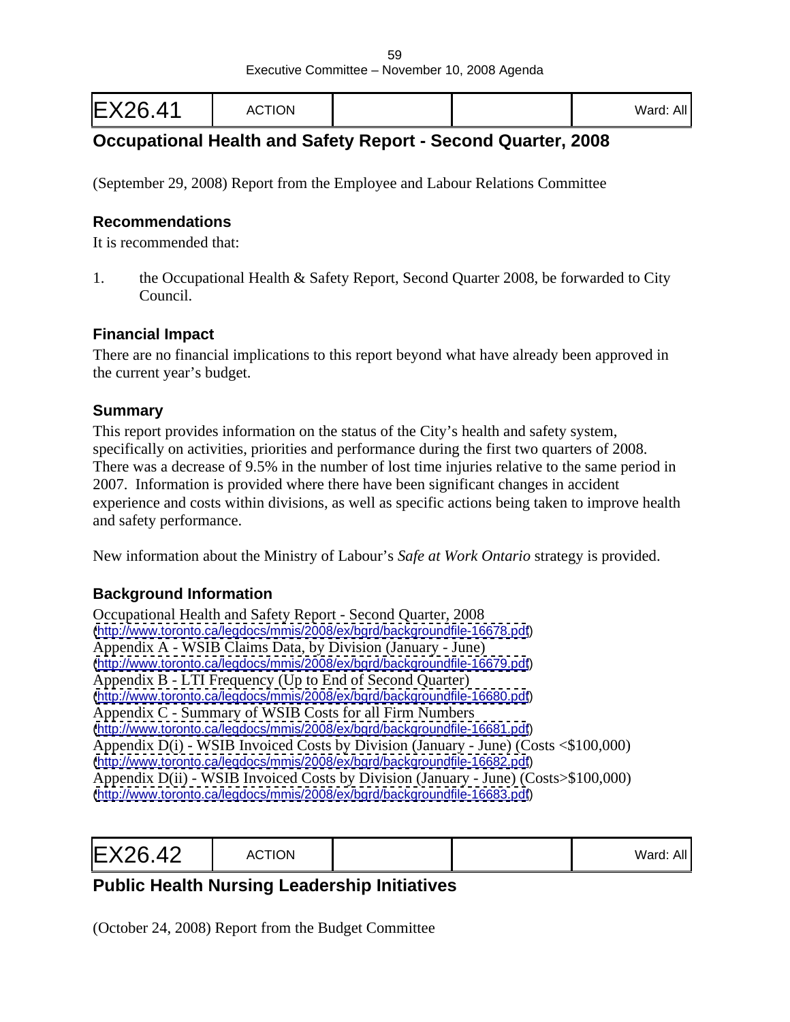| EX26.41 | <b>ACTION</b> |  |  | $\lambda$ II<br>.vard: All ' |  |  |  |  |  |  |  |  |  |  |  |  |  |  |  |  |  |  |  |
|---------|---------------|--|--|------------------------------|--|--|--|--|--|--|--|--|--|--|--|--|--|--|--|--|--|--|--|
|---------|---------------|--|--|------------------------------|--|--|--|--|--|--|--|--|--|--|--|--|--|--|--|--|--|--|--|

# **Occupational Health and Safety Report - Second Quarter, 2008**

(September 29, 2008) Report from the Employee and Labour Relations Committee

#### **Recommendations**

It is recommended that:

1. the Occupational Health & Safety Report, Second Quarter 2008, be forwarded to City Council.

#### **Financial Impact**

There are no financial implications to this report beyond what have already been approved in the current year's budget.

#### **Summary**

This report provides information on the status of the City's health and safety system, specifically on activities, priorities and performance during the first two quarters of 2008. There was a decrease of 9.5% in the number of lost time injuries relative to the same period in 2007. Information is provided where there have been significant changes in accident experience and costs within divisions, as well as specific actions being taken to improve health and safety performance.

New information about the Ministry of Labour's *Safe at Work Ontario* strategy is provided.

### **Background Information**

Occupational Health and Safety Report - Second Quarter, 2008 [\(http://www.toronto.ca/legdocs/mmis/2008/ex/bgrd/backgroundfile-16678.pdf](http://www.toronto.ca/legdocs/mmis/2008/ex/bgrd/backgroundfile-16678.pdf)) Appendix A - WSIB Claims Data, by Division (January - June) [\(http://www.toronto.ca/legdocs/mmis/2008/ex/bgrd/backgroundfile-16679.pdf](http://www.toronto.ca/legdocs/mmis/2008/ex/bgrd/backgroundfile-16679.pdf)) Appendix B - LTI Frequency (Up to End of Second Quarter) [\(http://www.toronto.ca/legdocs/mmis/2008/ex/bgrd/backgroundfile-16680.pdf](http://www.toronto.ca/legdocs/mmis/2008/ex/bgrd/backgroundfile-16680.pdf)) Appendix C - Summary of WSIB Costs for all Firm Numbers [\(http://www.toronto.ca/legdocs/mmis/2008/ex/bgrd/backgroundfile-16681.pdf](http://www.toronto.ca/legdocs/mmis/2008/ex/bgrd/backgroundfile-16681.pdf)) Appendix D(i) - WSIB Invoiced Costs by Division (January - June) (Costs <\$100,000) [\(http://www.toronto.ca/legdocs/mmis/2008/ex/bgrd/backgroundfile-16682.pdf](http://www.toronto.ca/legdocs/mmis/2008/ex/bgrd/backgroundfile-16682.pdf)) Appendix D(ii) - WSIB Invoiced Costs by Division (January - June) (Costs>\$100,000) [\(http://www.toronto.ca/legdocs/mmis/2008/ex/bgrd/backgroundfile-16683.pdf](http://www.toronto.ca/legdocs/mmis/2008/ex/bgrd/backgroundfile-16683.pdf))

|--|--|

# **Public Health Nursing Leadership Initiatives**

(October 24, 2008) Report from the Budget Committee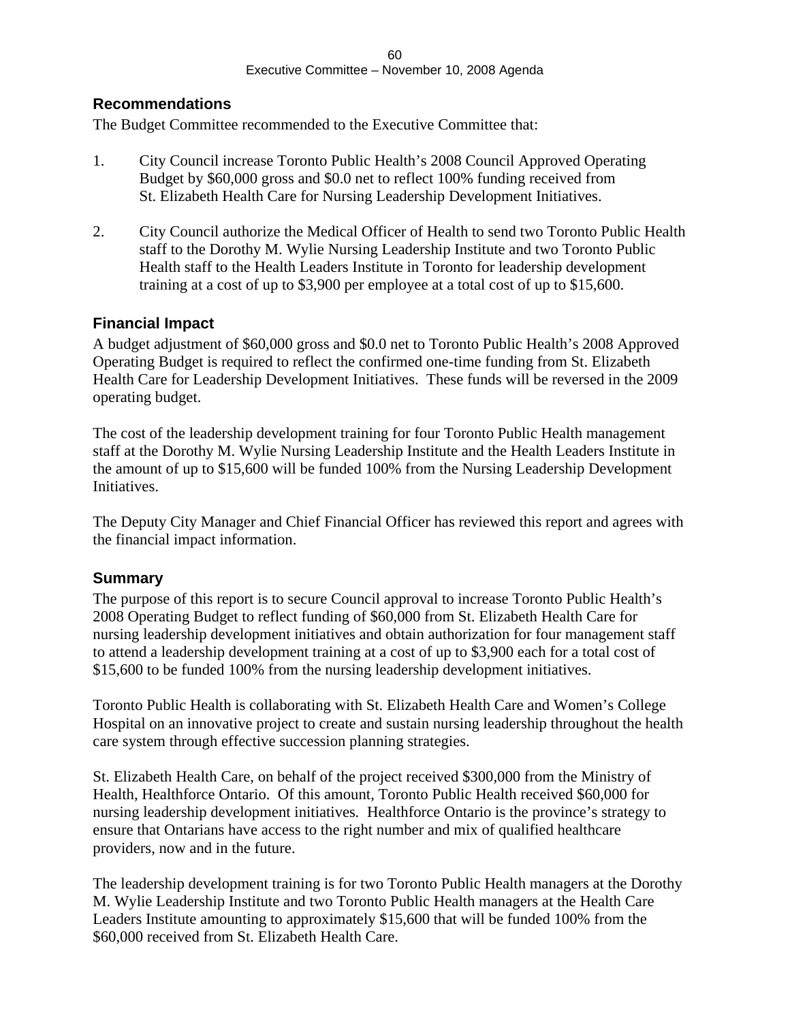#### **Recommendations**

The Budget Committee recommended to the Executive Committee that:

- 1. City Council increase Toronto Public Health's 2008 Council Approved Operating Budget by \$60,000 gross and \$0.0 net to reflect 100% funding received from St. Elizabeth Health Care for Nursing Leadership Development Initiatives.
- 2. City Council authorize the Medical Officer of Health to send two Toronto Public Health staff to the Dorothy M. Wylie Nursing Leadership Institute and two Toronto Public Health staff to the Health Leaders Institute in Toronto for leadership development training at a cost of up to \$3,900 per employee at a total cost of up to \$15,600.

#### **Financial Impact**

A budget adjustment of \$60,000 gross and \$0.0 net to Toronto Public Health's 2008 Approved Operating Budget is required to reflect the confirmed one-time funding from St. Elizabeth Health Care for Leadership Development Initiatives. These funds will be reversed in the 2009 operating budget.

The cost of the leadership development training for four Toronto Public Health management staff at the Dorothy M. Wylie Nursing Leadership Institute and the Health Leaders Institute in the amount of up to \$15,600 will be funded 100% from the Nursing Leadership Development Initiatives.

The Deputy City Manager and Chief Financial Officer has reviewed this report and agrees with the financial impact information.

#### **Summary**

The purpose of this report is to secure Council approval to increase Toronto Public Health's 2008 Operating Budget to reflect funding of \$60,000 from St. Elizabeth Health Care for nursing leadership development initiatives and obtain authorization for four management staff to attend a leadership development training at a cost of up to \$3,900 each for a total cost of \$15,600 to be funded 100% from the nursing leadership development initiatives.

Toronto Public Health is collaborating with St. Elizabeth Health Care and Women's College Hospital on an innovative project to create and sustain nursing leadership throughout the health care system through effective succession planning strategies.

St. Elizabeth Health Care, on behalf of the project received \$300,000 from the Ministry of Health, Healthforce Ontario. Of this amount, Toronto Public Health received \$60,000 for nursing leadership development initiatives*.* Healthforce Ontario is the province's strategy to ensure that Ontarians have access to the right number and mix of qualified healthcare providers, now and in the future.

The leadership development training is for two Toronto Public Health managers at the Dorothy M. Wylie Leadership Institute and two Toronto Public Health managers at the Health Care Leaders Institute amounting to approximately \$15,600 that will be funded 100% from the \$60,000 received from St. Elizabeth Health Care.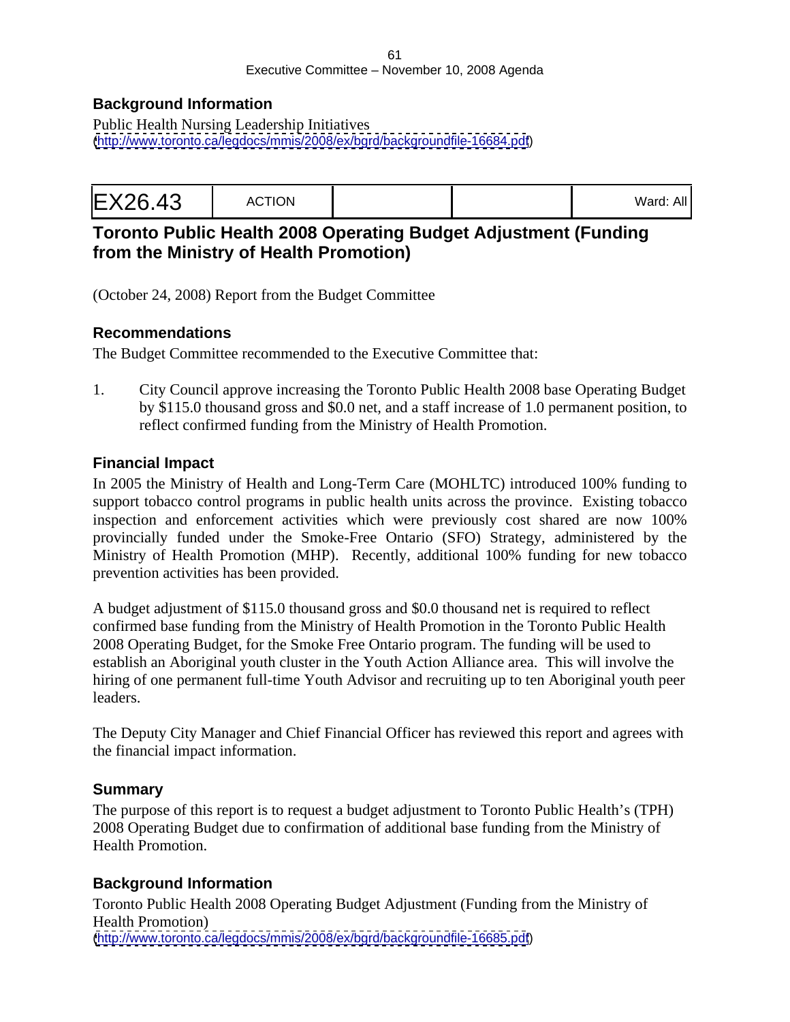#### 61 Executive Committee – November 10, 2008 Agenda

### **Background Information**

Public Health Nursing Leadership Initiatives [\(http://www.toronto.ca/legdocs/mmis/2008/ex/bgrd/backgroundfile-16684.pdf](http://www.toronto.ca/legdocs/mmis/2008/ex/bgrd/backgroundfile-16684.pdf))

|--|--|

## **Toronto Public Health 2008 Operating Budget Adjustment (Funding from the Ministry of Health Promotion)**

(October 24, 2008) Report from the Budget Committee

### **Recommendations**

The Budget Committee recommended to the Executive Committee that:

1. City Council approve increasing the Toronto Public Health 2008 base Operating Budget by \$115.0 thousand gross and \$0.0 net, and a staff increase of 1.0 permanent position, to reflect confirmed funding from the Ministry of Health Promotion.

### **Financial Impact**

In 2005 the Ministry of Health and Long-Term Care (MOHLTC) introduced 100% funding to support tobacco control programs in public health units across the province. Existing tobacco inspection and enforcement activities which were previously cost shared are now 100% provincially funded under the Smoke-Free Ontario (SFO) Strategy, administered by the Ministry of Health Promotion (MHP). Recently, additional 100% funding for new tobacco prevention activities has been provided.

A budget adjustment of \$115.0 thousand gross and \$0.0 thousand net is required to reflect confirmed base funding from the Ministry of Health Promotion in the Toronto Public Health 2008 Operating Budget, for the Smoke Free Ontario program. The funding will be used to establish an Aboriginal youth cluster in the Youth Action Alliance area. This will involve the hiring of one permanent full-time Youth Advisor and recruiting up to ten Aboriginal youth peer leaders.

The Deputy City Manager and Chief Financial Officer has reviewed this report and agrees with the financial impact information.

#### **Summary**

The purpose of this report is to request a budget adjustment to Toronto Public Health's (TPH) 2008 Operating Budget due to confirmation of additional base funding from the Ministry of Health Promotion.

### **Background Information**

Toronto Public Health 2008 Operating Budget Adjustment (Funding from the Ministry of Health Promotion) [\(http://www.toronto.ca/legdocs/mmis/2008/ex/bgrd/backgroundfile-16685.pdf](http://www.toronto.ca/legdocs/mmis/2008/ex/bgrd/backgroundfile-16685.pdf))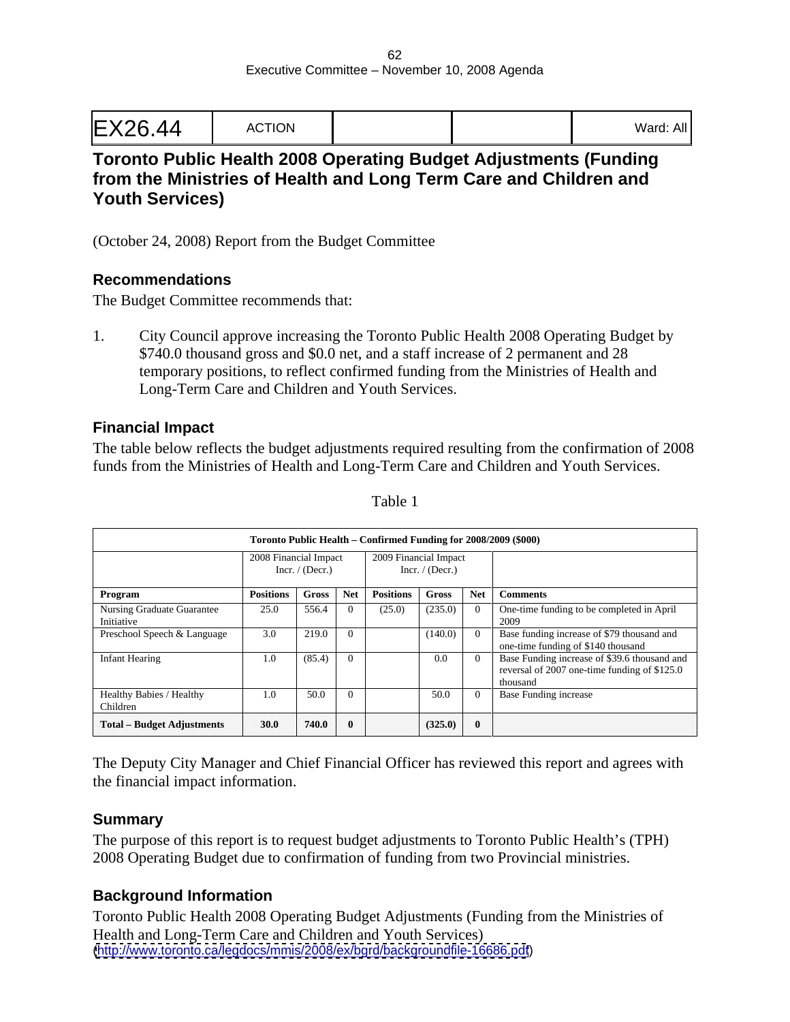## **Toronto Public Health 2008 Operating Budget Adjustments (Funding from the Ministries of Health and Long Term Care and Children and Youth Services)**

(October 24, 2008) Report from the Budget Committee

#### **Recommendations**

The Budget Committee recommends that:

1. City Council approve increasing the Toronto Public Health 2008 Operating Budget by \$740.0 thousand gross and \$0.0 net, and a staff increase of 2 permanent and 28 temporary positions, to reflect confirmed funding from the Ministries of Health and Long-Term Care and Children and Youth Services.

#### **Financial Impact**

The table below reflects the budget adjustments required resulting from the confirmation of 2008 funds from the Ministries of Health and Long-Term Care and Children and Youth Services.

|                                        | Toronto Public Health - Confirmed Funding for 2008/2009 (\$000) |                                            |  |                                            |                                                                                                              |  |
|----------------------------------------|-----------------------------------------------------------------|--------------------------------------------|--|--------------------------------------------|--------------------------------------------------------------------------------------------------------------|--|
|                                        |                                                                 | 2008 Financial Impact<br>Incr. $/$ (Decr.) |  | 2009 Financial Impact<br>Incr. $/$ (Decr.) |                                                                                                              |  |
| Program                                |                                                                 |                                            |  |                                            | Positions   Gross   Net   Positions   Gross   Net   Comments                                                 |  |
| Nursing Graduate Guarantee<br>1tiative | 25.0                                                            | 556.4 0                                    |  |                                            | $(25.0)$ $(235.0)$ 0 One-time funding to be completed in April                                               |  |
| Preschool Speech & Language            | 3.0                                                             | 219.0<br>$\Omega$                          |  | (140.0)                                    | Base funding increase of \$79 thousand and<br>one-time funding of \$140 thousand                             |  |
| <b>Infant Hearing</b>                  | 1.0                                                             | (85.4)                                     |  | $0.0\,$                                    | Base Funding increase of \$39.6 thousand and<br>reversal of $2007$ one-time funding of \$125.0<br>l thousand |  |
| Healthy Babies / Healthy<br>Children   | 1.0                                                             | $\sqrt{50.0}$ 0                            |  | 50.0                                       | 0 Base Funding increase                                                                                      |  |
| Total - Budget Adjustments             | 30.0                                                            | $740.0$ 0                                  |  | $(325.0)$ 0                                |                                                                                                              |  |

Table 1

The Deputy City Manager and Chief Financial Officer has reviewed this report and agrees with the financial impact information.

### **Summary**

The purpose of this report is to request budget adjustments to Toronto Public Health's (TPH) 2008 Operating Budget due to confirmation of funding from two Provincial ministries.

### **Background Information**

Toronto Public Health 2008 Operating Budget Adjustments (Funding from the Ministries of Health and Long-Term Care and Children and Youth Services) [\(http://www.toronto.ca/legdocs/mmis/2008/ex/bgrd/backgroundfile-16686.pdf](http://www.toronto.ca/legdocs/mmis/2008/ex/bgrd/backgroundfile-16686.pdf))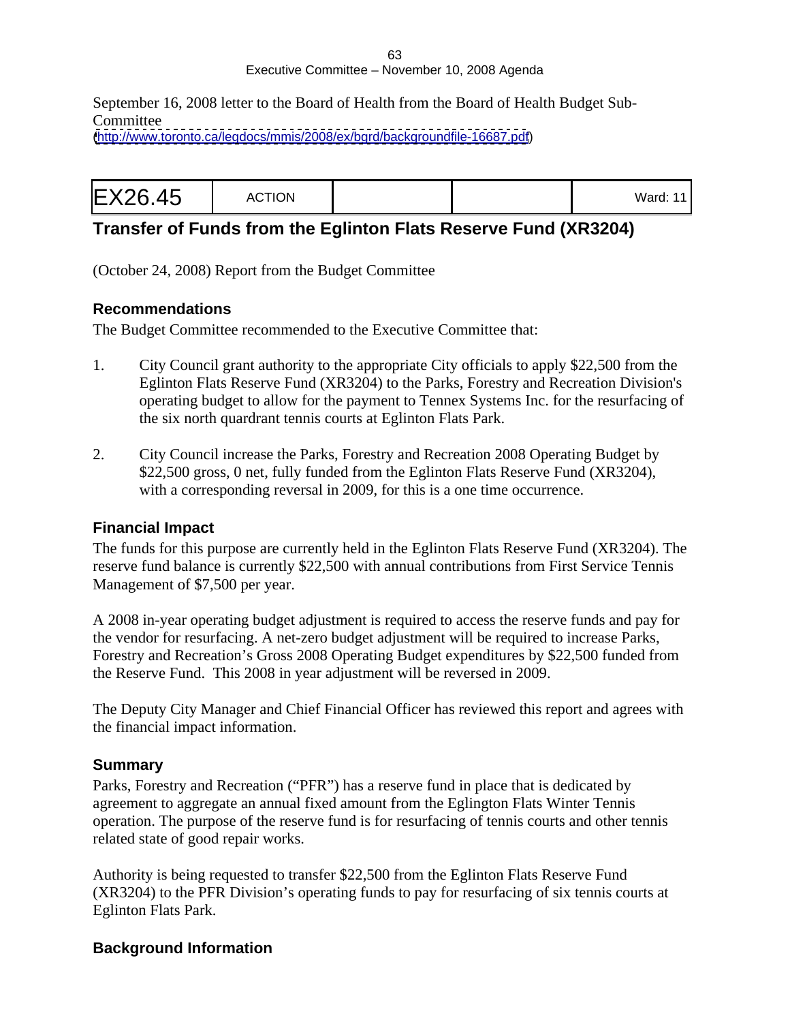#### 63 Executive Committee – November 10, 2008 Agenda

September 16, 2008 letter to the Board of Health from the Board of Health Budget Sub- **Committee** 

[\(http://www.toronto.ca/legdocs/mmis/2008/ex/bgrd/backgroundfile-16687.pdf](http://www.toronto.ca/legdocs/mmis/2008/ex/bgrd/backgroundfile-16687.pdf))

|--|--|--|--|

# **Transfer of Funds from the Eglinton Flats Reserve Fund (XR3204)**

(October 24, 2008) Report from the Budget Committee

### **Recommendations**

The Budget Committee recommended to the Executive Committee that:

- 1. City Council grant authority to the appropriate City officials to apply \$22,500 from the Eglinton Flats Reserve Fund (XR3204) to the Parks, Forestry and Recreation Division's operating budget to allow for the payment to Tennex Systems Inc. for the resurfacing of the six north quardrant tennis courts at Eglinton Flats Park.
- 2. City Council increase the Parks, Forestry and Recreation 2008 Operating Budget by \$22,500 gross, 0 net, fully funded from the Eglinton Flats Reserve Fund (XR3204), with a corresponding reversal in 2009, for this is a one time occurrence.

### **Financial Impact**

The funds for this purpose are currently held in the Eglinton Flats Reserve Fund (XR3204). The reserve fund balance is currently \$22,500 with annual contributions from First Service Tennis Management of \$7,500 per year.

A 2008 in-year operating budget adjustment is required to access the reserve funds and pay for the vendor for resurfacing. A net-zero budget adjustment will be required to increase Parks, Forestry and Recreation's Gross 2008 Operating Budget expenditures by \$22,500 funded from the Reserve Fund. This 2008 in year adjustment will be reversed in 2009.

The Deputy City Manager and Chief Financial Officer has reviewed this report and agrees with the financial impact information.

### **Summary**

Parks, Forestry and Recreation ("PFR") has a reserve fund in place that is dedicated by agreement to aggregate an annual fixed amount from the Eglington Flats Winter Tennis operation. The purpose of the reserve fund is for resurfacing of tennis courts and other tennis related state of good repair works.

Authority is being requested to transfer \$22,500 from the Eglinton Flats Reserve Fund (XR3204) to the PFR Division's operating funds to pay for resurfacing of six tennis courts at Eglinton Flats Park.

### **Background Information**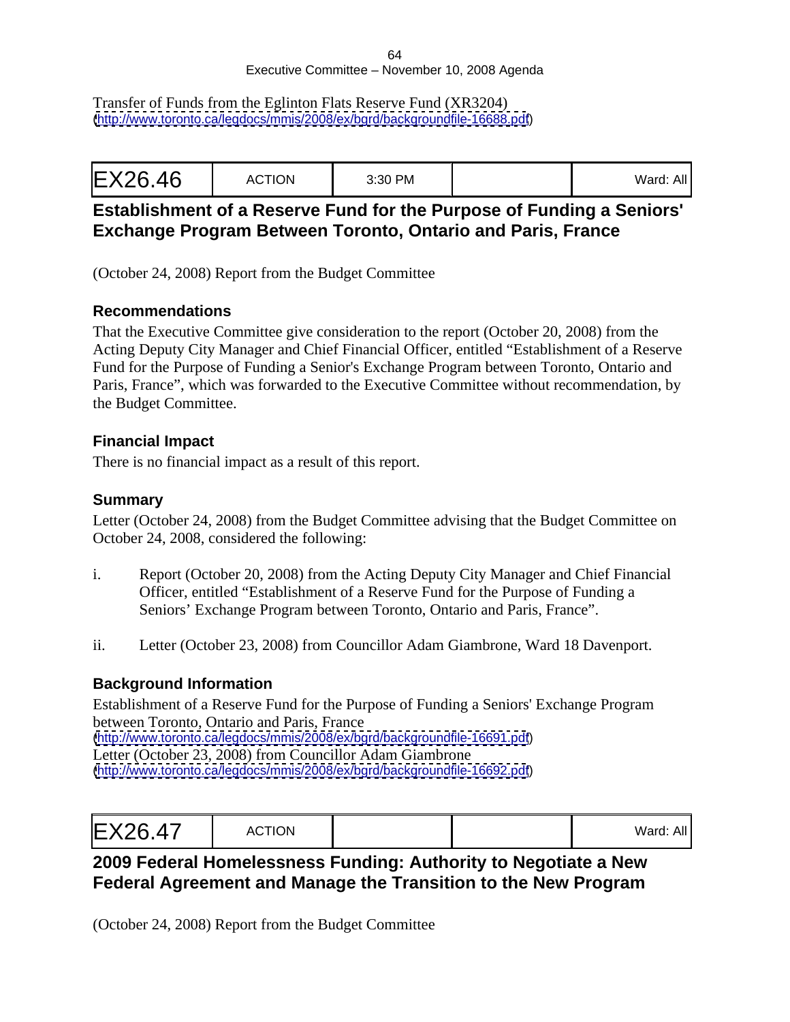#### 64 Executive Committee – November 10, 2008 Agenda

Transfer of Funds from the Eglinton Flats Reserve Fund (XR3204) [\(http://www.toronto.ca/legdocs/mmis/2008/ex/bgrd/backgroundfile-16688.pdf](http://www.toronto.ca/legdocs/mmis/2008/ex/bgrd/backgroundfile-16688.pdf))

# **Establishment of a Reserve Fund for the Purpose of Funding a Seniors' Exchange Program Between Toronto, Ontario and Paris, France**

(October 24, 2008) Report from the Budget Committee

### **Recommendations**

That the Executive Committee give consideration to the report (October 20, 2008) from the Acting Deputy City Manager and Chief Financial Officer, entitled "Establishment of a Reserve Fund for the Purpose of Funding a Senior's Exchange Program between Toronto, Ontario and Paris, France", which was forwarded to the Executive Committee without recommendation, by the Budget Committee.

### **Financial Impact**

There is no financial impact as a result of this report.

### **Summary**

Letter (October 24, 2008) from the Budget Committee advising that the Budget Committee on October 24, 2008, considered the following:

- i. Report (October 20, 2008) from the Acting Deputy City Manager and Chief Financial Officer, entitled "Establishment of a Reserve Fund for the Purpose of Funding a Seniors' Exchange Program between Toronto, Ontario and Paris, France".
- ii. Letter (October 23, 2008) from Councillor Adam Giambrone, Ward 18 Davenport.

### **Background Information**

Establishment of a Reserve Fund for the Purpose of Funding a Seniors' Exchange Program between Toronto, Ontario and Paris, France [\(http://www.toronto.ca/legdocs/mmis/2008/ex/bgrd/backgroundfile-16691.pdf](http://www.toronto.ca/legdocs/mmis/2008/ex/bgrd/backgroundfile-16691.pdf)) Letter (October 23, 2008) from Councillor Adam Giambrone [\(http://www.toronto.ca/legdocs/mmis/2008/ex/bgrd/backgroundfile-16692.pdf](http://www.toronto.ca/legdocs/mmis/2008/ex/bgrd/backgroundfile-16692.pdf))

| EX26.47 | CTIONI<br>ייטוויטו |  | $Mord$ $\cdot$ $\wedge$ $\parallel$<br>. valu. <i>r</i> w |  |  |  |  |  |
|---------|--------------------|--|-----------------------------------------------------------|--|--|--|--|--|
|---------|--------------------|--|-----------------------------------------------------------|--|--|--|--|--|

# **2009 Federal Homelessness Funding: Authority to Negotiate a New Federal Agreement and Manage the Transition to the New Program**

(October 24, 2008) Report from the Budget Committee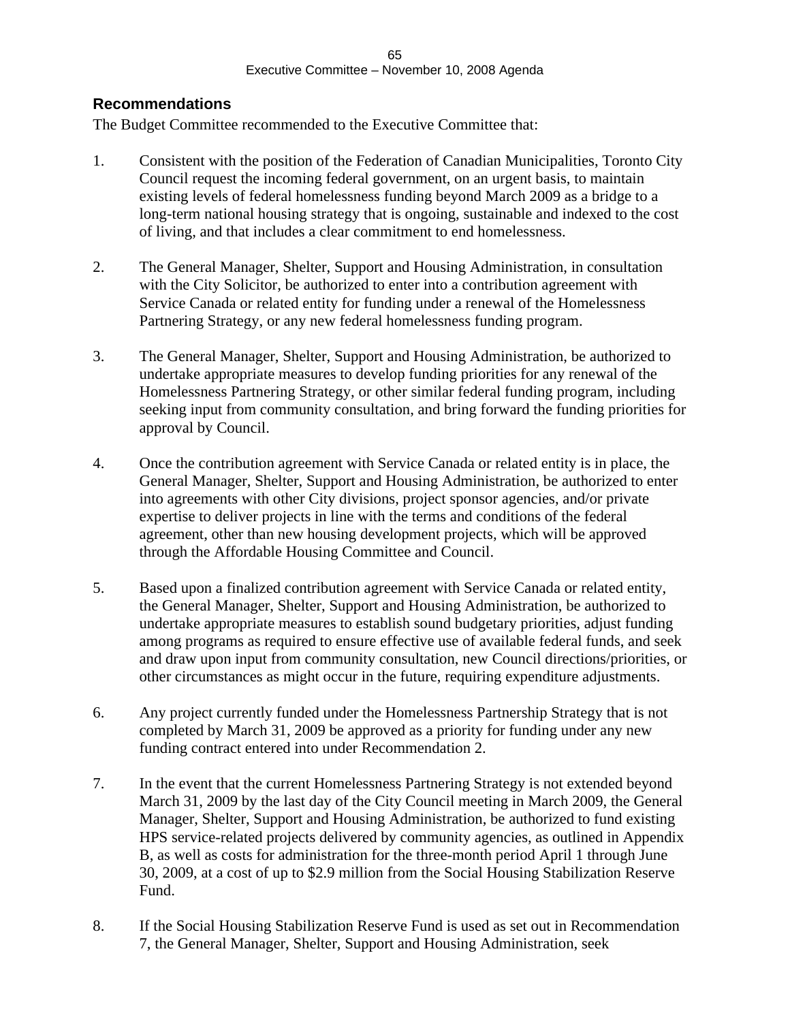#### **Recommendations**

The Budget Committee recommended to the Executive Committee that:

- 1. Consistent with the position of the Federation of Canadian Municipalities, Toronto City Council request the incoming federal government, on an urgent basis, to maintain existing levels of federal homelessness funding beyond March 2009 as a bridge to a long-term national housing strategy that is ongoing, sustainable and indexed to the cost of living, and that includes a clear commitment to end homelessness.
- 2. The General Manager, Shelter, Support and Housing Administration, in consultation with the City Solicitor, be authorized to enter into a contribution agreement with Service Canada or related entity for funding under a renewal of the Homelessness Partnering Strategy, or any new federal homelessness funding program.
- 3. The General Manager, Shelter, Support and Housing Administration, be authorized to undertake appropriate measures to develop funding priorities for any renewal of the Homelessness Partnering Strategy, or other similar federal funding program, including seeking input from community consultation, and bring forward the funding priorities for approval by Council.
- 4. Once the contribution agreement with Service Canada or related entity is in place, the General Manager, Shelter, Support and Housing Administration, be authorized to enter into agreements with other City divisions, project sponsor agencies, and/or private expertise to deliver projects in line with the terms and conditions of the federal agreement, other than new housing development projects, which will be approved through the Affordable Housing Committee and Council.
- 5. Based upon a finalized contribution agreement with Service Canada or related entity, the General Manager, Shelter, Support and Housing Administration, be authorized to undertake appropriate measures to establish sound budgetary priorities, adjust funding among programs as required to ensure effective use of available federal funds, and seek and draw upon input from community consultation, new Council directions/priorities, or other circumstances as might occur in the future, requiring expenditure adjustments.
- 6. Any project currently funded under the Homelessness Partnership Strategy that is not completed by March 31, 2009 be approved as a priority for funding under any new funding contract entered into under Recommendation 2.
- 7. In the event that the current Homelessness Partnering Strategy is not extended beyond March 31, 2009 by the last day of the City Council meeting in March 2009, the General Manager, Shelter, Support and Housing Administration, be authorized to fund existing HPS service-related projects delivered by community agencies, as outlined in Appendix B, as well as costs for administration for the three-month period April 1 through June 30, 2009, at a cost of up to \$2.9 million from the Social Housing Stabilization Reserve Fund.
- 8. If the Social Housing Stabilization Reserve Fund is used as set out in Recommendation 7, the General Manager, Shelter, Support and Housing Administration, seek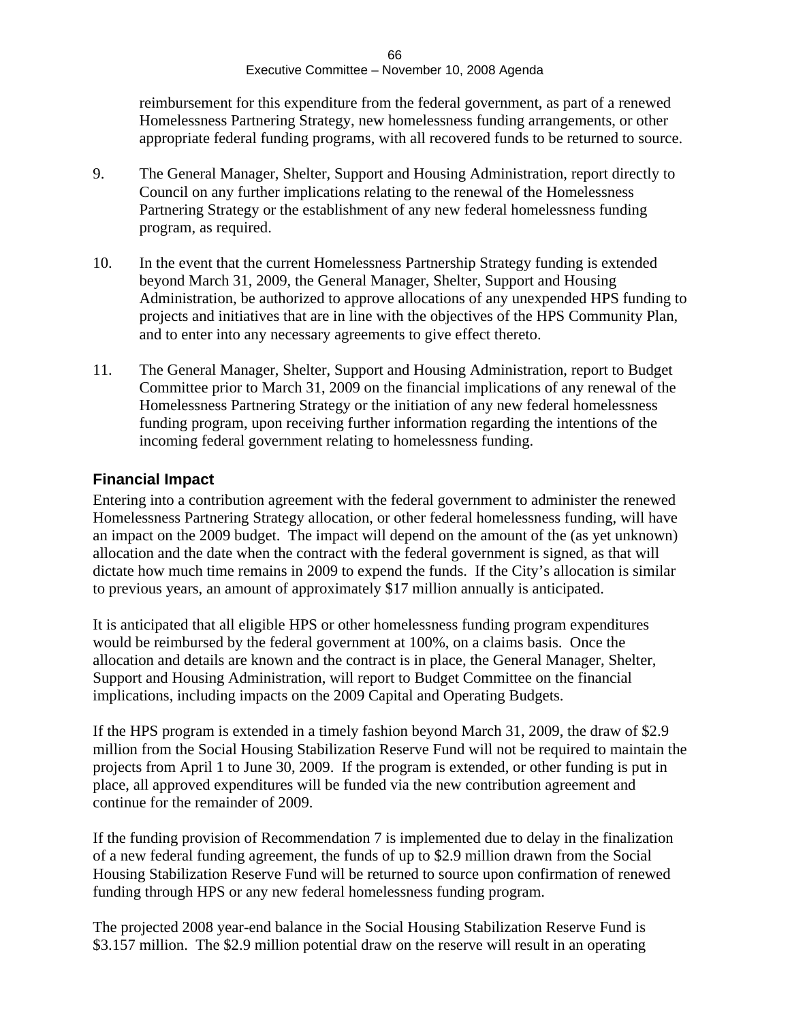reimbursement for this expenditure from the federal government, as part of a renewed Homelessness Partnering Strategy, new homelessness funding arrangements, or other appropriate federal funding programs, with all recovered funds to be returned to source.

- 9. The General Manager, Shelter, Support and Housing Administration, report directly to Council on any further implications relating to the renewal of the Homelessness Partnering Strategy or the establishment of any new federal homelessness funding program, as required.
- 10. In the event that the current Homelessness Partnership Strategy funding is extended beyond March 31, 2009, the General Manager, Shelter, Support and Housing Administration, be authorized to approve allocations of any unexpended HPS funding to projects and initiatives that are in line with the objectives of the HPS Community Plan, and to enter into any necessary agreements to give effect thereto.
- 11. The General Manager, Shelter, Support and Housing Administration, report to Budget Committee prior to March 31, 2009 on the financial implications of any renewal of the Homelessness Partnering Strategy or the initiation of any new federal homelessness funding program, upon receiving further information regarding the intentions of the incoming federal government relating to homelessness funding.

### **Financial Impact**

Entering into a contribution agreement with the federal government to administer the renewed Homelessness Partnering Strategy allocation, or other federal homelessness funding, will have an impact on the 2009 budget. The impact will depend on the amount of the (as yet unknown) allocation and the date when the contract with the federal government is signed, as that will dictate how much time remains in 2009 to expend the funds. If the City's allocation is similar to previous years, an amount of approximately \$17 million annually is anticipated.

It is anticipated that all eligible HPS or other homelessness funding program expenditures would be reimbursed by the federal government at 100%, on a claims basis. Once the allocation and details are known and the contract is in place, the General Manager, Shelter, Support and Housing Administration, will report to Budget Committee on the financial implications, including impacts on the 2009 Capital and Operating Budgets.

If the HPS program is extended in a timely fashion beyond March 31, 2009, the draw of \$2.9 million from the Social Housing Stabilization Reserve Fund will not be required to maintain the projects from April 1 to June 30, 2009. If the program is extended, or other funding is put in place, all approved expenditures will be funded via the new contribution agreement and continue for the remainder of 2009.

If the funding provision of Recommendation 7 is implemented due to delay in the finalization of a new federal funding agreement, the funds of up to \$2.9 million drawn from the Social Housing Stabilization Reserve Fund will be returned to source upon confirmation of renewed funding through HPS or any new federal homelessness funding program.

The projected 2008 year-end balance in the Social Housing Stabilization Reserve Fund is \$3.157 million. The \$2.9 million potential draw on the reserve will result in an operating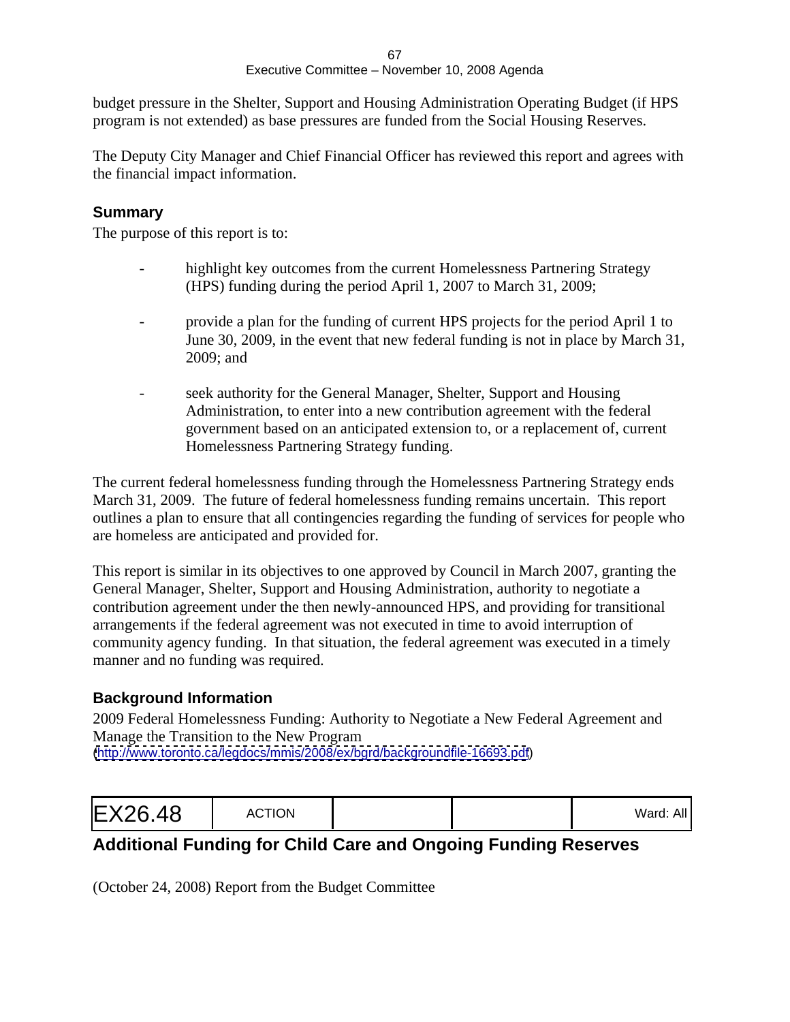budget pressure in the Shelter, Support and Housing Administration Operating Budget (if HPS program is not extended) as base pressures are funded from the Social Housing Reserves.

The Deputy City Manager and Chief Financial Officer has reviewed this report and agrees with the financial impact information.

### **Summary**

The purpose of this report is to:

- highlight key outcomes from the current Homelessness Partnering Strategy (HPS) funding during the period April 1, 2007 to March 31, 2009;
- provide a plan for the funding of current HPS projects for the period April 1 to June 30, 2009, in the event that new federal funding is not in place by March 31, 2009; and
- seek authority for the General Manager, Shelter, Support and Housing Administration, to enter into a new contribution agreement with the federal government based on an anticipated extension to, or a replacement of, current Homelessness Partnering Strategy funding.

The current federal homelessness funding through the Homelessness Partnering Strategy ends March 31, 2009. The future of federal homelessness funding remains uncertain. This report outlines a plan to ensure that all contingencies regarding the funding of services for people who are homeless are anticipated and provided for.

This report is similar in its objectives to one approved by Council in March 2007, granting the General Manager, Shelter, Support and Housing Administration, authority to negotiate a contribution agreement under the then newly-announced HPS, and providing for transitional arrangements if the federal agreement was not executed in time to avoid interruption of community agency funding. In that situation, the federal agreement was executed in a timely manner and no funding was required.

### **Background Information**

2009 Federal Homelessness Funding: Authority to Negotiate a New Federal Agreement and Manage the Transition to the New Program [\(http://www.toronto.ca/legdocs/mmis/2008/ex/bgrd/backgroundfile-16693.pdf](http://www.toronto.ca/legdocs/mmis/2008/ex/bgrd/backgroundfile-16693.pdf))

| valu. AP |  |  |
|----------|--|--|
|----------|--|--|

# **Additional Funding for Child Care and Ongoing Funding Reserves**

(October 24, 2008) Report from the Budget Committee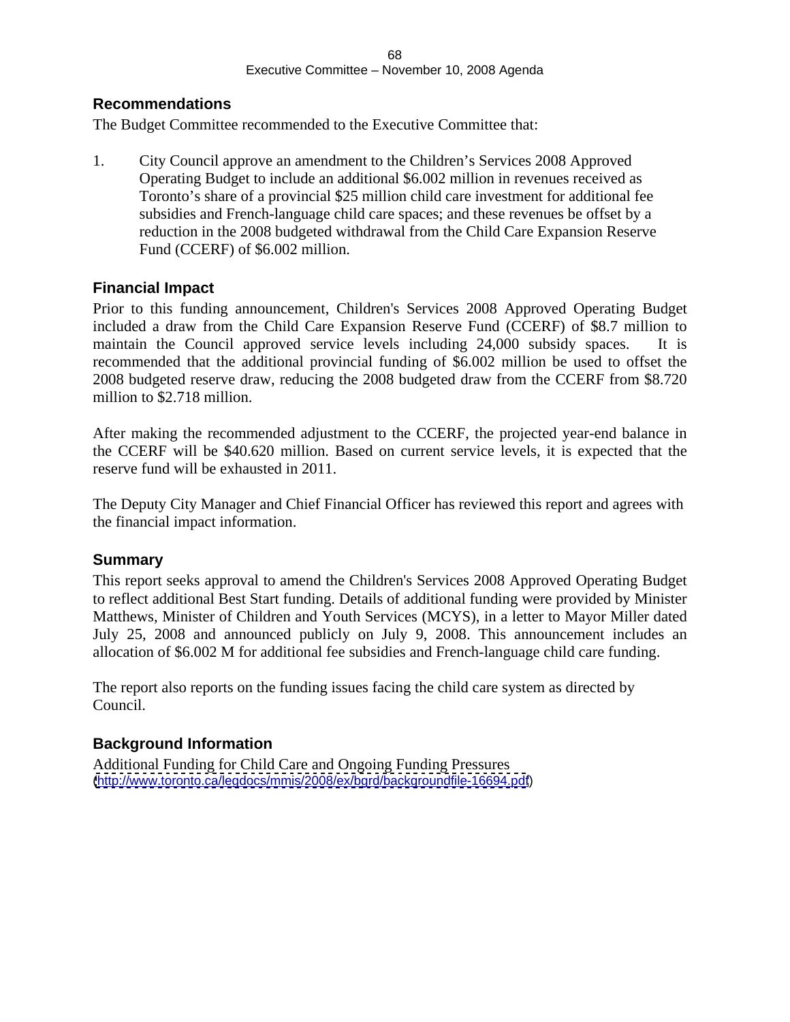### **Recommendations**

The Budget Committee recommended to the Executive Committee that:

1. City Council approve an amendment to the Children's Services 2008 Approved Operating Budget to include an additional \$6.002 million in revenues received as Toronto's share of a provincial \$25 million child care investment for additional fee subsidies and French-language child care spaces; and these revenues be offset by a reduction in the 2008 budgeted withdrawal from the Child Care Expansion Reserve Fund (CCERF) of \$6.002 million.

### **Financial Impact**

Prior to this funding announcement, Children's Services 2008 Approved Operating Budget included a draw from the Child Care Expansion Reserve Fund (CCERF) of \$8.7 million to maintain the Council approved service levels including 24,000 subsidy spaces. It is recommended that the additional provincial funding of \$6.002 million be used to offset the 2008 budgeted reserve draw, reducing the 2008 budgeted draw from the CCERF from \$8.720 million to \$2.718 million.

After making the recommended adjustment to the CCERF, the projected year-end balance in the CCERF will be \$40.620 million. Based on current service levels, it is expected that the reserve fund will be exhausted in 2011.

The Deputy City Manager and Chief Financial Officer has reviewed this report and agrees with the financial impact information.

#### **Summary**

This report seeks approval to amend the Children's Services 2008 Approved Operating Budget to reflect additional Best Start funding. Details of additional funding were provided by Minister Matthews, Minister of Children and Youth Services (MCYS), in aletter to Mayor Miller dated July 25, 2008 and announced publicly on July 9, 2008. This announcement includes an allocation of \$6.002 M for additional fee subsidies and French-language child care funding.

The report also reports on the funding issues facing the child care system as directed by Council.

### **Background Information**

Additional Funding for Child Care and Ongoing Funding Pressures [\(http://www.toronto.ca/legdocs/mmis/2008/ex/bgrd/backgroundfile-16694.pdf](http://www.toronto.ca/legdocs/mmis/2008/ex/bgrd/backgroundfile-16694.pdf))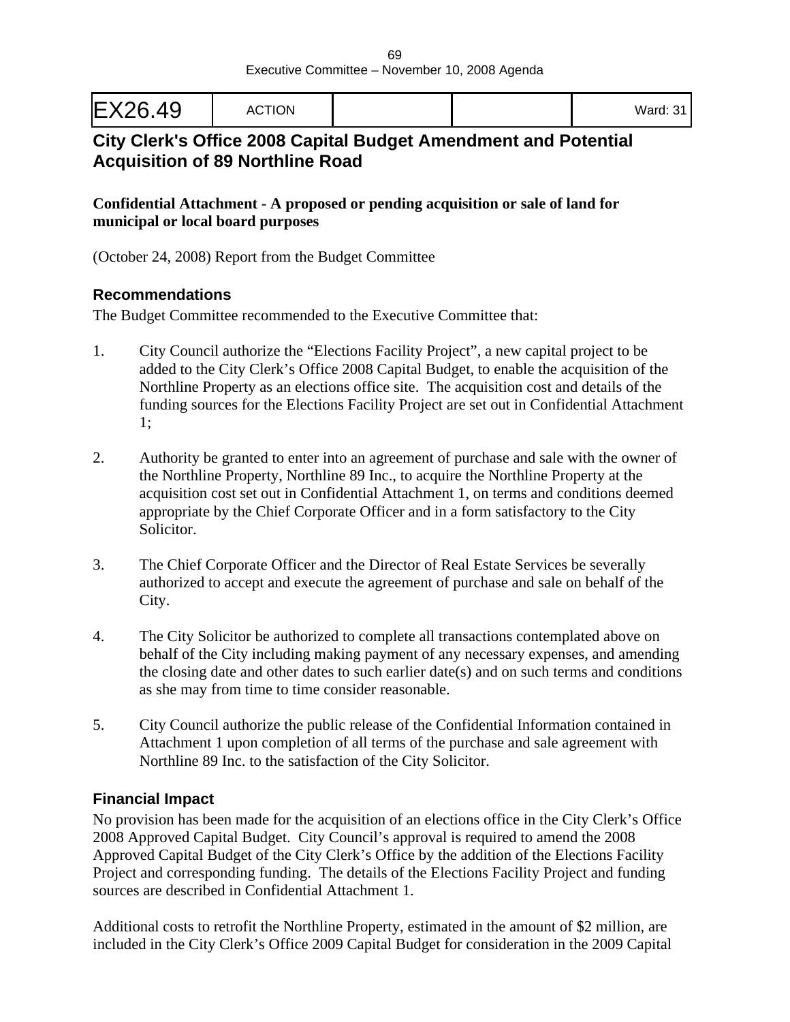| EX26.49 | ACTION |  |  | . Ward: ٧٠ |  |  |
|---------|--------|--|--|------------|--|--|
|---------|--------|--|--|------------|--|--|

# **City Clerk's Office 2008 Capital Budget Amendment and Potential Acquisition of 89 Northline Road**

#### **Confidential Attachment - A proposed or pending acquisition or sale of land for municipal or local board purposes**

(October 24, 2008) Report from the Budget Committee

### **Recommendations**

The Budget Committee recommended to the Executive Committee that:

- 1. City Council authorize the "Elections Facility Project", a new capital project to be added to the City Clerk's Office 2008 Capital Budget, to enable the acquisition of the Northline Property as an elections office site. The acquisition cost and details of the funding sources for the Elections Facility Project are set out in Confidential Attachment 1;
- 2. Authority be granted to enter into an agreement of purchase and sale with the owner of the Northline Property, Northline 89 Inc., to acquire the Northline Property at the acquisition cost set out in Confidential Attachment 1, on terms and conditions deemed appropriate by the Chief Corporate Officer and in a form satisfactory to the City Solicitor.
- 3. The Chief Corporate Officer and the Director of Real Estate Services be severally authorized to accept and execute the agreement of purchase and sale on behalf of the City.
- 4. The City Solicitor be authorized to complete all transactions contemplated above on behalf of the City including making payment of any necessary expenses, and amending the closing date and other dates to such earlier date(s) and on such terms and conditions as she may from time to time consider reasonable.
- 5. City Council authorize the public release of the Confidential Information contained in Attachment 1 upon completion of all terms of the purchase and sale agreement with Northline 89 Inc. to the satisfaction of the City Solicitor.

### **Financial Impact**

No provision has been made for the acquisition of an elections office in the City Clerk's Office 2008 Approved Capital Budget. City Council's approval is required to amend the 2008 Approved Capital Budget of the City Clerk's Office by the addition of the Elections Facility Project and corresponding funding. The details of the Elections Facility Project and funding sources are described in Confidential Attachment 1.

Additional costs to retrofit the Northline Property, estimated in the amount of \$2 million, are included in the City Clerk's Office 2009 Capital Budget for consideration in the 2009 Capital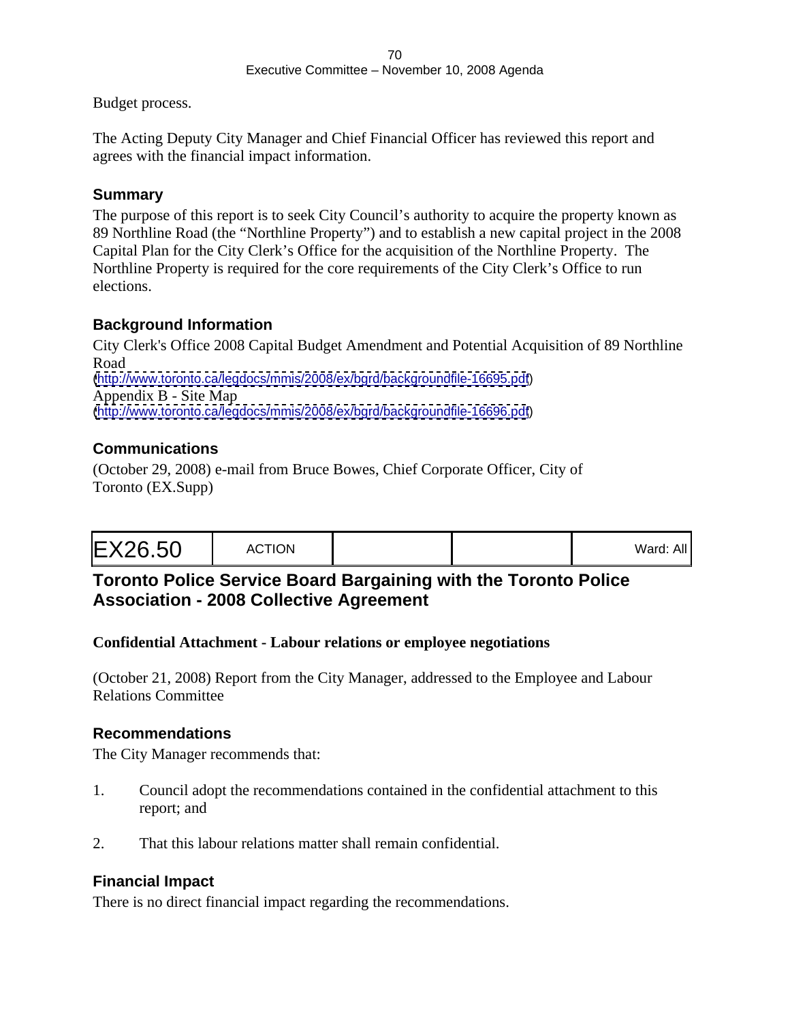Budget process.

The Acting Deputy City Manager and Chief Financial Officer has reviewed this report and agrees with the financial impact information.

### **Summary**

The purpose of this report is to seek City Council's authority to acquire the property known as 89 Northline Road (the "Northline Property") and to establish a new capital project in the 2008 Capital Plan for the City Clerk's Office for the acquisition of the Northline Property. The Northline Property is required for the core requirements of the City Clerk's Office to run elections.

### **Background Information**

City Clerk's Office 2008 Capital Budget Amendment and Potential Acquisition of 89 Northline Road and the contract of the contract of the contract of the contract of the contract of the contract of the contract of the contract of the contract of the contract of the contract of the contract of the contract of the c [\(http://www.toronto.ca/legdocs/mmis/2008/ex/bgrd/backgroundfile-16695.pdf](http://www.toronto.ca/legdocs/mmis/2008/ex/bgrd/backgroundfile-16695.pdf)) Appendix B - Site Map [\(http://www.toronto.ca/legdocs/mmis/2008/ex/bgrd/backgroundfile-16696.pdf](http://www.toronto.ca/legdocs/mmis/2008/ex/bgrd/backgroundfile-16696.pdf))

### **Communications**

(October 29, 2008) e-mail from Bruce Bowes, Chief Corporate Officer, City of Toronto (EX.Supp)

| $M$ ord $\cdot$ $\cdots$<br>. <i>u</i> u <i>u</i> . <i>u</i> |  |  |
|--------------------------------------------------------------|--|--|
|--------------------------------------------------------------|--|--|

# **Toronto Police Service Board Bargaining with the Toronto Police Association - 2008 Collective Agreement**

### **Confidential Attachment - Labour relations or employee negotiations**

(October 21, 2008) Report from the City Manager, addressed to the Employee and Labour Relations Committee

### **Recommendations**

The City Manager recommends that:

- 1. Council adopt the recommendations contained in the confidential attachment to this report; and
- 2. That this labour relations matter shall remain confidential.

### **Financial Impact**

There is no direct financial impact regarding the recommendations.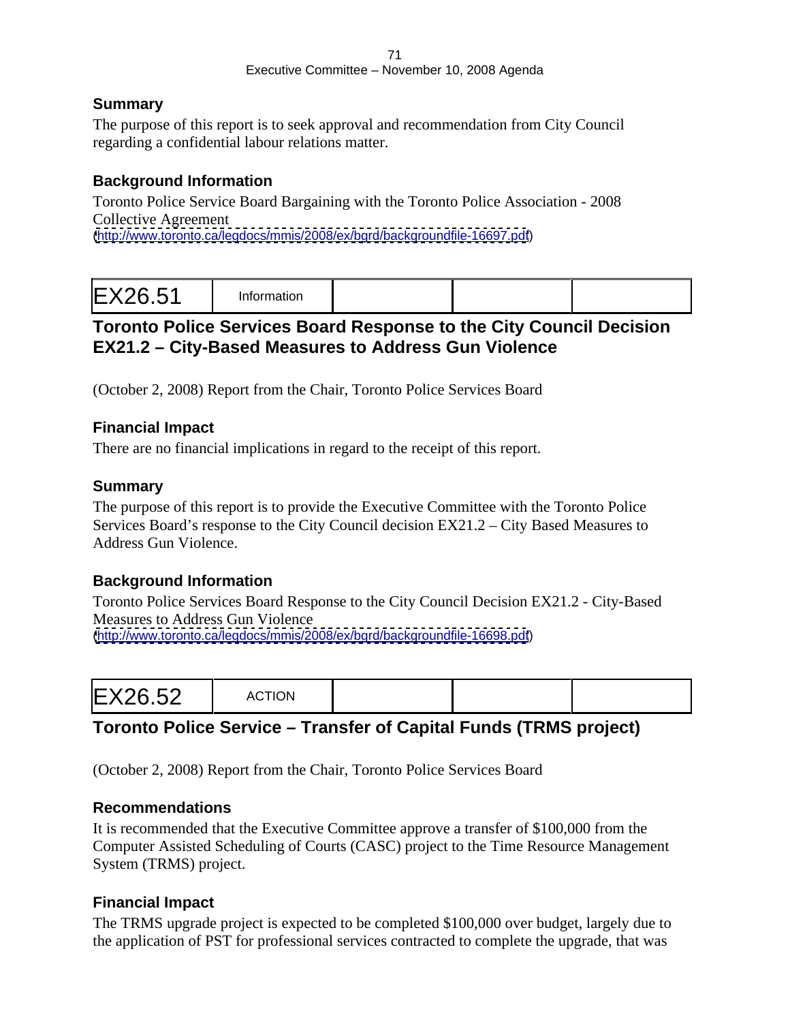### **Summary**

The purpose of this report is to seek approval and recommendation from City Council regarding a confidential labour relations matter.

### **Background Information**

Toronto Police Service Board Bargaining with the Toronto Police Association - 2008 Collective Agreement [\(http://www.toronto.ca/legdocs/mmis/2008/ex/bgrd/backgroundfile-16697.pdf](http://www.toronto.ca/legdocs/mmis/2008/ex/bgrd/backgroundfile-16697.pdf))

|--|--|

# **Toronto Police Services Board Response to the City Council Decision EX21.2 – City-Based Measures to Address Gun Violence**

(October 2, 2008) Report from the Chair, Toronto Police Services Board

### **Financial Impact**

There are no financial implications in regard to the receipt of this report.

### **Summary**

The purpose of this report is to provide the Executive Committee with the Toronto Police Services Board's response to the City Council decision EX21.2 – City Based Measures to Address Gun Violence.

### **Background Information**

Toronto Police Services Board Response to the City Council Decision EX21.2 - City-Based Measures to Address Gun Violence [\(http://www.toronto.ca/legdocs/mmis/2008/ex/bgrd/backgroundfile-16698.pdf](http://www.toronto.ca/legdocs/mmis/2008/ex/bgrd/backgroundfile-16698.pdf))

# **Toronto Police Service – Transfer of Capital Funds (TRMS project)**

(October 2, 2008) Report from the Chair, Toronto Police Services Board

### **Recommendations**

It is recommended that the Executive Committee approve a transfer of \$100,000 from the Computer Assisted Scheduling of Courts (CASC) project to the Time Resource Management System (TRMS) project.

### **Financial Impact**

The TRMS upgrade project is expected to be completed \$100,000 over budget, largely due to the application of PST for professional services contracted to complete the upgrade, that was